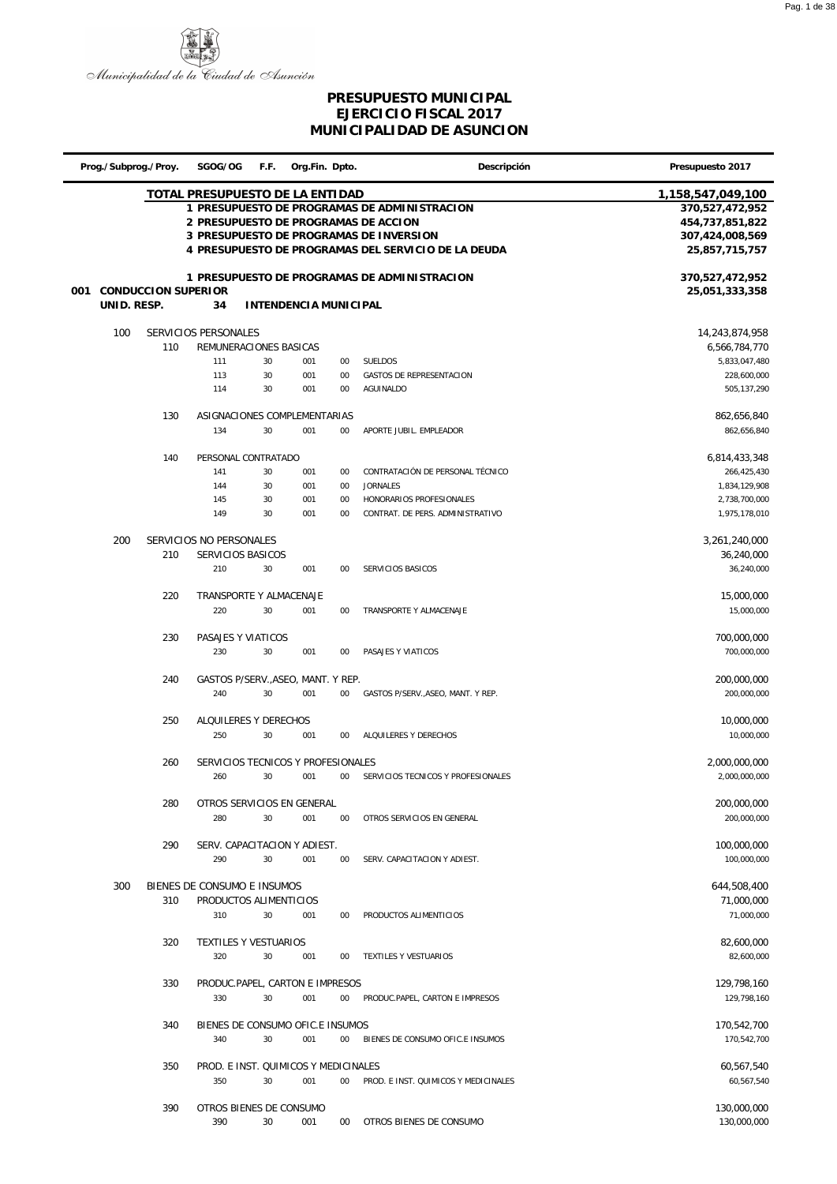

|     |             | Prog./Subprog./Proy.       | SGOG/OG                              | F.F. | Org.Fin. Dpto.        |        | Descripción                                         | Presupuesto 2017  |
|-----|-------------|----------------------------|--------------------------------------|------|-----------------------|--------|-----------------------------------------------------|-------------------|
|     |             |                            | TOTAL PRESUPUESTO DE LA ENTIDAD      |      |                       |        |                                                     | 1,158,547,049,100 |
|     |             |                            |                                      |      |                       |        | 1 PRESUPUESTO DE PROGRAMAS DE ADMINISTRACION        | 370,527,472,952   |
|     |             |                            |                                      |      |                       |        | 2 PRESUPUESTO DE PROGRAMAS DE ACCION                | 454,737,851,822   |
|     |             |                            |                                      |      |                       |        | 3 PRESUPUESTO DE PROGRAMAS DE INVERSION             | 307,424,008,569   |
|     |             |                            |                                      |      |                       |        | 4 PRESUPUESTO DE PROGRAMAS DEL SERVICIO DE LA DEUDA | 25,857,715,757    |
|     |             |                            |                                      |      |                       |        |                                                     |                   |
|     |             |                            |                                      |      |                       |        | 1 PRESUPUESTO DE PROGRAMAS DE ADMINISTRACION        | 370,527,472,952   |
| 001 |             | <b>CONDUCCION SUPERIOR</b> |                                      |      |                       |        |                                                     | 25,051,333,358    |
|     | UNID. RESP. |                            | 34                                   |      | INTENDENCIA MUNICIPAL |        |                                                     |                   |
|     |             |                            |                                      |      |                       |        |                                                     |                   |
|     | 100         |                            | SERVICIOS PERSONALES                 |      |                       |        |                                                     | 14,243,874,958    |
|     |             | 110                        |                                      |      |                       |        |                                                     |                   |
|     |             |                            | REMUNERACIONES BASICAS               |      |                       |        |                                                     | 6,566,784,770     |
|     |             |                            | 111                                  | 30   | 001                   | $00\,$ | SUELDOS                                             | 5,833,047,480     |
|     |             |                            | 113                                  | 30   | 001                   | 00     | GASTOS DE REPRESENTACION                            | 228,600,000       |
|     |             |                            | 114                                  | 30   | 001                   | 00     | AGUINALDO                                           | 505, 137, 290     |
|     |             |                            |                                      |      |                       |        |                                                     |                   |
|     |             | 130                        | ASIGNACIONES COMPLEMENTARIAS         |      |                       |        |                                                     | 862,656,840       |
|     |             |                            | 134                                  | 30   | 001                   | $00\,$ | APORTE JUBIL. EMPLEADOR                             | 862,656,840       |
|     |             |                            |                                      |      |                       |        |                                                     |                   |
|     |             | 140                        | PERSONAL CONTRATADO                  |      |                       |        |                                                     | 6,814,433,348     |
|     |             |                            | 141                                  | 30   | 001                   | $00\,$ | CONTRATACIÓN DE PERSONAL TÉCNICO                    | 266,425,430       |
|     |             |                            | 144                                  | 30   | 001                   | 00     | <b>JORNALES</b>                                     | 1,834,129,908     |
|     |             |                            | 145                                  | 30   | 001                   | 00     | HONORARIOS PROFESIONALES                            | 2,738,700,000     |
|     |             |                            | 149                                  | 30   | 001                   | 00     | CONTRAT. DE PERS. ADMINISTRATIVO                    | 1,975,178,010     |
|     |             |                            |                                      |      |                       |        |                                                     |                   |
|     | 200         |                            | SERVICIOS NO PERSONALES              |      |                       |        |                                                     | 3,261,240,000     |
|     |             | 210                        | SERVICIOS BASICOS                    |      |                       |        |                                                     | 36,240,000        |
|     |             |                            | 210                                  | 30   | 001                   | $00\,$ | SERVICIOS BASICOS                                   | 36,240,000        |
|     |             |                            |                                      |      |                       |        |                                                     |                   |
|     |             | 220                        | TRANSPORTE Y ALMACENAJE              |      |                       |        |                                                     | 15,000,000        |
|     |             |                            | 220                                  | 30   | 001                   | $00\,$ | TRANSPORTE Y ALMACENAJE                             | 15,000,000        |
|     |             |                            |                                      |      |                       |        |                                                     |                   |
|     |             | 230                        | PASAJES Y VIATICOS                   |      |                       |        |                                                     | 700,000,000       |
|     |             |                            | 230                                  | 30   | 001                   | 00     | PASAJES Y VIATICOS                                  | 700,000,000       |
|     |             |                            |                                      |      |                       |        |                                                     |                   |
|     |             | 240                        | GASTOS P/SERV., ASEO, MANT. Y REP.   |      |                       |        |                                                     | 200,000,000       |
|     |             |                            | 240                                  | 30   | 001                   | $00\,$ | GASTOS P/SERV., ASEO, MANT. Y REP.                  | 200,000,000       |
|     |             |                            |                                      |      |                       |        |                                                     |                   |
|     |             | 250                        | ALQUILERES Y DERECHOS                |      |                       |        |                                                     | 10,000,000        |
|     |             |                            | 250                                  | 30   | 001                   | 00     | ALQUILERES Y DERECHOS                               | 10,000,000        |
|     |             |                            |                                      |      |                       |        |                                                     |                   |
|     |             | 260                        | SERVICIOS TECNICOS Y PROFESIONALES   |      |                       |        |                                                     | 2,000,000,000     |
|     |             |                            | 260                                  | 30   | 001                   | $00\,$ | SERVICIOS TECNICOS Y PROFESIONALES                  | 2,000,000,000     |
|     |             |                            |                                      |      |                       |        |                                                     |                   |
|     |             | 280                        | OTROS SERVICIOS EN GENERAL           |      |                       |        |                                                     | 200,000,000       |
|     |             |                            | 280                                  | 30   | 001                   | $00\,$ | OTROS SERVICIOS EN GENERAL                          | 200,000,000       |
|     |             |                            |                                      |      |                       |        |                                                     |                   |
|     |             | 290                        | SERV. CAPACITACION Y ADIEST.         |      |                       |        |                                                     | 100,000,000       |
|     |             |                            | 290                                  | 30   | 001                   | $00\,$ | SERV. CAPACITACION Y ADIEST.                        | 100,000,000       |
|     |             |                            |                                      |      |                       |        |                                                     |                   |
|     | 300         |                            | BIENES DE CONSUMO E INSUMOS          |      |                       |        |                                                     | 644,508,400       |
|     |             | 310                        | PRODUCTOS ALIMENTICIOS               |      |                       |        |                                                     | 71,000,000        |
|     |             |                            | 310                                  | 30   | 001                   | $00\,$ | PRODUCTOS ALIMENTICIOS                              | 71,000,000        |
|     |             |                            |                                      |      |                       |        |                                                     |                   |
|     |             | 320                        | TEXTILES Y VESTUARIOS                |      |                       |        |                                                     | 82,600,000        |
|     |             |                            |                                      |      |                       |        |                                                     |                   |
|     |             |                            | 320                                  | 30   | 001                   | $00\,$ | TEXTILES Y VESTUARIOS                               | 82,600,000        |
|     |             |                            |                                      |      |                       |        |                                                     |                   |
|     |             | 330                        | PRODUC.PAPEL, CARTON E IMPRESOS      |      |                       |        |                                                     | 129,798,160       |
|     |             |                            | 330                                  | 30   | 001                   | $00\,$ | PRODUC.PAPEL, CARTON E IMPRESOS                     | 129,798,160       |
|     |             |                            |                                      |      |                       |        |                                                     |                   |
|     |             | 340                        | BIENES DE CONSUMO OFIC.E INSUMOS     |      |                       |        |                                                     | 170,542,700       |
|     |             |                            | 340                                  | 30   | 001                   | $00\,$ | BIENES DE CONSUMO OFIC.E INSUMOS                    | 170,542,700       |
|     |             |                            |                                      |      |                       |        |                                                     |                   |
|     |             | 350                        | PROD. E INST. QUIMICOS Y MEDICINALES |      |                       |        |                                                     | 60,567,540        |
|     |             |                            | 350                                  | 30   | 001                   | $00\,$ | PROD. E INST. QUIMICOS Y MEDICINALES                | 60,567,540        |
|     |             |                            |                                      |      |                       |        |                                                     |                   |
|     |             | 390                        | OTROS BIENES DE CONSUMO              |      |                       |        |                                                     | 130,000,000       |
|     |             |                            | 390                                  | 30   | 001                   |        | 00 OTROS BIENES DE CONSUMO                          | 130,000,000       |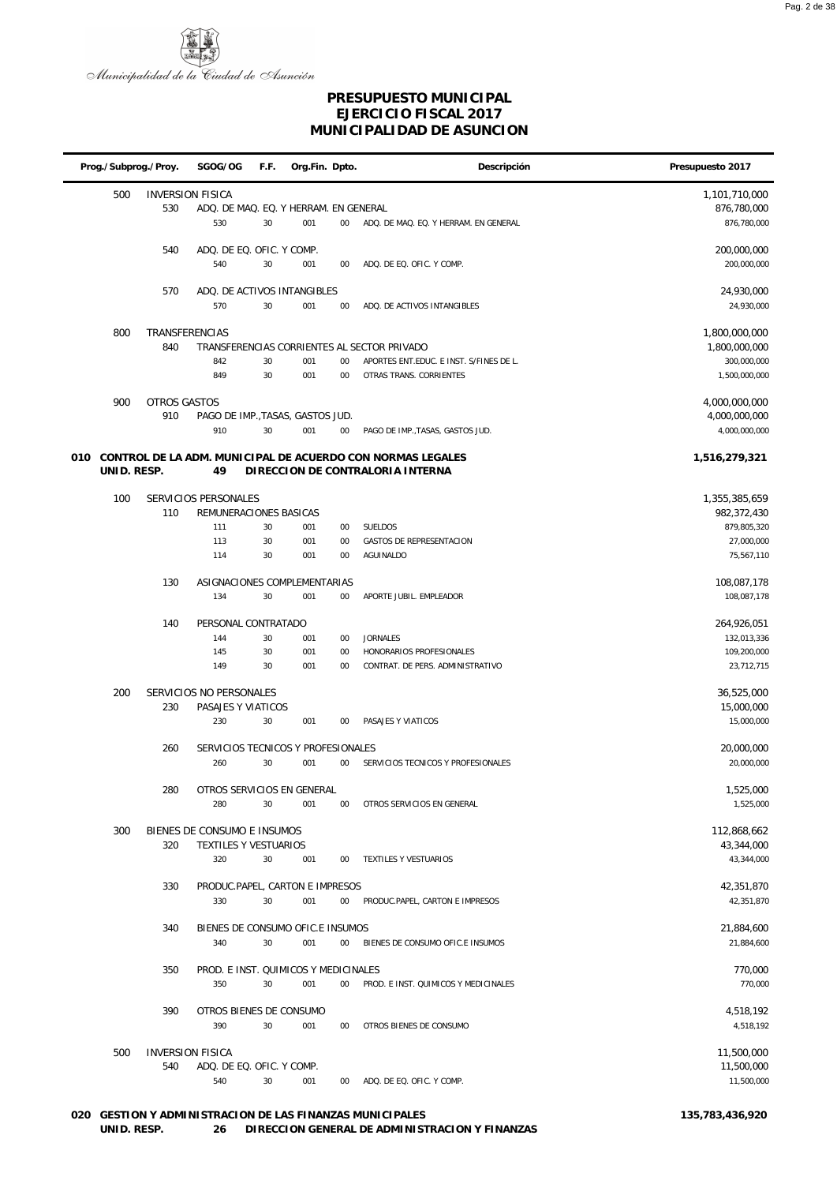

l,

#### **PRESUPUESTO MUNICIPAL EJERCICIO FISCAL 2017 MUNICIPALIDAD DE ASUNCION**

| Prog./Subprog./Proy. |                       | SGOG/OG                                | F.F. | Org.Fin. Dpto. |        | Descripción                                                | Presupuesto 2017               |
|----------------------|-----------------------|----------------------------------------|------|----------------|--------|------------------------------------------------------------|--------------------------------|
| 500                  |                       | <b>INVERSION FISICA</b>                |      |                |        |                                                            | 1,101,710,000                  |
|                      | 530                   | ADQ. DE MAQ. EQ. Y HERRAM. EN GENERAL  |      |                |        |                                                            | 876,780,000                    |
|                      |                       | 530                                    | 30   | 001            | $00\,$ | ADQ. DE MAQ. EQ. Y HERRAM. EN GENERAL                      | 876,780,000                    |
|                      | 540                   | ADQ. DE EQ. OFIC. Y COMP.              |      |                |        |                                                            | 200,000,000                    |
|                      |                       | 540                                    | 30   | 001            | 00     | ADQ. DE EQ. OFIC. Y COMP.                                  | 200,000,000                    |
|                      | 570                   | ADQ. DE ACTIVOS INTANGIBLES            |      |                |        |                                                            | 24,930,000                     |
|                      |                       | 570                                    | 30   | 001            | 00     | ADQ. DE ACTIVOS INTANGIBLES                                | 24,930,000                     |
|                      |                       |                                        |      |                |        |                                                            |                                |
| 800                  | TRANSFERENCIAS<br>840 |                                        |      |                |        | TRANSFERENCIAS CORRIENTES AL SECTOR PRIVADO                | 1,800,000,000<br>1,800,000,000 |
|                      |                       | 842                                    | 30   | 001            | 00     | APORTES ENT.EDUC. E INST. S/FINES DE L.                    | 300,000,000                    |
|                      |                       | 849                                    | 30   | 001            | $00\,$ | OTRAS TRANS. CORRIENTES                                    | 1,500,000,000                  |
| 900                  | OTROS GASTOS          |                                        |      |                |        |                                                            | 4,000,000,000                  |
|                      | 910                   | PAGO DE IMP., TASAS, GASTOS JUD.       |      |                |        |                                                            | 4,000,000,000                  |
|                      |                       | 910                                    | 30   | 001            | 00     | PAGO DE IMP., TASAS, GASTOS JUD.                           | 4,000,000,000                  |
| 010                  |                       |                                        |      |                |        | CONTROL DE LA ADM. MUNICIPAL DE ACUERDO CON NORMAS LEGALES | 1,516,279,321                  |
| UNID. RESP.          |                       | 49                                     |      |                |        | DIRECCION DE CONTRALORIA INTERNA                           |                                |
| 100                  |                       | SERVICIOS PERSONALES                   |      |                |        |                                                            | 1,355,385,659                  |
|                      | 110                   | REMUNERACIONES BASICAS                 |      |                |        |                                                            | 982,372,430                    |
|                      |                       | 111                                    | 30   | 001            | 00     | <b>SUELDOS</b>                                             | 879,805,320                    |
|                      |                       | 113                                    | 30   | 001            | 00     | <b>GASTOS DE REPRESENTACION</b>                            | 27,000,000                     |
|                      |                       | 114                                    | 30   | 001            | 00     | AGUINALDO                                                  | 75,567,110                     |
|                      | 130                   | ASIGNACIONES COMPLEMENTARIAS           |      |                |        |                                                            | 108,087,178                    |
|                      |                       | 134                                    | 30   | 001            | 00     | APORTE JUBIL. EMPLEADOR                                    | 108,087,178                    |
|                      | 140                   | PERSONAL CONTRATADO                    |      |                |        |                                                            | 264,926,051                    |
|                      |                       | 144                                    | 30   | 001            | 00     | <b>JORNALES</b>                                            | 132,013,336                    |
|                      |                       | 145                                    | 30   | 001            | 00     | HONORARIOS PROFESIONALES                                   | 109,200,000                    |
|                      |                       | 149                                    | 30   | 001            | 00     | CONTRAT. DE PERS. ADMINISTRATIVO                           | 23,712,715                     |
| 200                  |                       | SERVICIOS NO PERSONALES                |      |                |        |                                                            | 36,525,000                     |
|                      | 230                   | PASAJES Y VIATICOS                     |      |                |        |                                                            | 15,000,000                     |
|                      |                       | 230                                    | 30   | 001            | 00     | PASAJES Y VIATICOS                                         | 15,000,000                     |
|                      | 260                   | SERVICIOS TECNICOS Y PROFESIONALES     |      |                |        |                                                            | 20,000,000                     |
|                      |                       | 260                                    | 30   | 001            | $00\,$ | SERVICIOS TECNICOS Y PROFESIONALES                         | 20,000,000                     |
|                      |                       |                                        |      |                |        |                                                            |                                |
|                      | 280                   | OTROS SERVICIOS EN GENERAL<br>280      | 30   | 001            | 00     | OTROS SERVICIOS EN GENERAL                                 | 1,525,000<br>1,525,000         |
|                      |                       |                                        |      |                |        |                                                            |                                |
| 300                  |                       | BIENES DE CONSUMO E INSUMOS            |      |                |        |                                                            | 112,868,662                    |
|                      | 320                   | TEXTILES Y VESTUARIOS<br>320           | 30   | 001            | $00\,$ | TEXTILES Y VESTUARIOS                                      | 43,344,000<br>43,344,000       |
|                      |                       |                                        |      |                |        |                                                            |                                |
|                      | 330                   | PRODUC.PAPEL, CARTON E IMPRESOS<br>330 | 30   | 001            | $00\,$ | PRODUC.PAPEL, CARTON E IMPRESOS                            | 42,351,870<br>42,351,870       |
|                      |                       |                                        |      |                |        |                                                            |                                |
|                      | 340                   | BIENES DE CONSUMO OFIC.E INSUMOS       |      |                |        |                                                            | 21,884,600                     |
|                      |                       | 340                                    | 30   | 001            | $00\,$ | BIENES DE CONSUMO OFIC.E INSUMOS                           | 21,884,600                     |
|                      | 350                   | PROD. E INST. QUIMICOS Y MEDICINALES   |      |                |        |                                                            | 770,000                        |
|                      |                       | 350                                    | 30   | 001            | $00\,$ | PROD. E INST. QUIMICOS Y MEDICINALES                       | 770,000                        |
|                      | 390                   | OTROS BIENES DE CONSUMO                |      |                |        |                                                            | 4,518,192                      |
|                      |                       | 390                                    | 30   | 001            | $00\,$ | OTROS BIENES DE CONSUMO                                    | 4,518,192                      |
| 500                  |                       | <b>INVERSION FISICA</b>                |      |                |        |                                                            | 11,500,000                     |
|                      | 540                   | ADQ. DE EQ. OFIC. Y COMP.              |      |                |        |                                                            | 11,500,000                     |
|                      |                       | 540                                    | 30   | 001            | $00\,$ | ADQ. DE EQ. OFIC. Y COMP.                                  | 11,500,000                     |

#### **020 GESTION Y ADMINISTRACION DE LAS FINANZAS MUNICIPALES 135,783,436,920 UNID. RESP. 26 DIRECCION GENERAL DE ADMINISTRACION Y FINANZAS**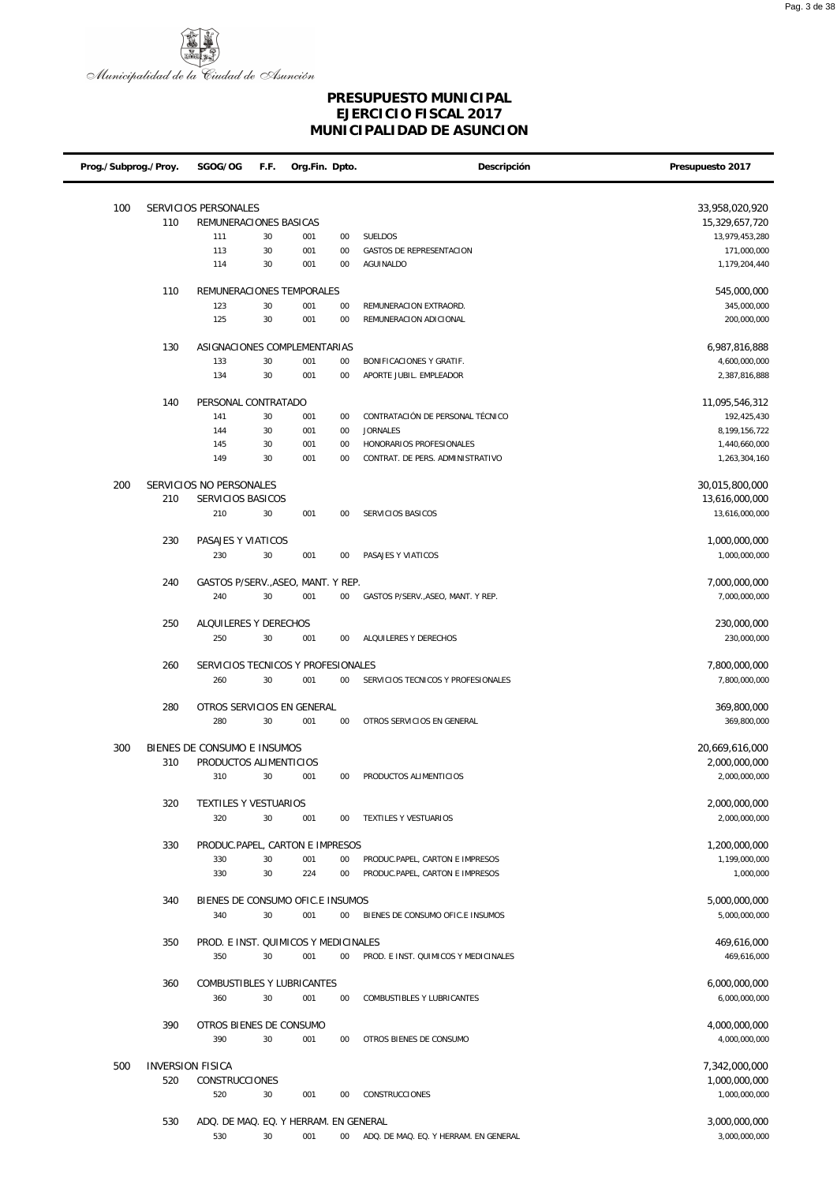

| Prog./Subprog./Proy. |     | SGOG/OG                                               | F.F.   | Org.Fin. Dpto. |        | Descripción                           | Presupuesto 2017                |
|----------------------|-----|-------------------------------------------------------|--------|----------------|--------|---------------------------------------|---------------------------------|
| 100                  |     | SERVICIOS PERSONALES                                  |        |                |        |                                       | 33,958,020,920                  |
|                      | 110 | REMUNERACIONES BASICAS                                |        |                |        |                                       | 15,329,657,720                  |
|                      |     | 111                                                   | 30     | 001            | 00     | <b>SUELDOS</b>                        | 13,979,453,280                  |
|                      |     | 113                                                   | 30     | 001            | 00     | GASTOS DE REPRESENTACION              | 171,000,000                     |
|                      |     | 114                                                   | 30     | 001            | 00     | <b>AGUINALDO</b>                      | 1,179,204,440                   |
|                      |     |                                                       |        |                |        |                                       |                                 |
|                      | 110 | REMUNERACIONES TEMPORALES                             |        |                |        |                                       | 545,000,000                     |
|                      |     | 123                                                   | 30     | 001            | 00     | REMUNERACION EXTRAORD.                | 345,000,000                     |
|                      |     | 125                                                   | 30     | 001            | 00     | REMUNERACION ADICIONAL                | 200,000,000                     |
|                      | 130 | ASIGNACIONES COMPLEMENTARIAS                          |        |                |        |                                       | 6,987,816,888                   |
|                      |     | 133                                                   | 30     | 001            | 00     | BONIFICACIONES Y GRATIF.              | 4,600,000,000                   |
|                      |     | 134                                                   | 30     | 001            | 00     | APORTE JUBIL. EMPLEADOR               | 2,387,816,888                   |
|                      |     |                                                       |        |                |        |                                       |                                 |
|                      | 140 | PERSONAL CONTRATADO                                   |        |                |        |                                       | 11,095,546,312                  |
|                      |     | 141                                                   | 30     | 001            | 00     | CONTRATACIÓN DE PERSONAL TÉCNICO      | 192,425,430                     |
|                      |     | 144                                                   | 30     | 001            | 00     | <b>JORNALES</b>                       | 8,199,156,722                   |
|                      |     | 145                                                   | 30     | 001            | 00     | HONORARIOS PROFESIONALES              | 1,440,660,000                   |
|                      |     | 149                                                   | 30     | 001            | 00     | CONTRAT. DE PERS. ADMINISTRATIVO      | 1,263,304,160                   |
| 200                  |     | SERVICIOS NO PERSONALES                               |        |                |        |                                       | 30,015,800,000                  |
|                      | 210 | SERVICIOS BASICOS                                     |        |                |        |                                       | 13,616,000,000                  |
|                      |     | 210                                                   | 30     | 001            | 00     | SERVICIOS BASICOS                     | 13,616,000,000                  |
|                      |     |                                                       |        |                |        |                                       |                                 |
|                      | 230 | PASAJES Y VIATICOS<br>230                             | 30     | 001            | 00     | PASAJES Y VIATICOS                    | 1,000,000,000<br>1,000,000,000  |
|                      |     |                                                       |        |                |        |                                       |                                 |
|                      | 240 | GASTOS P/SERV., ASEO, MANT. Y REP.                    |        |                |        |                                       | 7,000,000,000                   |
|                      |     | 240                                                   | 30     | 001            | $00\,$ | GASTOS P/SERV., ASEO, MANT. Y REP.    | 7,000,000,000                   |
|                      | 250 | ALQUILERES Y DERECHOS                                 |        |                |        |                                       | 230,000,000                     |
|                      |     | 250                                                   | 30     | 001            | 00     | ALQUILERES Y DERECHOS                 | 230,000,000                     |
|                      |     |                                                       |        |                |        |                                       |                                 |
|                      | 260 | SERVICIOS TECNICOS Y PROFESIONALES                    |        |                |        |                                       | 7,800,000,000                   |
|                      |     | 260                                                   | 30     | 001            | 00     | SERVICIOS TECNICOS Y PROFESIONALES    | 7,800,000,000                   |
|                      | 280 | OTROS SERVICIOS EN GENERAL                            |        |                |        |                                       | 369,800,000                     |
|                      |     | 280                                                   | 30     | 001            | 00     | OTROS SERVICIOS EN GENERAL            | 369,800,000                     |
|                      |     |                                                       |        |                |        |                                       |                                 |
| 300                  | 310 | BIENES DE CONSUMO E INSUMOS<br>PRODUCTOS ALIMENTICIOS |        |                |        |                                       | 20,669,616,000<br>2,000,000,000 |
|                      |     | 310                                                   | 30 001 |                | 00     | PRODUCTOS ALIMENTICIOS                | 2,000,000,000                   |
|                      |     |                                                       |        |                |        |                                       |                                 |
|                      | 320 | TEXTILES Y VESTUARIOS                                 |        |                |        |                                       | 2,000,000,000                   |
|                      |     | 320                                                   | 30     | 001            | $00\,$ | TEXTILES Y VESTUARIOS                 | 2,000,000,000                   |
|                      | 330 | PRODUC.PAPEL, CARTON E IMPRESOS                       |        |                |        |                                       | 1,200,000,000                   |
|                      |     | 330                                                   | 30     | 001            | $00\,$ | PRODUC.PAPEL, CARTON E IMPRESOS       | 1,199,000,000                   |
|                      |     | 330                                                   | 30     | 224            | 00     | PRODUC.PAPEL, CARTON E IMPRESOS       | 1,000,000                       |
|                      |     |                                                       |        |                |        |                                       |                                 |
|                      | 340 | BIENES DE CONSUMO OFIC.E INSUMOS                      |        |                |        |                                       | 5,000,000,000                   |
|                      |     | 340                                                   | 30     | 001            | $00\,$ | BIENES DE CONSUMO OFIC.E INSUMOS      | 5,000,000,000                   |
|                      | 350 | PROD. E INST. QUIMICOS Y MEDICINALES                  |        |                |        |                                       | 469,616,000                     |
|                      |     | 350                                                   | 30     | 001            | $00\,$ | PROD. E INST. QUIMICOS Y MEDICINALES  | 469,616,000                     |
|                      |     |                                                       |        |                |        |                                       |                                 |
|                      | 360 | COMBUSTIBLES Y LUBRICANTES<br>360                     |        |                | 00     | COMBUSTIBLES Y LUBRICANTES            | 6,000,000,000                   |
|                      |     |                                                       | 30     | 001            |        |                                       | 6,000,000,000                   |
|                      | 390 | OTROS BIENES DE CONSUMO                               |        |                |        |                                       | 4,000,000,000                   |
|                      |     | 390                                                   | 30     | 001            | $00\,$ | OTROS BIENES DE CONSUMO               | 4,000,000,000                   |
|                      |     |                                                       |        |                |        |                                       |                                 |
| 500                  |     | <b>INVERSION FISICA</b>                               |        |                |        |                                       | 7,342,000,000                   |
|                      | 520 | CONSTRUCCIONES<br>520                                 | 30     | 001            | $00\,$ | CONSTRUCCIONES                        | 1,000,000,000                   |
|                      |     |                                                       |        |                |        |                                       | 1,000,000,000                   |
|                      | 530 | ADQ. DE MAQ. EQ. Y HERRAM. EN GENERAL                 |        |                |        |                                       | 3,000,000,000                   |
|                      |     | 530                                                   | 30     | 001            | $00\,$ | ADQ. DE MAQ. EQ. Y HERRAM. EN GENERAL | 3,000,000,000                   |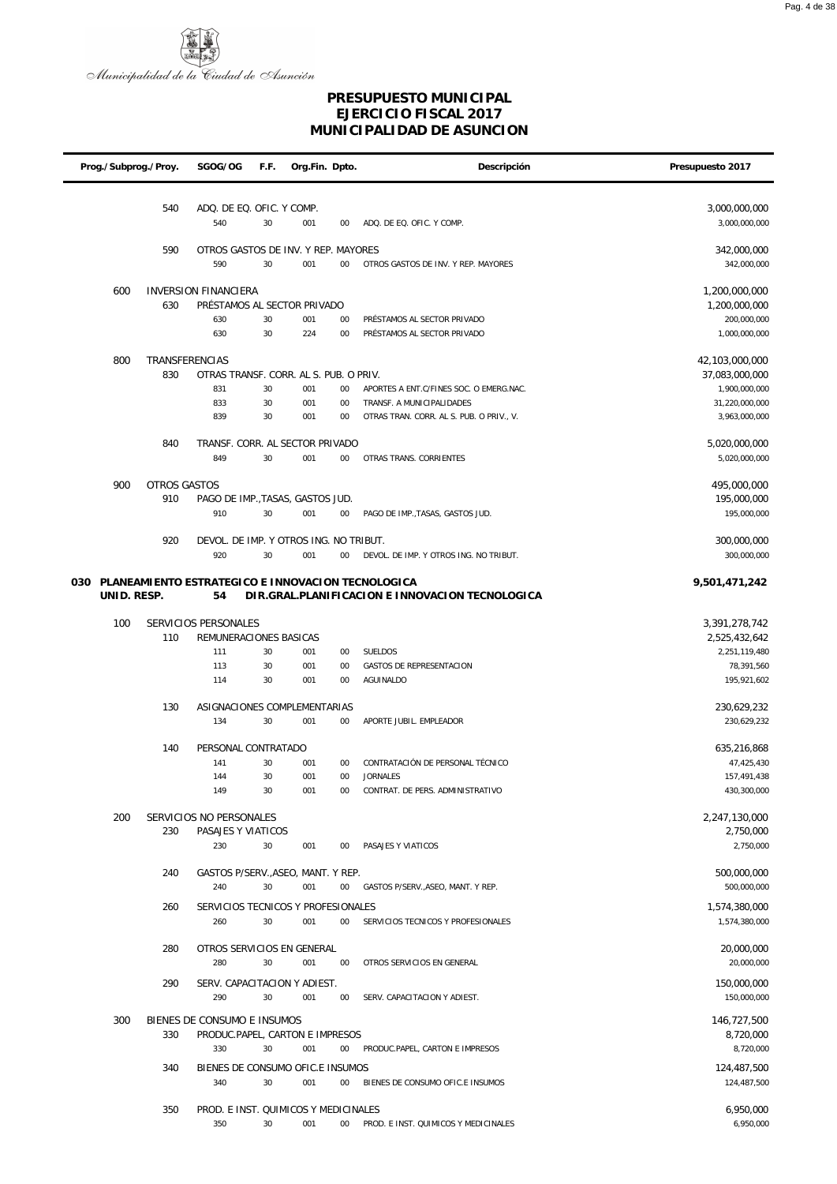

| Prog./Subprog./Proy. |             |                       | SGOG/OG                                           | F.F.     | Org.Fin. Dpto. |          | Descripción                                                | Presupuesto 2017                 |
|----------------------|-------------|-----------------------|---------------------------------------------------|----------|----------------|----------|------------------------------------------------------------|----------------------------------|
|                      |             | 540                   |                                                   |          |                |          |                                                            |                                  |
|                      |             |                       | ADQ. DE EQ. OFIC. Y COMP.<br>540                  | 30       | 001            | 00       | ADQ. DE EQ. OFIC. Y COMP.                                  | 3,000,000,000<br>3,000,000,000   |
|                      |             | 590                   | OTROS GASTOS DE INV. Y REP. MAYORES               |          |                |          |                                                            | 342,000,000                      |
|                      |             |                       | 590                                               | 30       | 001            | $00\,$   | OTROS GASTOS DE INV. Y REP. MAYORES                        | 342,000,000                      |
|                      | 600         |                       | <b>INVERSION FINANCIERA</b>                       |          |                |          |                                                            | 1,200,000,000                    |
|                      |             | 630                   | PRÉSTAMOS AL SECTOR PRIVADO                       |          |                |          |                                                            | 1,200,000,000                    |
|                      |             |                       | 630<br>630                                        | 30<br>30 | 001<br>224     | 00<br>00 | PRÉSTAMOS AL SECTOR PRIVADO<br>PRÉSTAMOS AL SECTOR PRIVADO | 200,000,000<br>1,000,000,000     |
|                      |             |                       |                                                   |          |                |          |                                                            |                                  |
|                      | 800         | TRANSFERENCIAS<br>830 | OTRAS TRANSF. CORR. AL S. PUB. O PRIV.            |          |                |          |                                                            | 42,103,000,000<br>37,083,000,000 |
|                      |             |                       | 831                                               | 30       | 001            | 00       | APORTES A ENT.C/FINES SOC. O EMERG.NAC.                    | 1,900,000,000                    |
|                      |             |                       | 833                                               | 30       | 001            | 00       | TRANSF. A MUNICIPALIDADES                                  | 31,220,000,000                   |
|                      |             |                       | 839                                               | 30       | 001            | 00       | OTRAS TRAN. CORR. AL S. PUB. O PRIV., V.                   | 3,963,000,000                    |
|                      |             | 840                   | TRANSF. CORR. AL SECTOR PRIVADO                   |          |                |          |                                                            | 5,020,000,000                    |
|                      |             |                       | 849                                               | 30       | 001            | 00       | OTRAS TRANS. CORRIENTES                                    | 5,020,000,000                    |
|                      | 900         | <b>OTROS GASTOS</b>   |                                                   |          |                |          |                                                            | 495,000,000                      |
|                      |             | 910                   | PAGO DE IMP., TASAS, GASTOS JUD.                  |          |                |          |                                                            | 195,000,000                      |
|                      |             |                       | 910                                               | 30       | 001            | 00       | PAGO DE IMP., TASAS, GASTOS JUD.                           | 195,000,000                      |
|                      |             | 920                   | DEVOL. DE IMP. Y OTROS ING. NO TRIBUT.            |          |                |          |                                                            | 300,000,000                      |
|                      |             |                       | 920                                               | 30       | 001            | 00       | DEVOL. DE IMP. Y OTROS ING. NO TRIBUT.                     | 300,000,000                      |
| 030                  |             |                       | PLANEAMIENTO ESTRATEGICO E INNOVACION TECNOLOGICA |          |                |          |                                                            | 9,501,471,242                    |
|                      | UNID. RESP. |                       | 54                                                |          |                |          | DIR.GRAL.PLANIFICACION E INNOVACION TECNOLOGICA            |                                  |
|                      | 100         |                       | SERVICIOS PERSONALES                              |          |                |          |                                                            | 3,391,278,742                    |
|                      |             | 110                   | REMUNERACIONES BASICAS                            |          |                |          |                                                            | 2,525,432,642                    |
|                      |             |                       | 111                                               | 30       | 001            | 00       | SUELDOS                                                    | 2,251,119,480                    |
|                      |             |                       | 113<br>114                                        | 30<br>30 | 001<br>001     | 00<br>00 | <b>GASTOS DE REPRESENTACION</b><br>AGUINALDO               | 78,391,560<br>195,921,602        |
|                      |             |                       |                                                   |          |                |          |                                                            |                                  |
|                      |             | 130                   | ASIGNACIONES COMPLEMENTARIAS<br>134               | 30       | 001            | 00       |                                                            | 230,629,232<br>230,629,232       |
|                      |             |                       |                                                   |          |                |          | APORTE JUBIL. EMPLEADOR                                    |                                  |
|                      |             | 140                   | PERSONAL CONTRATADO                               |          |                |          |                                                            | 635,216,868                      |
|                      |             |                       | 141                                               | 30       | 001            | 00       | CONTRATACIÓN DE PERSONAL TÉCNICO                           | 47,425,430                       |
|                      |             |                       | 144<br>149                                        | 30<br>30 | 001<br>001     | 00<br>00 | <b>JORNALES</b><br>CONTRAT. DE PERS. ADMINISTRATIVO        | 157,491,438<br>430,300,000       |
|                      |             |                       |                                                   |          |                |          |                                                            |                                  |
|                      | 200         | 230                   | SERVICIOS NO PERSONALES<br>PASAJES Y VIATICOS     |          |                |          |                                                            | 2,247,130,000<br>2,750,000       |
|                      |             |                       | 230                                               | 30       | 001            | 00       | PASAJES Y VIATICOS                                         | 2,750,000                        |
|                      |             |                       |                                                   |          |                |          |                                                            |                                  |
|                      |             | 240                   | GASTOS P/SERV., ASEO, MANT. Y REP.<br>240         | 30       | 001            | 00       | GASTOS P/SERV., ASEO, MANT. Y REP.                         | 500,000,000<br>500,000,000       |
|                      |             | 260                   | SERVICIOS TECNICOS Y PROFESIONALES                |          |                |          |                                                            | 1,574,380,000                    |
|                      |             |                       | 260                                               | 30       | 001            | 00       | SERVICIOS TECNICOS Y PROFESIONALES                         | 1,574,380,000                    |
|                      |             | 280                   | OTROS SERVICIOS EN GENERAL                        |          |                |          |                                                            | 20,000,000                       |
|                      |             |                       | 280                                               | 30       | 001            | 00       | OTROS SERVICIOS EN GENERAL                                 | 20,000,000                       |
|                      |             | 290                   | SERV. CAPACITACION Y ADIEST.                      |          |                |          |                                                            | 150,000,000                      |
|                      |             |                       | 290                                               | 30       | 001            | 00       | SERV. CAPACITACION Y ADIEST.                               | 150,000,000                      |
|                      | 300         |                       | BIENES DE CONSUMO E INSUMOS                       |          |                |          |                                                            | 146,727,500                      |
|                      |             | 330                   | PRODUC.PAPEL, CARTON E IMPRESOS                   |          |                |          |                                                            | 8,720,000                        |
|                      |             |                       | 330                                               | 30       | 001            | $00\,$   | PRODUC.PAPEL, CARTON E IMPRESOS                            | 8,720,000                        |
|                      |             | 340                   | BIENES DE CONSUMO OFIC.E INSUMOS<br>340           | 30       | 001            | $00\,$   | BIENES DE CONSUMO OFIC.E INSUMOS                           | 124,487,500<br>124,487,500       |
|                      |             |                       |                                                   |          |                |          |                                                            |                                  |
|                      |             | 350                   | PROD. E INST. QUIMICOS Y MEDICINALES              |          |                |          |                                                            | 6,950,000                        |
|                      |             |                       | 350                                               | 30       | 001            | $00\,$   | PROD. E INST. QUIMICOS Y MEDICINALES                       | 6,950,000                        |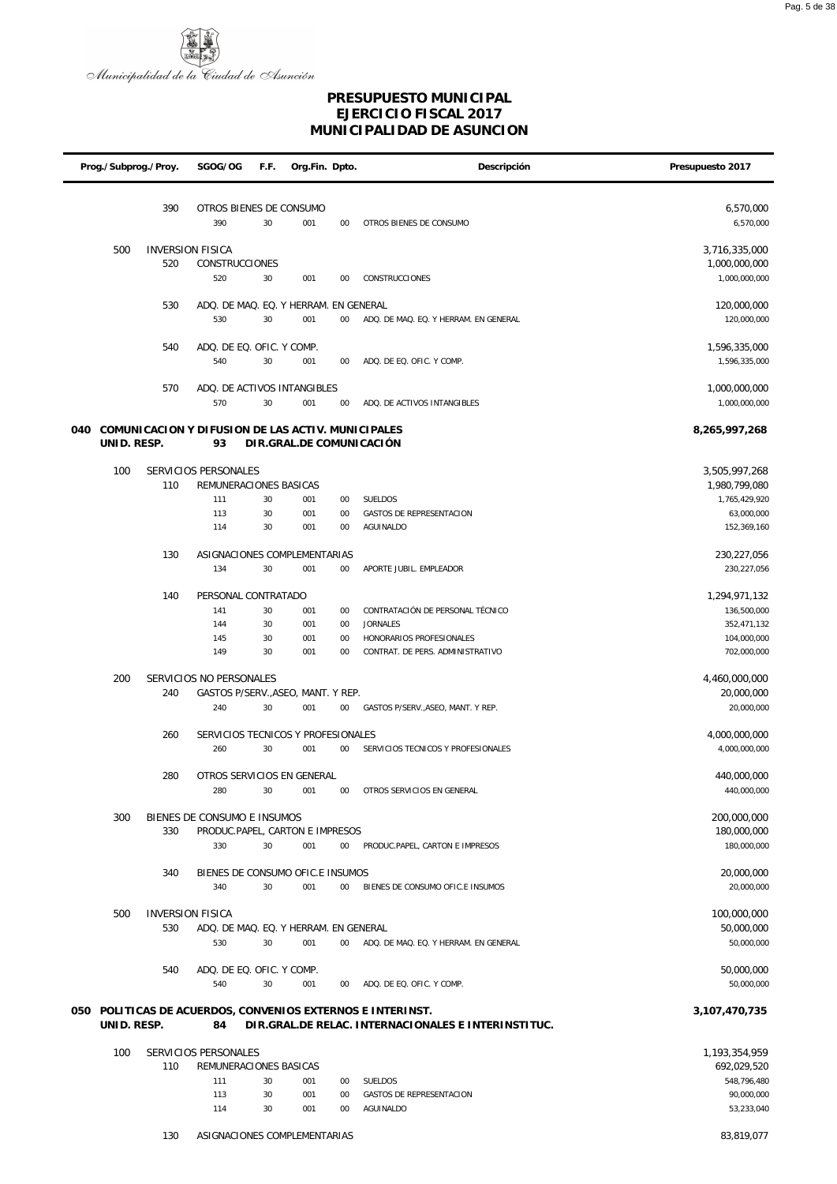

| Prog./Subprog./Proy. |             |     | SGOG/OG                                           | F.F.     | Org.Fin. Dpto.           |          | Descripción                                                | Presupuesto 2017               |
|----------------------|-------------|-----|---------------------------------------------------|----------|--------------------------|----------|------------------------------------------------------------|--------------------------------|
|                      |             | 390 | OTROS BIENES DE CONSUMO                           |          |                          |          |                                                            | 6,570,000                      |
|                      |             |     | 390                                               | 30       | 001                      | 00       | OTROS BIENES DE CONSUMO                                    | 6,570,000                      |
|                      | 500         |     | <b>INVERSION FISICA</b>                           |          |                          |          |                                                            | 3,716,335,000                  |
|                      |             | 520 | CONSTRUCCIONES<br>520                             | 30       | 001                      | 00       | <b>CONSTRUCCIONES</b>                                      | 1,000,000,000<br>1,000,000,000 |
|                      |             |     |                                                   |          |                          |          |                                                            |                                |
|                      |             | 530 | ADQ. DE MAQ. EQ. Y HERRAM. EN GENERAL<br>530      | 30       | 001                      | 00       | ADQ. DE MAQ. EQ. Y HERRAM. EN GENERAL                      | 120,000,000<br>120,000,000     |
|                      |             | 540 |                                                   |          |                          |          |                                                            |                                |
|                      |             |     | ADQ. DE EQ. OFIC. Y COMP.<br>540                  | 30       | 001                      | 00       | ADQ. DE EQ. OFIC. Y COMP.                                  | 1,596,335,000<br>1,596,335,000 |
|                      |             | 570 | ADQ. DE ACTIVOS INTANGIBLES                       |          |                          |          |                                                            | 1,000,000,000                  |
|                      |             |     | 570                                               | 30       | 001                      | 00       | ADQ. DE ACTIVOS INTANGIBLES                                | 1,000,000,000                  |
| 040                  |             |     | COMUNICACION Y DIFUSION DE LAS ACTIV. MUNICIPALES |          |                          |          |                                                            | 8,265,997,268                  |
|                      | UNID. RESP. |     | 93                                                |          | DIR.GRAL.DE COMUNICACIÓN |          |                                                            |                                |
|                      | 100         |     | SERVICIOS PERSONALES                              |          |                          |          |                                                            | 3,505,997,268                  |
|                      |             | 110 | REMUNERACIONES BASICAS                            |          |                          |          |                                                            | 1,980,799,080                  |
|                      |             |     | 111<br>113                                        | 30<br>30 | 001<br>001               | 00<br>00 | SUELDOS<br><b>GASTOS DE REPRESENTACION</b>                 | 1,765,429,920<br>63,000,000    |
|                      |             |     | 114                                               | 30       | 001                      | 00       | <b>AGUINALDO</b>                                           | 152,369,160                    |
|                      |             | 130 | ASIGNACIONES COMPLEMENTARIAS                      |          |                          |          |                                                            | 230, 227, 056                  |
|                      |             |     | 134                                               | 30       | 001                      | 00       | APORTE JUBIL. EMPLEADOR                                    | 230,227,056                    |
|                      |             | 140 | PERSONAL CONTRATADO                               |          |                          |          |                                                            | 1,294,971,132                  |
|                      |             |     | 141                                               | 30       | 001                      | 00       | CONTRATACIÓN DE PERSONAL TÉCNICO                           | 136,500,000                    |
|                      |             |     | 144                                               | 30       | 001                      | 00       | <b>JORNALES</b>                                            | 352,471,132                    |
|                      |             |     | 145                                               | 30       | 001                      | 00       | HONORARIOS PROFESIONALES                                   | 104,000,000                    |
|                      |             |     | 149                                               | 30       | 001                      | 00       | CONTRAT. DE PERS. ADMINISTRATIVO                           | 702,000,000                    |
|                      | 200         |     | SERVICIOS NO PERSONALES                           |          |                          |          |                                                            | 4,460,000,000                  |
|                      |             | 240 | GASTOS P/SERV., ASEO, MANT. Y REP.<br>240         | 30       | 001                      | 00       | GASTOS P/SERV., ASEO, MANT. Y REP.                         | 20,000,000<br>20,000,000       |
|                      |             | 260 | SERVICIOS TECNICOS Y PROFESIONALES                |          |                          |          |                                                            | 4,000,000,000                  |
|                      |             |     | 260                                               | 30       | 001                      | 00       | SERVICIOS TECNICOS Y PROFESIONALES                         | 4,000,000,000                  |
|                      |             | 280 | OTROS SERVICIOS EN GENERAL                        |          |                          |          |                                                            | 440,000,000                    |
|                      |             |     | 280                                               | 30       | 001                      | 00       | OTROS SERVICIOS EN GENERAL                                 | 440,000,000                    |
|                      | 300         |     | BIENES DE CONSUMO E INSUMOS                       |          |                          |          |                                                            | 200,000,000                    |
|                      |             | 330 | PRODUC.PAPEL, CARTON E IMPRESOS                   |          |                          |          |                                                            | 180,000,000                    |
|                      |             |     | 330                                               | 30       | 001                      | $00\,$   | PRODUC.PAPEL, CARTON E IMPRESOS                            | 180,000,000                    |
|                      |             | 340 | BIENES DE CONSUMO OFIC.E INSUMOS                  |          |                          |          |                                                            | 20,000,000                     |
|                      |             |     | 340                                               | 30       | 001                      | 00       | BIENES DE CONSUMO OFIC.E INSUMOS                           | 20,000,000                     |
|                      | 500         |     | <b>INVERSION FISICA</b>                           |          |                          |          |                                                            | 100,000,000                    |
|                      |             | 530 | ADQ. DE MAQ. EQ. Y HERRAM. EN GENERAL             |          |                          |          |                                                            | 50,000,000                     |
|                      |             |     | 530                                               | 30       | 001                      | $00\,$   | ADQ. DE MAQ. EQ. Y HERRAM. EN GENERAL                      | 50,000,000                     |
|                      |             | 540 | ADQ. DE EQ. OFIC. Y COMP.                         |          |                          |          |                                                            | 50,000,000                     |
|                      |             |     | 540                                               | 30       | 001                      | 00       | ADQ. DE EQ. OFIC. Y COMP.                                  | 50,000,000                     |
|                      |             |     |                                                   |          |                          |          | 050 POLITICAS DE ACUERDOS, CONVENIOS EXTERNOS E INTERINST. | 3,107,470,735                  |
|                      | UNID. RESP. |     | 84                                                |          |                          |          | DIR.GRAL.DE RELAC. INTERNACIONALES E INTERINSTITUC.        |                                |
|                      | 100         |     | SERVICIOS PERSONALES                              |          |                          |          |                                                            | 1,193,354,959                  |
|                      |             | 110 | REMUNERACIONES BASICAS                            |          |                          |          |                                                            | 692,029,520                    |
|                      |             |     | 111                                               | 30       | 001                      | 00       | SUELDOS                                                    | 548,796,480                    |
|                      |             |     | 113                                               | 30       | 001                      | 00       | <b>GASTOS DE REPRESENTACION</b>                            | 90,000,000                     |
|                      |             |     | 114                                               | 30       | 001                      | 00       | AGUINALDO                                                  | 53,233,040                     |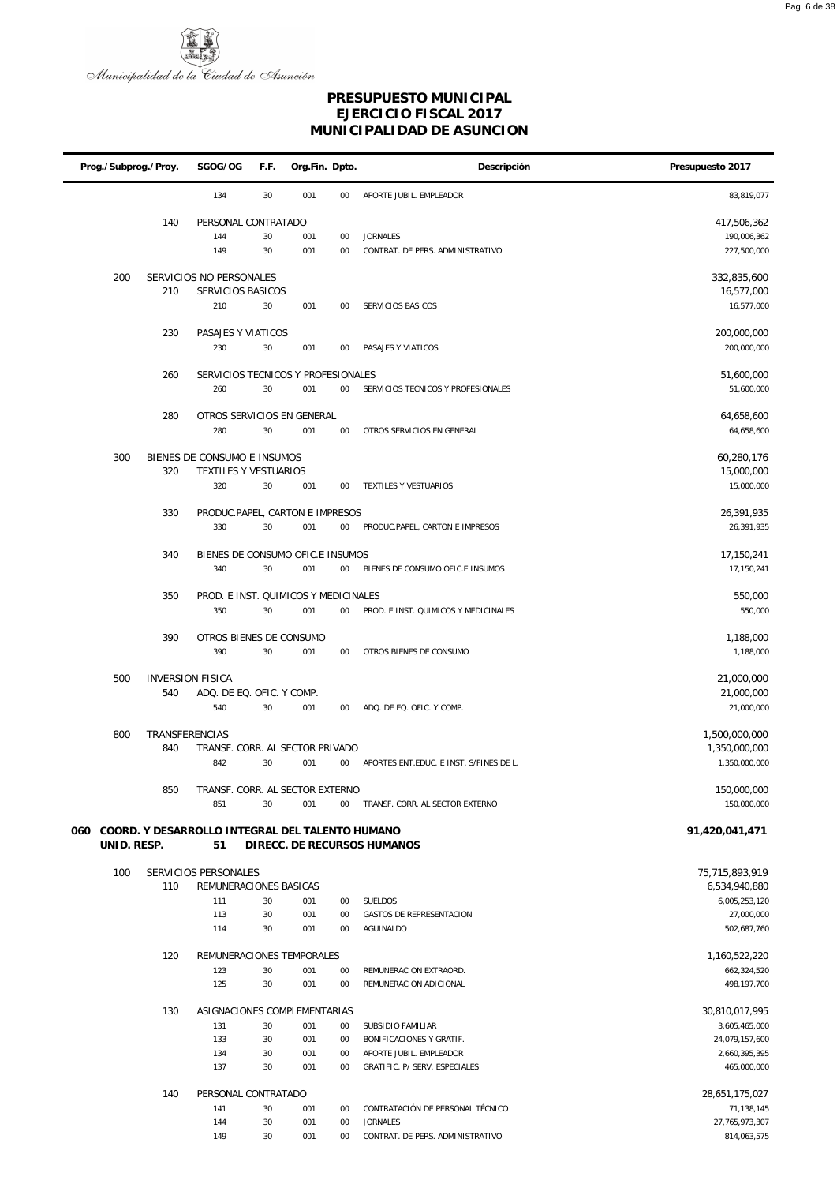

| Prog./Subprog./Proy. |             | SGOG/OG        | F.F.                                                 | Org.Fin. Dpto. |            | Descripción | Presupuesto 2017                                    |                                 |
|----------------------|-------------|----------------|------------------------------------------------------|----------------|------------|-------------|-----------------------------------------------------|---------------------------------|
|                      |             |                | 134                                                  | 30             | 001        | 00          | APORTE JUBIL. EMPLEADOR                             | 83,819,077                      |
|                      |             | 140            | PERSONAL CONTRATADO                                  |                |            |             |                                                     | 417,506,362                     |
|                      |             |                | 144                                                  | 30             | 001        | 00          | <b>JORNALES</b>                                     | 190,006,362                     |
|                      |             |                | 149                                                  | 30             | 001        | 00          | CONTRAT. DE PERS. ADMINISTRATIVO                    | 227,500,000                     |
|                      | 200         |                | SERVICIOS NO PERSONALES                              |                |            |             |                                                     | 332,835,600                     |
|                      |             | 210            | SERVICIOS BASICOS                                    |                |            |             |                                                     | 16,577,000                      |
|                      |             |                | 210                                                  | 30             | 001        | 00          | SERVICIOS BASICOS                                   | 16,577,000                      |
|                      |             |                |                                                      |                |            |             |                                                     |                                 |
|                      |             | 230            | PASAJES Y VIATICOS<br>230                            | 30             | 001        | 00          | PASAJES Y VIATICOS                                  | 200,000,000<br>200,000,000      |
|                      |             |                |                                                      |                |            |             |                                                     |                                 |
|                      |             | 260            | SERVICIOS TECNICOS Y PROFESIONALES                   |                |            |             |                                                     | 51,600,000                      |
|                      |             |                | 260                                                  | 30             | 001        | $00\,$      | SERVICIOS TECNICOS Y PROFESIONALES                  | 51,600,000                      |
|                      |             | 280            | OTROS SERVICIOS EN GENERAL                           |                |            |             |                                                     | 64,658,600                      |
|                      |             |                | 280                                                  | 30             | 001        | 00          | OTROS SERVICIOS EN GENERAL                          | 64,658,600                      |
|                      |             |                |                                                      |                |            |             |                                                     |                                 |
|                      | 300         | 320            | BIENES DE CONSUMO E INSUMOS<br>TEXTILES Y VESTUARIOS |                |            |             |                                                     | 60,280,176<br>15,000,000        |
|                      |             |                | 320                                                  | 30             | 001        | $00\,$      | TEXTILES Y VESTUARIOS                               | 15,000,000                      |
|                      |             |                |                                                      |                |            |             |                                                     |                                 |
|                      |             | 330            | PRODUC.PAPEL, CARTON E IMPRESOS<br>330               | 30             |            | 00          | PRODUC.PAPEL, CARTON E IMPRESOS                     | 26,391,935<br>26,391,935        |
|                      |             |                |                                                      |                | 001        |             |                                                     |                                 |
|                      |             | 340            | BIENES DE CONSUMO OFIC.E INSUMOS                     |                |            |             |                                                     | 17,150,241                      |
|                      |             |                | 340                                                  | 30             | 001        | $00\,$      | BIENES DE CONSUMO OFIC.E INSUMOS                    | 17,150,241                      |
|                      |             | 350            | PROD. E INST. QUIMICOS Y MEDICINALES                 |                |            |             |                                                     | 550,000                         |
|                      |             |                | 350                                                  | 30             | 001        | $00\,$      | PROD. E INST. QUIMICOS Y MEDICINALES                | 550,000                         |
|                      |             |                |                                                      |                |            |             |                                                     |                                 |
|                      |             | 390            | OTROS BIENES DE CONSUMO<br>390                       | 30             | 001        | 00          | OTROS BIENES DE CONSUMO                             | 1,188,000<br>1,188,000          |
|                      |             |                |                                                      |                |            |             |                                                     |                                 |
|                      | 500         |                | <b>INVERSION FISICA</b>                              |                |            |             |                                                     | 21,000,000                      |
|                      |             | 540            | ADQ. DE EQ. OFIC. Y COMP.                            |                |            |             |                                                     | 21,000,000                      |
|                      |             |                | 540                                                  | 30             | 001        | $00\,$      | ADQ. DE EQ. OFIC. Y COMP.                           | 21,000,000                      |
|                      | 800         | TRANSFERENCIAS |                                                      |                |            |             |                                                     | 1,500,000,000                   |
|                      |             | 840            | TRANSF. CORR. AL SECTOR PRIVADO                      |                |            |             |                                                     | 1,350,000,000                   |
|                      |             |                | 842                                                  | 30             | 001        | $00\,$      | APORTES ENT.EDUC. E INST. S/FINES DE L.             | 1,350,000,000                   |
|                      |             | 850            | TRANSF. CORR. AL SECTOR EXTERNO                      |                |            |             |                                                     | 150,000,000                     |
|                      |             |                | 851                                                  | 30             | 001        | $00\,$      | TRANSF. CORR. AL SECTOR EXTERNO                     | 150,000,000                     |
| 060                  |             |                | COORD. Y DESARROLLO INTEGRAL DEL TALENTO HUMANO      |                |            |             |                                                     | 91,420,041,471                  |
|                      | UNID. RESP. |                | 51                                                   |                |            |             | DIRECC. DE RECURSOS HUMANOS                         |                                 |
|                      | 100         |                | SERVICIOS PERSONALES                                 |                |            |             |                                                     | 75,715,893,919                  |
|                      |             | 110            | REMUNERACIONES BASICAS                               |                |            |             |                                                     | 6,534,940,880                   |
|                      |             |                | 111                                                  | 30             | 001<br>001 | 00          | <b>SUELDOS</b>                                      | 6,005,253,120                   |
|                      |             |                | 113<br>114                                           | 30<br>30       | 001        | 00<br>00    | GASTOS DE REPRESENTACION<br>AGUINALDO               | 27,000,000<br>502,687,760       |
|                      |             |                |                                                      |                |            |             |                                                     |                                 |
|                      |             | 120            | REMUNERACIONES TEMPORALES                            |                |            |             |                                                     | 1,160,522,220                   |
|                      |             |                | 123<br>125                                           | 30<br>30       | 001<br>001 | 00<br>00    | REMUNERACION EXTRAORD.<br>REMUNERACION ADICIONAL    | 662,324,520<br>498, 197, 700    |
|                      |             |                |                                                      |                |            |             |                                                     |                                 |
|                      |             | 130            | ASIGNACIONES COMPLEMENTARIAS                         |                |            |             |                                                     | 30,810,017,995                  |
|                      |             |                | 131                                                  | 30             | 001        | 00          | SUBSIDIO FAMILIAR                                   | 3,605,465,000                   |
|                      |             |                | 133<br>134                                           | 30<br>30       | 001<br>001 | 00<br>00    | BONIFICACIONES Y GRATIF.<br>APORTE JUBIL. EMPLEADOR | 24,079,157,600<br>2,660,395,395 |
|                      |             |                | 137                                                  | 30             | 001        | 00          | GRATIFIC. P/ SERV. ESPECIALES                       | 465,000,000                     |
|                      |             |                |                                                      |                |            |             |                                                     |                                 |
|                      |             | 140            | PERSONAL CONTRATADO<br>141                           | 30             | 001        | 00          | CONTRATACIÓN DE PERSONAL TÉCNICO                    | 28,651,175,027<br>71,138,145    |
|                      |             |                | 144                                                  | 30             | 001        | 00          | <b>JORNALES</b>                                     | 27,765,973,307                  |
|                      |             |                | 149                                                  | 30             | 001        | $00\,$      | CONTRAT. DE PERS. ADMINISTRATIVO                    | 814,063,575                     |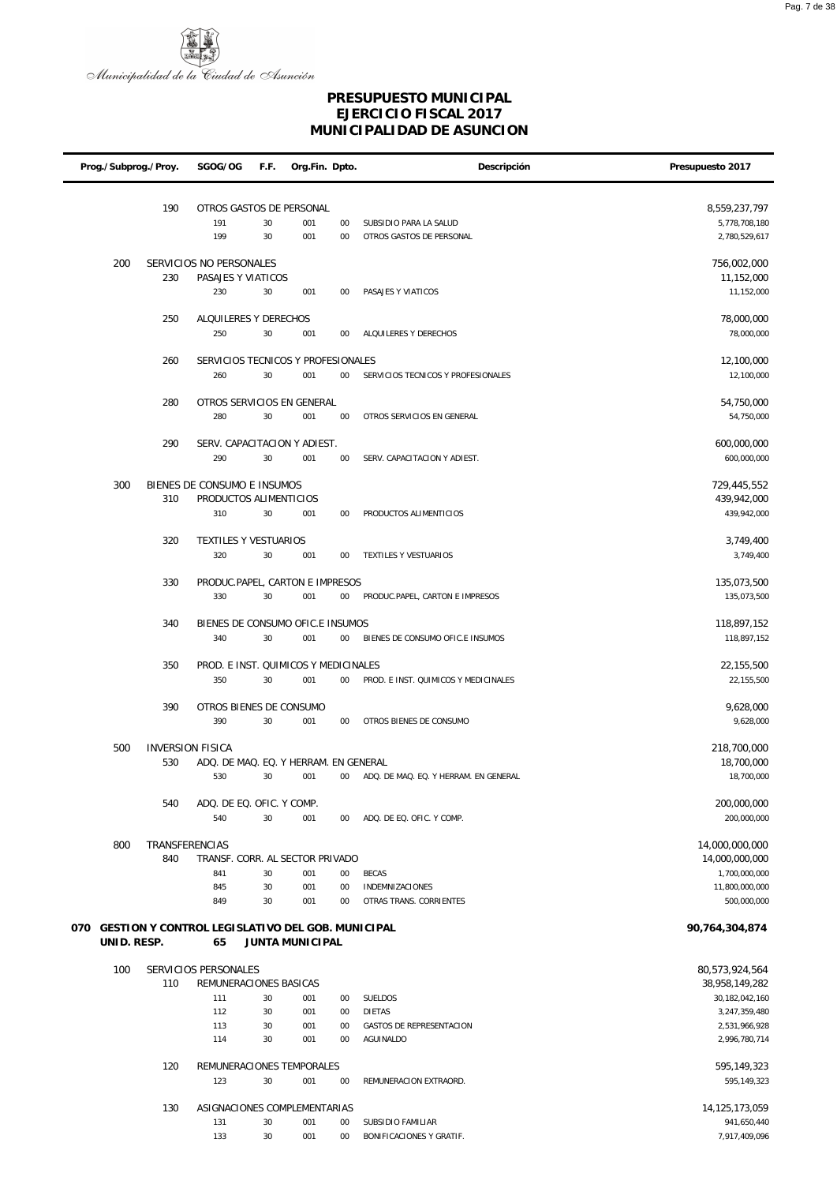

| Prog./Subprog./Proy.                                 |                       | SGOG/OG                                      | F.F. | Org.Fin. Dpto.  |          | Descripción                           | Presupuesto 2017                 |
|------------------------------------------------------|-----------------------|----------------------------------------------|------|-----------------|----------|---------------------------------------|----------------------------------|
|                                                      |                       |                                              |      |                 |          |                                       |                                  |
|                                                      | 190                   | OTROS GASTOS DE PERSONAL                     |      |                 |          |                                       | 8,559,237,797                    |
|                                                      |                       | 191                                          | 30   | 001             | 00       | SUBSIDIO PARA LA SALUD                | 5,778,708,180                    |
|                                                      |                       | 199                                          | 30   | 001             | 00       | OTROS GASTOS DE PERSONAL              | 2,780,529,617                    |
| 200                                                  |                       | SERVICIOS NO PERSONALES                      |      |                 |          |                                       | 756,002,000                      |
|                                                      | 230                   | PASAJES Y VIATICOS                           |      |                 |          |                                       | 11,152,000                       |
|                                                      |                       | 230                                          | 30   | 001             | 00       | PASAJES Y VIATICOS                    | 11,152,000                       |
|                                                      |                       |                                              |      |                 |          |                                       |                                  |
|                                                      | 250                   | ALQUILERES Y DERECHOS                        |      |                 |          |                                       | 78,000,000                       |
|                                                      |                       | 250                                          | 30   | 001             | 00       | ALQUILERES Y DERECHOS                 | 78,000,000                       |
|                                                      | 260                   | SERVICIOS TECNICOS Y PROFESIONALES           |      |                 |          |                                       | 12,100,000                       |
|                                                      |                       | 260                                          | 30   | 001             | $00\,$   | SERVICIOS TECNICOS Y PROFESIONALES    | 12,100,000                       |
|                                                      |                       |                                              |      |                 |          |                                       |                                  |
|                                                      | 280                   | OTROS SERVICIOS EN GENERAL                   |      |                 |          |                                       | 54,750,000                       |
|                                                      |                       | 280                                          | 30   | 001             | 00       | OTROS SERVICIOS EN GENERAL            | 54,750,000                       |
|                                                      | 290                   | SERV. CAPACITACION Y ADIEST.                 |      |                 |          |                                       | 600,000,000                      |
|                                                      |                       | 290                                          | 30   | 001             | 00       | SERV. CAPACITACION Y ADIEST.          | 600,000,000                      |
|                                                      |                       |                                              |      |                 |          |                                       |                                  |
| 300                                                  |                       | BIENES DE CONSUMO E INSUMOS                  |      |                 |          |                                       | 729,445,552                      |
|                                                      | 310                   | PRODUCTOS ALIMENTICIOS                       |      |                 |          |                                       | 439,942,000                      |
|                                                      |                       | 310                                          | 30   | 001             | $00\,$   | PRODUCTOS ALIMENTICIOS                | 439,942,000                      |
|                                                      | 320                   | TEXTILES Y VESTUARIOS                        |      |                 |          |                                       | 3,749,400                        |
|                                                      |                       | 320                                          | 30   | 001             | 00       | TEXTILES Y VESTUARIOS                 | 3,749,400                        |
|                                                      |                       |                                              |      |                 |          |                                       |                                  |
|                                                      | 330                   | PRODUC.PAPEL, CARTON E IMPRESOS              |      |                 |          |                                       | 135,073,500                      |
|                                                      |                       | 330                                          | 30   | 001             | $00\,$   | PRODUC.PAPEL, CARTON E IMPRESOS       | 135,073,500                      |
|                                                      | 340                   | BIENES DE CONSUMO OFIC.E INSUMOS             |      |                 |          |                                       | 118,897,152                      |
|                                                      |                       | 340                                          | 30   | 001             | $00\,$   | BIENES DE CONSUMO OFIC.E INSUMOS      | 118,897,152                      |
|                                                      |                       |                                              |      |                 |          |                                       |                                  |
|                                                      | 350                   | PROD. E INST. QUIMICOS Y MEDICINALES         |      |                 |          |                                       | 22,155,500                       |
|                                                      |                       | 350                                          | 30   | 001             | $00\,$   | PROD. E INST. QUIMICOS Y MEDICINALES  | 22,155,500                       |
|                                                      | 390                   | OTROS BIENES DE CONSUMO                      |      |                 |          |                                       | 9,628,000                        |
|                                                      |                       | 390                                          | 30   | 001             | $00\,$   | OTROS BIENES DE CONSUMO               | 9,628,000                        |
|                                                      |                       |                                              |      |                 |          |                                       |                                  |
| 500                                                  |                       | <b>INVERSION FISICA</b>                      |      |                 |          |                                       | 218,700,000                      |
|                                                      | 530                   | ADQ. DE MAQ. EQ. Y HERRAM. EN GENERAL<br>530 | 30   | 001             | 00       | ADQ. DE MAQ. EQ. Y HERRAM. EN GENERAL | 18,700,000<br>18,700,000         |
|                                                      |                       |                                              |      |                 |          |                                       |                                  |
|                                                      | 540                   | ADQ. DE EQ. OFIC. Y COMP.                    |      |                 |          |                                       | 200,000,000                      |
|                                                      |                       | 540                                          | 30   | 001             | $00\,$   | ADQ. DE EQ. OFIC. Y COMP.             | 200,000,000                      |
|                                                      |                       |                                              |      |                 |          |                                       |                                  |
| 800                                                  | TRANSFERENCIAS<br>840 | TRANSF. CORR. AL SECTOR PRIVADO              |      |                 |          |                                       | 14,000,000,000<br>14,000,000,000 |
|                                                      |                       | 841                                          | 30   | 001             | 00       | <b>BECAS</b>                          | 1,700,000,000                    |
|                                                      |                       | 845                                          | 30   | 001             | $00\,$   | <b>INDEMNIZACIONES</b>                | 11,800,000,000                   |
|                                                      |                       | 849                                          | 30   | 001             | 00       | OTRAS TRANS. CORRIENTES               | 500,000,000                      |
|                                                      |                       |                                              |      |                 |          |                                       |                                  |
| 070 GESTION Y CONTROL LEGISLATIVO DEL GOB. MUNICIPAL |                       |                                              |      |                 |          |                                       | 90,764,304,874                   |
| UNID. RESP.                                          |                       | 65                                           |      | JUNTA MUNICIPAL |          |                                       |                                  |
| 100                                                  |                       | SERVICIOS PERSONALES                         |      |                 |          |                                       | 80,573,924,564                   |
|                                                      | 110                   | REMUNERACIONES BASICAS                       |      |                 |          |                                       | 38,958,149,282                   |
|                                                      |                       | 111                                          | 30   | 001             | 00       | SUELDOS                               | 30,182,042,160                   |
|                                                      |                       | 112                                          | 30   | 001             | $00\,$   | <b>DIETAS</b>                         | 3,247,359,480                    |
|                                                      |                       | 113                                          | 30   | 001<br>001      | 00<br>00 | GASTOS DE REPRESENTACION              | 2,531,966,928<br>2,996,780,714   |
|                                                      |                       | 114                                          | 30   |                 |          | AGUINALDO                             |                                  |
|                                                      | 120                   | REMUNERACIONES TEMPORALES                    |      |                 |          |                                       | 595,149,323                      |
|                                                      |                       | 123                                          | 30   | 001             | 00       | REMUNERACION EXTRAORD.                | 595,149,323                      |
|                                                      |                       |                                              |      |                 |          |                                       |                                  |
|                                                      | 130                   | ASIGNACIONES COMPLEMENTARIAS<br>131          | 30   | 001             | 00       | SUBSIDIO FAMILIAR                     | 14,125,173,059<br>941,650,440    |
|                                                      |                       | 133                                          | 30   | 001             | $00\,$   | BONIFICACIONES Y GRATIF.              | 7,917,409,096                    |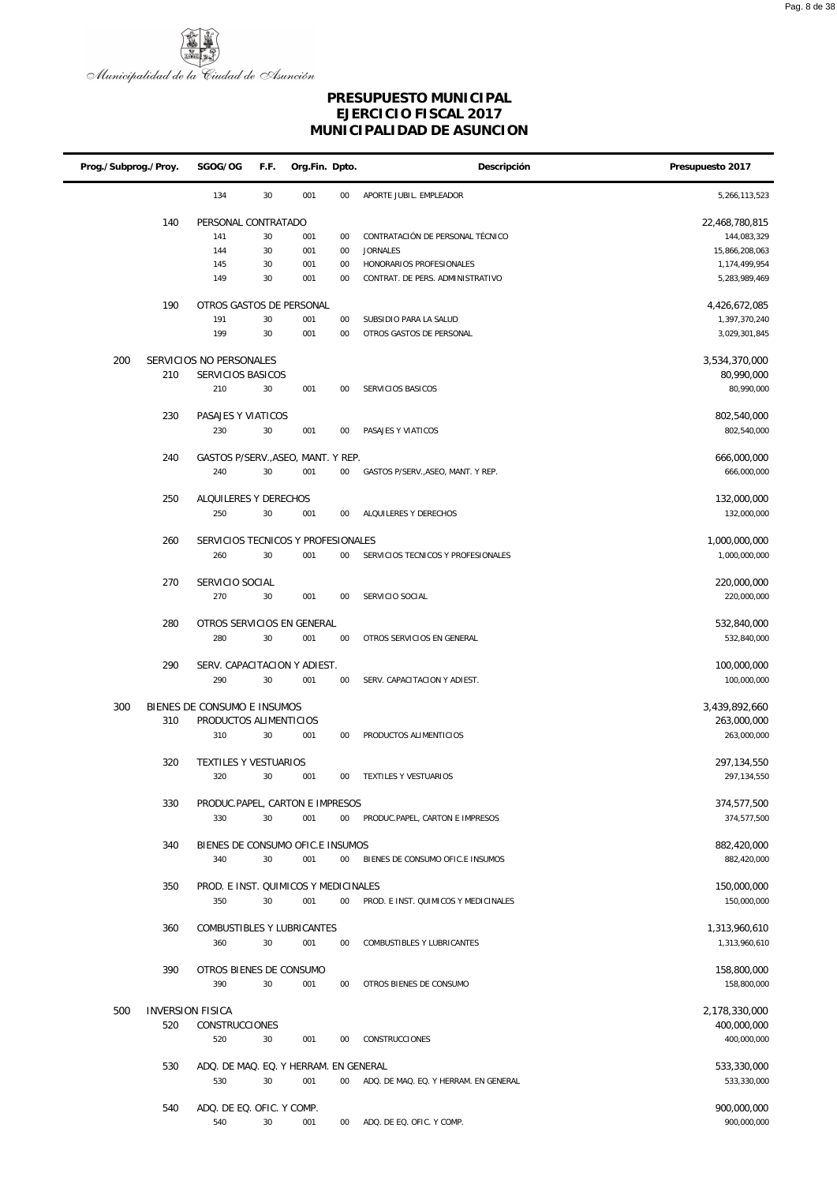

| Prog./Subprog./Proy. |                         | SGOG/OG                                      | F.F.   | Org.Fin. Dpto. | Descripción | Presupuesto 2017                                   |                                |
|----------------------|-------------------------|----------------------------------------------|--------|----------------|-------------|----------------------------------------------------|--------------------------------|
|                      |                         | 134                                          | 30     | 001            | $00\,$      | APORTE JUBIL. EMPLEADOR                            | 5,266,113,523                  |
|                      | 140                     | PERSONAL CONTRATADO                          |        |                |             |                                                    | 22,468,780,815                 |
|                      |                         | 141                                          | 30     | 001            | $00\,$      | CONTRATACIÓN DE PERSONAL TÉCNICO                   | 144,083,329                    |
|                      |                         | 144                                          | 30     | 001            | $00\,$      | <b>JORNALES</b>                                    | 15,866,208,063                 |
|                      |                         | 145                                          | 30     | 001            | $00\,$      | HONORARIOS PROFESIONALES                           | 1,174,499,954                  |
|                      |                         | 149                                          | 30     | 001            | 00          | CONTRAT. DE PERS. ADMINISTRATIVO                   | 5,283,989,469                  |
|                      |                         |                                              |        |                |             |                                                    |                                |
|                      | 190                     | OTROS GASTOS DE PERSONAL                     |        |                |             |                                                    | 4,426,672,085                  |
|                      |                         | 191<br>199                                   | $30\,$ | 001            | 00          | SUBSIDIO PARA LA SALUD<br>OTROS GASTOS DE PERSONAL | 1,397,370,240                  |
|                      |                         |                                              | 30     | 001            | $00\,$      |                                                    | 3,029,301,845                  |
| 200                  | 210                     | SERVICIOS NO PERSONALES<br>SERVICIOS BASICOS |        |                |             |                                                    | 3,534,370,000<br>80,990,000    |
|                      |                         | 210                                          | 30     | 001            | 00          | SERVICIOS BASICOS                                  | 80,990,000                     |
|                      |                         |                                              |        |                |             |                                                    |                                |
|                      | 230                     | PASAJES Y VIATICOS                           |        |                |             |                                                    | 802,540,000                    |
|                      |                         | 230                                          | $30\,$ | 001            | 00          | PASAJES Y VIATICOS                                 | 802,540,000                    |
|                      | 240                     | GASTOS P/SERV., ASEO, MANT. Y REP.           |        |                |             |                                                    | 666,000,000                    |
|                      |                         | 240                                          | 30     | 001            | $00\,$      | GASTOS P/SERV., ASEO, MANT. Y REP.                 | 666,000,000                    |
|                      |                         |                                              |        |                |             |                                                    |                                |
|                      | 250                     | ALQUILERES Y DERECHOS                        |        |                |             |                                                    | 132,000,000                    |
|                      |                         | 250                                          | 30     | 001            | 00          | ALQUILERES Y DERECHOS                              | 132,000,000                    |
|                      |                         |                                              |        |                |             |                                                    |                                |
|                      | 260                     | SERVICIOS TECNICOS Y PROFESIONALES           |        |                |             |                                                    | 1,000,000,000                  |
|                      |                         | 260                                          | 30     | 001            | $00\,$      | SERVICIOS TECNICOS Y PROFESIONALES                 | 1,000,000,000                  |
|                      | 270                     | SERVICIO SOCIAL                              |        |                |             |                                                    | 220,000,000                    |
|                      |                         | 270                                          | 30     | 001            | 00          | SERVICIO SOCIAL                                    | 220,000,000                    |
|                      |                         |                                              |        |                |             |                                                    |                                |
|                      | 280                     | OTROS SERVICIOS EN GENERAL                   |        |                |             |                                                    | 532,840,000                    |
|                      |                         | 280                                          | 30     | 001            | 00          | OTROS SERVICIOS EN GENERAL                         | 532,840,000                    |
|                      |                         |                                              |        |                |             |                                                    |                                |
|                      | 290                     | SERV. CAPACITACION Y ADIEST.                 |        |                |             |                                                    | 100,000,000                    |
|                      |                         | 290                                          | 30     | 001            | 00          | SERV. CAPACITACION Y ADIEST.                       | 100,000,000                    |
| 300                  |                         | BIENES DE CONSUMO E INSUMOS                  |        |                |             |                                                    | 3,439,892,660                  |
|                      | 310                     | PRODUCTOS ALIMENTICIOS                       |        |                |             |                                                    | 263,000,000                    |
|                      |                         | 310                                          | 30     | 001            | 00          | PRODUCTOS ALIMENTICIOS                             | 263,000,000                    |
|                      |                         |                                              |        |                |             |                                                    |                                |
|                      | 320                     | TEXTILES Y VESTUARIOS                        |        |                |             |                                                    | 297,134,550                    |
|                      |                         | 320                                          | 30     | 001            | $00\,$      | TEXTILES Y VESTUARIOS                              | 297,134,550                    |
|                      |                         |                                              |        |                |             |                                                    |                                |
|                      | 330                     | PRODUC.PAPEL, CARTON E IMPRESOS<br>330       | 30     | 001            |             |                                                    | 374,577,500                    |
|                      |                         |                                              |        |                | $00\,$      | PRODUC.PAPEL, CARTON E IMPRESOS                    | 374,577,500                    |
|                      | 340                     | BIENES DE CONSUMO OFIC.E INSUMOS             |        |                |             |                                                    | 882,420,000                    |
|                      |                         | 340                                          | 30     | 001            | 00          | BIENES DE CONSUMO OFIC.E INSUMOS                   | 882,420,000                    |
|                      |                         |                                              |        |                |             |                                                    |                                |
|                      | 350                     | PROD. E INST. QUIMICOS Y MEDICINALES         |        |                |             |                                                    | 150,000,000                    |
|                      |                         | 350                                          | 30     | 001            | $00\,$      | PROD. E INST. QUIMICOS Y MEDICINALES               | 150,000,000                    |
|                      |                         |                                              |        |                |             |                                                    |                                |
|                      | 360                     | COMBUSTIBLES Y LUBRICANTES<br>360            | 30     | 001            | $00\,$      | COMBUSTIBLES Y LUBRICANTES                         | 1,313,960,610<br>1,313,960,610 |
|                      |                         |                                              |        |                |             |                                                    |                                |
|                      | 390                     | OTROS BIENES DE CONSUMO                      |        |                |             |                                                    | 158,800,000                    |
|                      |                         | 390                                          | 30     | 001            | $00\,$      | OTROS BIENES DE CONSUMO                            | 158,800,000                    |
|                      |                         |                                              |        |                |             |                                                    |                                |
| 500                  | <b>INVERSION FISICA</b> |                                              |        |                |             |                                                    | 2,178,330,000                  |
|                      | 520                     | CONSTRUCCIONES                               |        |                |             |                                                    | 400,000,000                    |
|                      |                         | 520                                          | 30     | 001            | 00          | CONSTRUCCIONES                                     | 400,000,000                    |
|                      | 530                     | ADQ. DE MAQ. EQ. Y HERRAM. EN GENERAL        |        |                |             |                                                    | 533,330,000                    |
|                      |                         | 530                                          | 30     | 001            | 00          | ADQ. DE MAQ. EQ. Y HERRAM. EN GENERAL              | 533,330,000                    |
|                      |                         |                                              |        |                |             |                                                    |                                |
|                      | 540                     | ADQ. DE EQ. OFIC. Y COMP.                    |        |                |             |                                                    | 900,000,000                    |
|                      |                         | 540                                          | 30     | 001            | $00\,$      | ADQ. DE EQ. OFIC. Y COMP.                          | 900,000,000                    |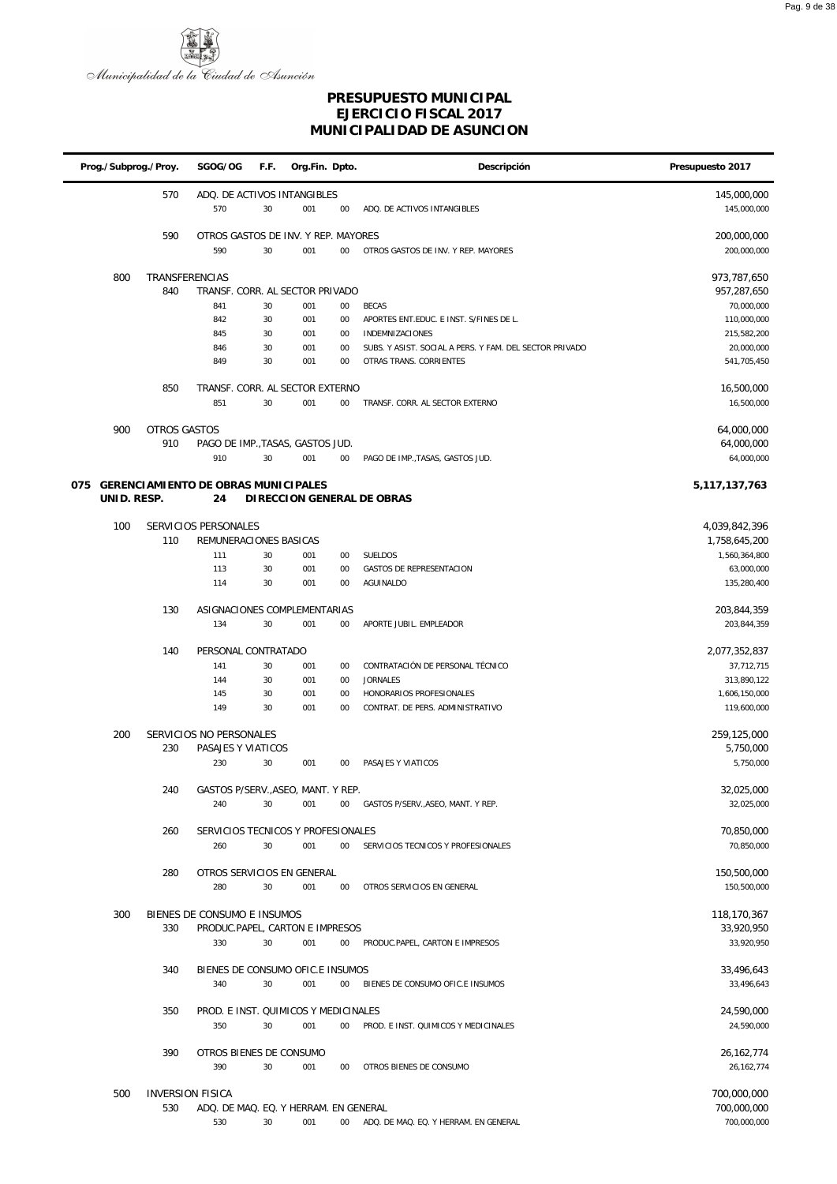

| Prog./Subprog./Proy. |                     | SGOG/OG                                 | F.F.     | Org.Fin. Dpto. |              | Descripción                                             | Presupuesto 2017             |
|----------------------|---------------------|-----------------------------------------|----------|----------------|--------------|---------------------------------------------------------|------------------------------|
|                      | 570                 | ADQ. DE ACTIVOS INTANGIBLES             |          |                |              |                                                         | 145,000,000                  |
|                      |                     | 570                                     | 30       | 001            | 00           | ADQ. DE ACTIVOS INTANGIBLES                             | 145,000,000                  |
|                      | 590                 | OTROS GASTOS DE INV. Y REP. MAYORES     |          |                |              |                                                         | 200,000,000                  |
|                      |                     | 590                                     | 30       | 001            | $00\,$       | OTROS GASTOS DE INV. Y REP. MAYORES                     | 200,000,000                  |
|                      |                     |                                         |          |                |              |                                                         |                              |
| 800                  |                     | TRANSFERENCIAS                          |          |                |              |                                                         | 973,787,650                  |
|                      | 840                 | TRANSF. CORR. AL SECTOR PRIVADO<br>841  | 30       |                |              |                                                         | 957,287,650                  |
|                      |                     | 842                                     | 30       | 001<br>001     | $00\,$<br>00 | <b>BECAS</b><br>APORTES ENT.EDUC. E INST. S/FINES DE L. | 70,000,000<br>110,000,000    |
|                      |                     | 845                                     | 30       | 001            | 00           | INDEMNIZACIONES                                         | 215,582,200                  |
|                      |                     | 846                                     | 30       | 001            | 00           | SUBS. Y ASIST. SOCIAL A PERS. Y FAM. DEL SECTOR PRIVADO | 20,000,000                   |
|                      |                     | 849                                     | 30       | 001            | 00           | OTRAS TRANS. CORRIENTES                                 | 541,705,450                  |
|                      |                     |                                         |          |                |              |                                                         |                              |
|                      | 850                 | TRANSF. CORR. AL SECTOR EXTERNO<br>851  | 30       | 001            | 00           | TRANSF. CORR. AL SECTOR EXTERNO                         | 16,500,000<br>16,500,000     |
|                      |                     |                                         |          |                |              |                                                         |                              |
| 900                  | <b>OTROS GASTOS</b> |                                         |          |                |              |                                                         | 64,000,000                   |
|                      | 910                 | PAGO DE IMP., TASAS, GASTOS JUD.        |          |                |              |                                                         | 64,000,000                   |
|                      |                     | 910                                     | 30       | 001            | $00\,$       | PAGO DE IMP., TASAS, GASTOS JUD.                        | 64,000,000                   |
| 075                  |                     | GERENCIAMIENTO DE OBRAS MUNICIPALES     |          |                |              |                                                         | 5,117,137,763                |
| UNID. RESP.          |                     | 24                                      |          |                |              | DIRECCION GENERAL DE OBRAS                              |                              |
|                      |                     |                                         |          |                |              |                                                         |                              |
| 100                  |                     | SERVICIOS PERSONALES                    |          |                |              |                                                         | 4,039,842,396                |
|                      | 110                 | REMUNERACIONES BASICAS                  |          |                |              |                                                         | 1,758,645,200                |
|                      |                     | 111                                     | 30       | 001            | 00           | SUELDOS                                                 | 1,560,364,800                |
|                      |                     | 113<br>114                              | 30<br>30 | 001<br>001     | 00<br>00     | <b>GASTOS DE REPRESENTACION</b><br>AGUINALDO            | 63,000,000<br>135,280,400    |
|                      |                     |                                         |          |                |              |                                                         |                              |
|                      | 130                 | ASIGNACIONES COMPLEMENTARIAS            |          |                |              |                                                         | 203,844,359                  |
|                      |                     | 134                                     | 30       | 001            | 00           | APORTE JUBIL. EMPLEADOR                                 | 203,844,359                  |
|                      | 140                 | PERSONAL CONTRATADO                     |          |                |              |                                                         | 2,077,352,837                |
|                      |                     | 141                                     | 30       | 001            | 00           | CONTRATACIÓN DE PERSONAL TÉCNICO                        | 37,712,715                   |
|                      |                     | 144                                     | 30       | 001            | 00           | <b>JORNALES</b>                                         | 313,890,122                  |
|                      |                     | 145                                     | 30       | 001            | 00           | HONORARIOS PROFESIONALES                                | 1,606,150,000                |
|                      |                     | 149                                     | 30       | 001            | 00           | CONTRAT. DE PERS. ADMINISTRATIVO                        | 119,600,000                  |
| 200                  |                     | SERVICIOS NO PERSONALES                 |          |                |              |                                                         | 259,125,000                  |
|                      | 230                 | PASAJES Y VIATICOS                      |          |                |              |                                                         | 5,750,000                    |
|                      |                     | 230                                     | 30       | 001            | 00           | PASAJES Y VIATICOS                                      | 5,750,000                    |
|                      |                     |                                         |          |                |              |                                                         |                              |
|                      | 240                 | GASTOS P/SERV., ASEO, MANT. Y REP.      |          |                |              |                                                         | 32,025,000                   |
|                      |                     | 240                                     | 30       | 001            | $00\,$       | GASTOS P/SERV., ASEO, MANT. Y REP.                      | 32,025,000                   |
|                      | 260                 | SERVICIOS TECNICOS Y PROFESIONALES      |          |                |              |                                                         | 70,850,000                   |
|                      |                     | 260                                     | 30       | 001            | 00           | SERVICIOS TECNICOS Y PROFESIONALES                      | 70,850,000                   |
|                      |                     |                                         |          |                |              |                                                         |                              |
|                      | 280                 | OTROS SERVICIOS EN GENERAL              |          |                |              |                                                         | 150,500,000                  |
|                      |                     | 280                                     | 30       | 001            | 00           | OTROS SERVICIOS EN GENERAL                              | 150,500,000                  |
| 300                  |                     | BIENES DE CONSUMO E INSUMOS             |          |                |              |                                                         | 118,170,367                  |
|                      | 330                 | PRODUC.PAPEL, CARTON E IMPRESOS         |          |                |              |                                                         | 33,920,950                   |
|                      |                     | 330                                     | 30       | 001            | 00           | PRODUC.PAPEL, CARTON E IMPRESOS                         | 33,920,950                   |
|                      |                     |                                         |          |                |              |                                                         |                              |
|                      | 340                 | BIENES DE CONSUMO OFIC.E INSUMOS<br>340 | 30       | 001            | $00\,$       | BIENES DE CONSUMO OFIC.E INSUMOS                        | 33,496,643<br>33,496,643     |
|                      |                     |                                         |          |                |              |                                                         |                              |
|                      | 350                 | PROD. E INST. QUIMICOS Y MEDICINALES    |          |                |              |                                                         | 24,590,000                   |
|                      |                     | 350                                     | 30       | 001            | 00           | PROD. E INST. QUIMICOS Y MEDICINALES                    | 24,590,000                   |
|                      |                     |                                         |          |                |              |                                                         |                              |
|                      | 390                 | OTROS BIENES DE CONSUMO<br>390          | 30       | 001            | 00           | OTROS BIENES DE CONSUMO                                 | 26, 162, 774<br>26, 162, 774 |
|                      |                     |                                         |          |                |              |                                                         |                              |
| 500                  |                     | <b>INVERSION FISICA</b>                 |          |                |              |                                                         | 700,000,000                  |
|                      | 530                 | ADQ. DE MAQ. EQ. Y HERRAM. EN GENERAL   |          |                |              |                                                         | 700,000,000                  |
|                      |                     | 530                                     | 30       | 001            | $00\,$       | ADQ. DE MAQ. EQ. Y HERRAM. EN GENERAL                   | 700,000,000                  |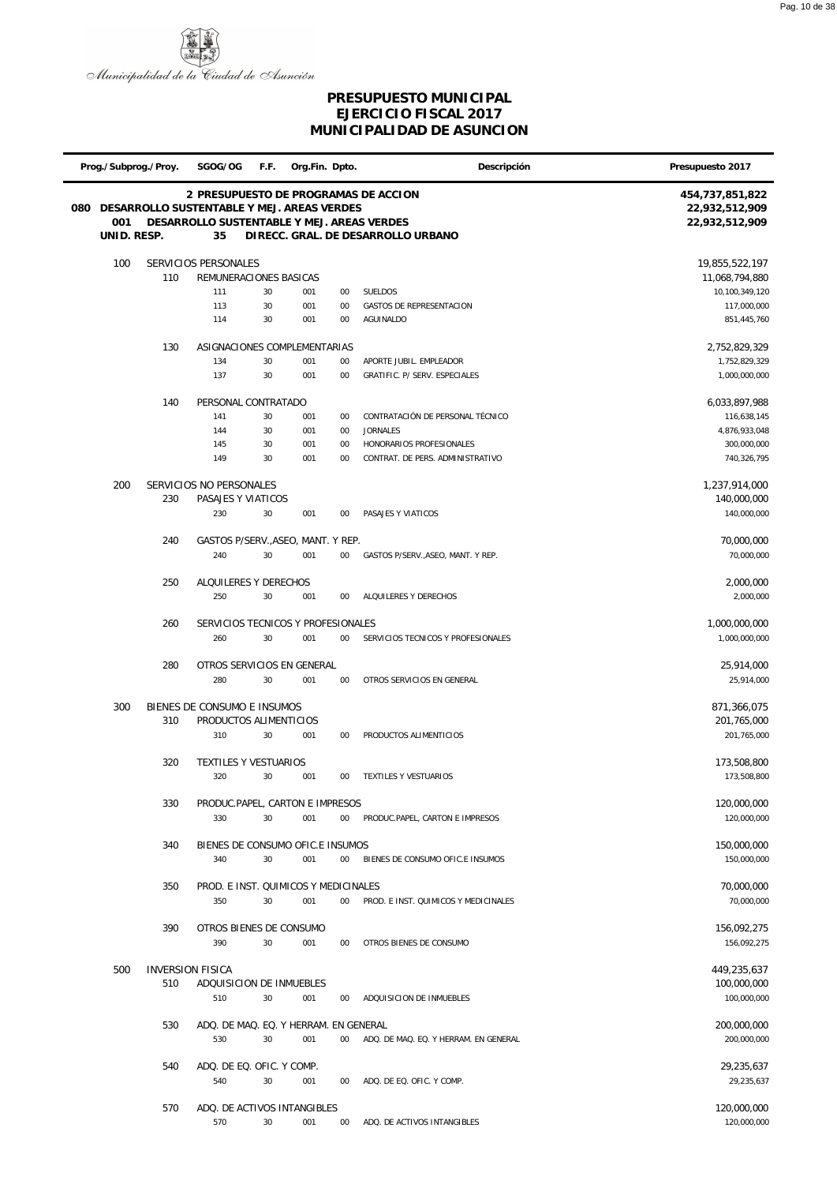

| Prog./Subprog./Proy. |                         | SGOG/OG                                    | F.F. | Org.Fin. Dpto. |        | Descripción                           | Presupuesto 2017           |
|----------------------|-------------------------|--------------------------------------------|------|----------------|--------|---------------------------------------|----------------------------|
|                      |                         |                                            |      |                |        | 2 PRESUPUESTO DE PROGRAMAS DE ACCION  | 454,737,851,822            |
| 080                  |                         | DESARROLLO SUSTENTABLE Y MEJ. AREAS VERDES |      |                |        |                                       | 22,932,512,909             |
| 001                  |                         | DESARROLLO SUSTENTABLE Y MEJ. AREAS VERDES |      |                |        |                                       | 22,932,512,909             |
| UNID. RESP.          |                         | 35                                         |      |                |        | DIRECC. GRAL. DE DESARROLLO URBANO    |                            |
| 100                  |                         | SERVICIOS PERSONALES                       |      |                |        |                                       | 19,855,522,197             |
|                      | 110                     | REMUNERACIONES BASICAS                     |      |                |        |                                       | 11,068,794,880             |
|                      |                         | 111                                        | 30   | 001            | 00     | SUELDOS                               | 10,100,349,120             |
|                      |                         | 113                                        | 30   | 001            | 00     | <b>GASTOS DE REPRESENTACION</b>       | 117,000,000                |
|                      |                         | 114                                        | 30   | 001            | 00     | <b>AGUINALDO</b>                      | 851,445,760                |
|                      | 130                     | ASIGNACIONES COMPLEMENTARIAS               |      |                |        |                                       | 2,752,829,329              |
|                      |                         | 134                                        | 30   | 001            | 00     | APORTE JUBIL. EMPLEADOR               | 1,752,829,329              |
|                      |                         | 137                                        | 30   | 001            | 00     | GRATIFIC. P/ SERV. ESPECIALES         | 1,000,000,000              |
|                      | 140                     | PERSONAL CONTRATADO                        |      |                |        |                                       | 6,033,897,988              |
|                      |                         | 141                                        | 30   | 001            | 00     | CONTRATACIÓN DE PERSONAL TÉCNICO      | 116,638,145                |
|                      |                         | 144                                        | 30   | 001            | 00     | <b>JORNALES</b>                       | 4,876,933,048              |
|                      |                         | 145                                        | 30   | 001            | 00     | HONORARIOS PROFESIONALES              | 300,000,000                |
|                      |                         | 149                                        | 30   | 001            | 00     | CONTRAT. DE PERS. ADMINISTRATIVO      | 740,326,795                |
| 200                  |                         | SERVICIOS NO PERSONALES                    |      |                |        |                                       | 1,237,914,000              |
|                      | 230                     | PASAJES Y VIATICOS                         |      |                |        |                                       | 140,000,000                |
|                      |                         | 230                                        | 30   | 001            | 00     | PASAJES Y VIATICOS                    | 140,000,000                |
|                      |                         |                                            |      |                |        |                                       |                            |
|                      | 240                     | GASTOS P/SERV., ASEO, MANT. Y REP.         |      |                |        |                                       | 70,000,000                 |
|                      |                         | 240                                        | 30   | 001            | $00\,$ | GASTOS P/SERV., ASEO, MANT. Y REP.    | 70,000,000                 |
|                      | 250                     | ALQUILERES Y DERECHOS                      |      |                |        |                                       | 2,000,000                  |
|                      |                         | 250                                        | 30   | 001            | 00     | ALQUILERES Y DERECHOS                 | 2,000,000                  |
|                      | 260                     | SERVICIOS TECNICOS Y PROFESIONALES         |      |                |        |                                       | 1,000,000,000              |
|                      |                         | 260                                        | 30   | 001            | $00\,$ | SERVICIOS TECNICOS Y PROFESIONALES    | 1,000,000,000              |
|                      |                         |                                            |      |                |        |                                       |                            |
|                      | 280                     | OTROS SERVICIOS EN GENERAL<br>280          | 30   | 001            | 00     | OTROS SERVICIOS EN GENERAL            | 25,914,000                 |
|                      |                         |                                            |      |                |        |                                       | 25,914,000                 |
| 300                  |                         | BIENES DE CONSUMO E INSUMOS                |      |                |        |                                       | 871,366,075                |
|                      | 310                     | PRODUCTOS ALIMENTICIOS                     |      |                |        |                                       | 201,765,000                |
|                      |                         | 310                                        | 30   | 001            | 00     | PRODUCTOS ALIMENTICIOS                | 201,765,000                |
|                      | 320                     | TEXTILES Y VESTUARIOS                      |      |                |        |                                       | 173,508,800                |
|                      |                         | 320                                        | 30   | 001            | 00     | TEXTILES Y VESTUARIOS                 | 173,508,800                |
|                      | 330                     |                                            |      |                |        |                                       |                            |
|                      |                         | PRODUC.PAPEL, CARTON E IMPRESOS<br>330     | 30   | 001            | $00\,$ | PRODUC.PAPEL, CARTON E IMPRESOS       | 120,000,000<br>120,000,000 |
|                      |                         |                                            |      |                |        |                                       |                            |
|                      | 340                     | BIENES DE CONSUMO OFIC.E INSUMOS           |      |                |        |                                       | 150,000,000                |
|                      |                         | 340                                        | 30   | 001            | $00\,$ | BIENES DE CONSUMO OFIC.E INSUMOS      | 150,000,000                |
|                      | 350                     | PROD. E INST. QUIMICOS Y MEDICINALES       |      |                |        |                                       | 70,000,000                 |
|                      |                         | 350                                        | 30   | 001            | $00\,$ | PROD. E INST. QUIMICOS Y MEDICINALES  | 70,000,000                 |
|                      |                         |                                            |      |                |        |                                       |                            |
|                      | 390                     | OTROS BIENES DE CONSUMO<br>390             | 30   |                |        | OTROS BIENES DE CONSUMO               | 156,092,275<br>156,092,275 |
|                      |                         |                                            |      | 001            | 00     |                                       |                            |
| 500                  | <b>INVERSION FISICA</b> |                                            |      |                |        |                                       | 449,235,637                |
|                      | 510                     | ADQUISICION DE INMUEBLES                   |      |                |        |                                       | 100,000,000                |
|                      |                         | 510                                        | 30   | 001            | 00     | ADQUISICION DE INMUEBLES              | 100,000,000                |
|                      | 530                     | ADQ. DE MAQ. EQ. Y HERRAM. EN GENERAL      |      |                |        |                                       | 200,000,000                |
|                      |                         | 530                                        | 30   | 001            | $00\,$ | ADQ. DE MAQ. EQ. Y HERRAM. EN GENERAL | 200,000,000                |
|                      |                         |                                            |      |                |        |                                       |                            |
|                      | 540                     | ADQ. DE EQ. OFIC. Y COMP.                  |      |                |        |                                       | 29,235,637                 |
|                      |                         | 540                                        | 30   | 001            | 00     | ADQ. DE EQ. OFIC. Y COMP.             | 29,235,637                 |
|                      | 570                     | ADQ. DE ACTIVOS INTANGIBLES                |      |                |        |                                       | 120,000,000                |
|                      |                         | 570                                        | 30   | 001            | $00\,$ | ADQ. DE ACTIVOS INTANGIBLES           | 120,000,000                |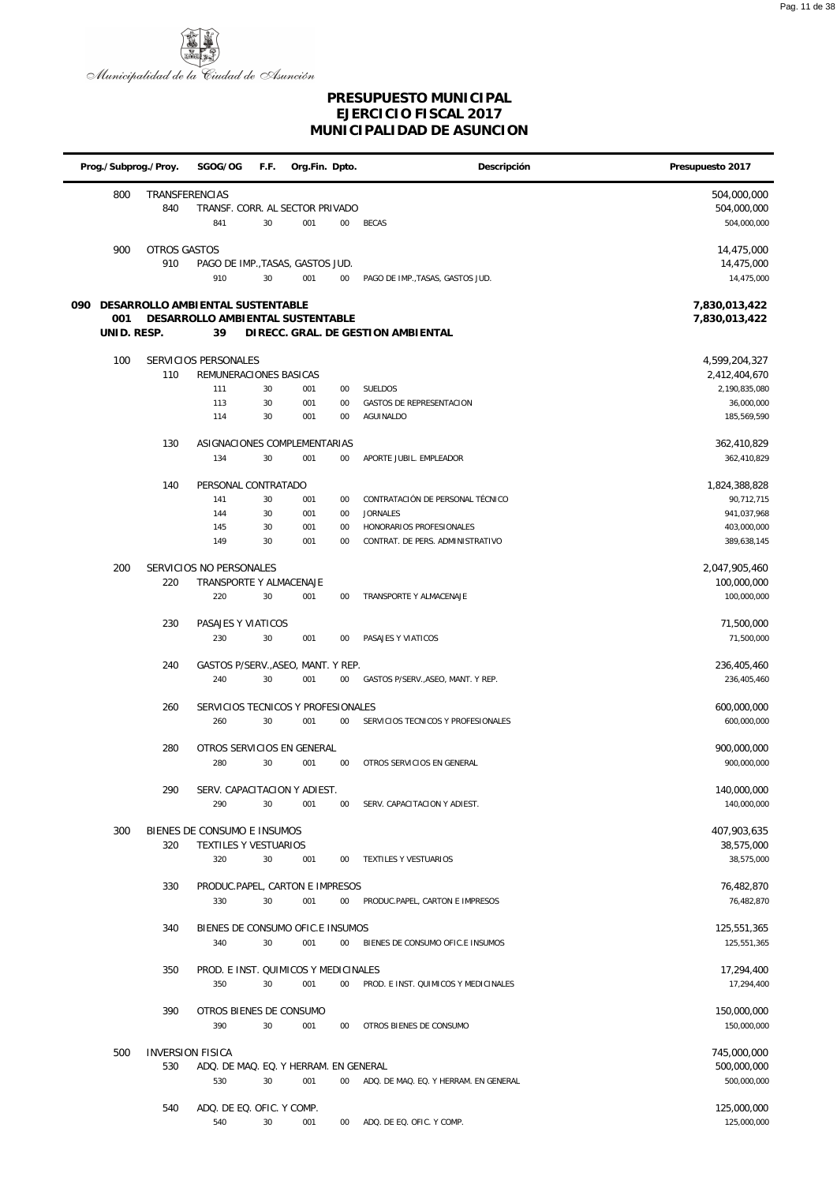

|     | Prog./Subprog./Proy. |                         | SGOG/OG                               | F.F. | Org.Fin. Dpto. |        | Descripción                           | Presupuesto 2017           |
|-----|----------------------|-------------------------|---------------------------------------|------|----------------|--------|---------------------------------------|----------------------------|
|     | 800                  | TRANSFERENCIAS          |                                       |      |                |        |                                       | 504,000,000                |
|     |                      | 840                     | TRANSF. CORR. AL SECTOR PRIVADO       |      |                |        |                                       | 504,000,000                |
|     |                      |                         | 841                                   | 30   | 001            | $00\,$ | <b>BECAS</b>                          | 504,000,000                |
|     | 900                  | OTROS GASTOS            |                                       |      |                |        |                                       | 14,475,000                 |
|     |                      | 910                     | PAGO DE IMP., TASAS, GASTOS JUD.      |      |                |        |                                       | 14,475,000                 |
|     |                      |                         | 910                                   | 30   | 001            | $00\,$ | PAGO DE IMP., TASAS, GASTOS JUD.      | 14,475,000                 |
| 090 |                      |                         | DESARROLLO AMBIENTAL SUSTENTABLE      |      |                |        |                                       | 7,830,013,422              |
|     | 001                  |                         | DESARROLLO AMBIENTAL SUSTENTABLE      |      |                |        |                                       | 7,830,013,422              |
|     | UNID. RESP.          |                         | 39                                    |      |                |        | DIRECC. GRAL. DE GESTION AMBIENTAL    |                            |
|     | 100                  |                         | SERVICIOS PERSONALES                  |      |                |        |                                       | 4,599,204,327              |
|     |                      | 110                     | REMUNERACIONES BASICAS                |      |                |        |                                       | 2,412,404,670              |
|     |                      |                         | 111                                   | 30   | 001            | $00\,$ | <b>SUELDOS</b>                        | 2,190,835,080              |
|     |                      |                         | 113                                   | 30   | 001            | $00\,$ | GASTOS DE REPRESENTACION              | 36,000,000                 |
|     |                      |                         | 114                                   | 30   | 001            | $00\,$ | AGUINALDO                             | 185,569,590                |
|     |                      | 130                     | ASIGNACIONES COMPLEMENTARIAS          |      |                |        |                                       | 362,410,829                |
|     |                      |                         | 134                                   | 30   | 001            | $00\,$ | APORTE JUBIL. EMPLEADOR               | 362,410,829                |
|     |                      | 140                     | PERSONAL CONTRATADO                   |      |                |        |                                       | 1,824,388,828              |
|     |                      |                         | 141                                   | 30   | 001            | $00\,$ | CONTRATACIÓN DE PERSONAL TÉCNICO      | 90,712,715                 |
|     |                      |                         | 144                                   | 30   | 001            | $00\,$ | <b>JORNALES</b>                       | 941,037,968                |
|     |                      |                         | 145                                   | 30   | 001            | $00\,$ | HONORARIOS PROFESIONALES              | 403,000,000                |
|     |                      |                         | 149                                   | 30   | 001            | $00\,$ | CONTRAT. DE PERS. ADMINISTRATIVO      | 389,638,145                |
|     | 200                  |                         | SERVICIOS NO PERSONALES               |      |                |        |                                       | 2,047,905,460              |
|     |                      | 220                     | TRANSPORTE Y ALMACENAJE               |      |                |        |                                       | 100,000,000                |
|     |                      |                         | 220                                   | 30   | 001            | $00\,$ | TRANSPORTE Y ALMACENAJE               | 100,000,000                |
|     |                      | 230                     | PASAJES Y VIATICOS                    |      |                |        |                                       | 71,500,000                 |
|     |                      |                         | 230                                   | 30   | 001            | $00\,$ | PASAJES Y VIATICOS                    | 71,500,000                 |
|     |                      | 240                     | GASTOS P/SERV., ASEO, MANT. Y REP.    |      |                |        |                                       | 236,405,460                |
|     |                      |                         | 240                                   | 30   | 001            | $00\,$ | GASTOS P/SERV., ASEO, MANT. Y REP.    | 236,405,460                |
|     |                      | 260                     | SERVICIOS TECNICOS Y PROFESIONALES    |      |                |        |                                       | 600,000,000                |
|     |                      |                         | 260                                   | 30   | 001            | $00\,$ | SERVICIOS TECNICOS Y PROFESIONALES    | 600,000,000                |
|     |                      |                         |                                       |      |                |        |                                       |                            |
|     |                      | 280                     | OTROS SERVICIOS EN GENERAL<br>280     | 30   | 001            | $00\,$ | OTROS SERVICIOS EN GENERAL            | 900,000,000<br>900,000,000 |
|     |                      |                         |                                       |      |                |        |                                       |                            |
|     |                      | 290                     | SERV. CAPACITACION Y ADIEST.          |      |                |        |                                       | 140,000,000                |
|     |                      |                         | 290                                   | 30   | 001            | 00     | SERV. CAPACITACION Y ADIEST.          | 140,000,000                |
|     | 300                  |                         | BIENES DE CONSUMO E INSUMOS           |      |                |        |                                       | 407,903,635                |
|     |                      | 320                     | <b>TEXTILES Y VESTUARIOS</b>          |      |                |        |                                       | 38,575,000                 |
|     |                      |                         | 320                                   | 30   | 001            | $00\,$ | TEXTILES Y VESTUARIOS                 | 38,575,000                 |
|     |                      | 330                     | PRODUC.PAPEL, CARTON E IMPRESOS       |      |                |        |                                       | 76,482,870                 |
|     |                      |                         | 330                                   | 30   | 001            | $00\,$ | PRODUC.PAPEL, CARTON E IMPRESOS       | 76,482,870                 |
|     |                      | 340                     | BIENES DE CONSUMO OFIC.E INSUMOS      |      |                |        |                                       | 125,551,365                |
|     |                      |                         | 340                                   | 30   | 001            | $00\,$ | BIENES DE CONSUMO OFIC.E INSUMOS      | 125,551,365                |
|     |                      | 350                     | PROD. E INST. QUIMICOS Y MEDICINALES  |      |                |        |                                       | 17,294,400                 |
|     |                      |                         | 350                                   | 30   | 001            | $00\,$ | PROD. E INST. QUIMICOS Y MEDICINALES  | 17,294,400                 |
|     |                      |                         |                                       |      |                |        |                                       |                            |
|     |                      | 390                     | OTROS BIENES DE CONSUMO<br>390        | 30   | 001            | $00\,$ | OTROS BIENES DE CONSUMO               | 150,000,000<br>150,000,000 |
|     |                      |                         |                                       |      |                |        |                                       |                            |
|     | 500                  | <b>INVERSION FISICA</b> |                                       |      |                |        |                                       | 745,000,000                |
|     |                      | 530                     | ADQ. DE MAQ. EQ. Y HERRAM. EN GENERAL |      |                |        |                                       | 500,000,000                |
|     |                      |                         | 530                                   | 30   | 001            | $00\,$ | ADQ. DE MAQ. EQ. Y HERRAM. EN GENERAL | 500,000,000                |
|     |                      | 540                     | ADQ. DE EQ. OFIC. Y COMP.             |      |                |        |                                       | 125,000,000                |
|     |                      |                         | 540                                   | 30   | 001            |        | 00 ADQ. DE EQ. OFIC. Y COMP.          | 125,000,000                |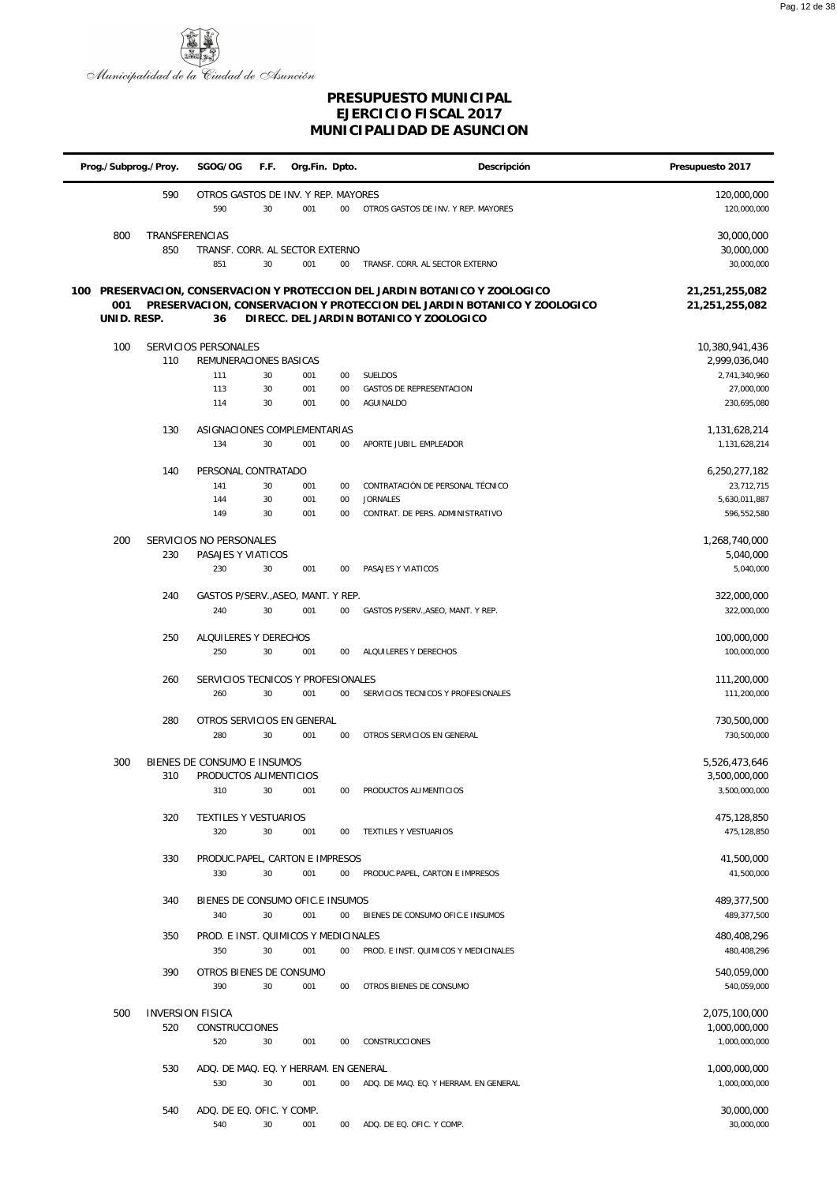

|     | Prog./Subprog./Proy. |                              | SGOG/OG                                               | F.F.     | Org.Fin. Dpto. |          | Descripción                                                                                                                                                                                   | Presupuesto 2017                       |
|-----|----------------------|------------------------------|-------------------------------------------------------|----------|----------------|----------|-----------------------------------------------------------------------------------------------------------------------------------------------------------------------------------------------|----------------------------------------|
|     |                      | 590                          | OTROS GASTOS DE INV. Y REP. MAYORES<br>590            | 30       | 001            | $00\,$   | OTROS GASTOS DE INV. Y REP. MAYORES                                                                                                                                                           | 120,000,000<br>120,000,000             |
|     | 800                  | <b>TRANSFERENCIAS</b><br>850 | TRANSF. CORR. AL SECTOR EXTERNO<br>851                | 30       | 001            | $00\,$   | TRANSF. CORR. AL SECTOR EXTERNO                                                                                                                                                               | 30,000,000<br>30,000,000<br>30,000,000 |
| 100 | 001<br>UNID. RESP.   |                              | 36                                                    |          |                |          | PRESERVACION, CONSERVACION Y PROTECCION DEL JARDIN BOTANICO Y ZOOLOGICO<br>PRESERVACION, CONSERVACION Y PROTECCION DEL JARDIN BOTANICO Y ZOOLOGICO<br>DIRECC. DEL JARDIN BOTANICO Y ZOOLOGICO | 21,251,255,082<br>21,251,255,082       |
|     | 100                  |                              | SERVICIOS PERSONALES                                  |          |                |          |                                                                                                                                                                                               | 10,380,941,436                         |
|     |                      | 110                          | REMUNERACIONES BASICAS                                |          |                |          |                                                                                                                                                                                               | 2,999,036,040                          |
|     |                      |                              | 111                                                   | 30       | 001            | 00       | SUELDOS                                                                                                                                                                                       | 2,741,340,960                          |
|     |                      |                              | 113<br>114                                            | 30<br>30 | 001<br>001     | 00<br>00 | GASTOS DE REPRESENTACION<br>AGUINALDO                                                                                                                                                         | 27,000,000<br>230,695,080              |
|     |                      |                              |                                                       |          |                |          |                                                                                                                                                                                               |                                        |
|     |                      | 130                          | ASIGNACIONES COMPLEMENTARIAS<br>134                   | 30       | 001            | 00       | APORTE JUBIL. EMPLEADOR                                                                                                                                                                       | 1,131,628,214<br>1,131,628,214         |
|     |                      |                              |                                                       |          |                |          |                                                                                                                                                                                               |                                        |
|     |                      | 140                          | PERSONAL CONTRATADO                                   |          |                |          |                                                                                                                                                                                               | 6,250,277,182                          |
|     |                      |                              | 141<br>144                                            | 30<br>30 | 001<br>001     | 00<br>00 | CONTRATACIÓN DE PERSONAL TÉCNICO<br><b>JORNALES</b>                                                                                                                                           | 23,712,715<br>5,630,011,887            |
|     |                      |                              | 149                                                   | 30       | 001            | 00       | CONTRAT. DE PERS. ADMINISTRATIVO                                                                                                                                                              | 596,552,580                            |
|     | 200                  | 230                          | SERVICIOS NO PERSONALES<br>PASAJES Y VIATICOS         |          |                |          |                                                                                                                                                                                               | 1,268,740,000<br>5,040,000             |
|     |                      |                              | 230                                                   | 30       | 001            | 00       | PASAJES Y VIATICOS                                                                                                                                                                            | 5,040,000                              |
|     |                      |                              |                                                       |          |                |          |                                                                                                                                                                                               |                                        |
|     |                      | 240                          | GASTOS P/SERV., ASEO, MANT. Y REP.<br>240             | 30       | 001            | 00       | GASTOS P/SERV., ASEO, MANT. Y REP.                                                                                                                                                            | 322,000,000<br>322,000,000             |
|     |                      |                              |                                                       |          |                |          |                                                                                                                                                                                               |                                        |
|     |                      | 250                          | ALQUILERES Y DERECHOS                                 |          |                |          |                                                                                                                                                                                               | 100,000,000                            |
|     |                      |                              | 250                                                   | 30       | 001            | 00       | ALQUILERES Y DERECHOS                                                                                                                                                                         | 100,000,000                            |
|     |                      | 260                          | SERVICIOS TECNICOS Y PROFESIONALES                    |          |                |          |                                                                                                                                                                                               | 111,200,000                            |
|     |                      |                              | 260                                                   | 30       | 001            | 00       | SERVICIOS TECNICOS Y PROFESIONALES                                                                                                                                                            | 111,200,000                            |
|     |                      | 280                          | OTROS SERVICIOS EN GENERAL                            |          |                |          |                                                                                                                                                                                               | 730,500,000                            |
|     |                      |                              | 280                                                   | 30       | 001            | 00       | OTROS SERVICIOS EN GENERAL                                                                                                                                                                    | 730,500,000                            |
|     | 300                  | 310                          | BIENES DE CONSUMO E INSUMOS<br>PRODUCTOS ALIMENTICIOS |          |                |          |                                                                                                                                                                                               | 5,526,473,646<br>3,500,000,000         |
|     |                      |                              | 310                                                   | 30       | 001            | 00       | PRODUCTOS ALIMENTICIOS                                                                                                                                                                        | 3,500,000,000                          |
|     |                      |                              |                                                       |          |                |          |                                                                                                                                                                                               |                                        |
|     |                      | 320                          | TEXTILES Y VESTUARIOS<br>320                          | 30       | 001            | 00       | TEXTILES Y VESTUARIOS                                                                                                                                                                         | 475,128,850<br>475,128,850             |
|     |                      |                              |                                                       |          |                |          |                                                                                                                                                                                               |                                        |
|     |                      | 330                          | PRODUC.PAPEL, CARTON E IMPRESOS<br>330                | 30       | 001            | 00       | PRODUC.PAPEL, CARTON E IMPRESOS                                                                                                                                                               | 41,500,000<br>41,500,000               |
|     |                      |                              |                                                       |          |                |          |                                                                                                                                                                                               |                                        |
|     |                      | 340                          | BIENES DE CONSUMO OFIC.E INSUMOS                      |          |                |          |                                                                                                                                                                                               | 489,377,500                            |
|     |                      |                              | 340                                                   | 30       | 001            | $00\,$   | BIENES DE CONSUMO OFIC.E INSUMOS                                                                                                                                                              | 489,377,500                            |
|     |                      | 350                          | PROD. E INST. QUIMICOS Y MEDICINALES                  |          |                |          |                                                                                                                                                                                               | 480,408,296                            |
|     |                      |                              | 350                                                   | 30       | 001            | 00       | PROD. E INST. QUIMICOS Y MEDICINALES                                                                                                                                                          | 480,408,296                            |
|     |                      | 390                          | OTROS BIENES DE CONSUMO<br>390                        | 30       | 001            | 00       | OTROS BIENES DE CONSUMO                                                                                                                                                                       | 540,059,000<br>540,059,000             |
|     | 500                  |                              | <b>INVERSION FISICA</b>                               |          |                |          |                                                                                                                                                                                               | 2,075,100,000                          |
|     |                      | 520                          | <b>CONSTRUCCIONES</b>                                 |          |                |          |                                                                                                                                                                                               | 1,000,000,000                          |
|     |                      |                              | 520                                                   | 30       | 001            | 00       | CONSTRUCCIONES                                                                                                                                                                                | 1,000,000,000                          |
|     |                      | 530                          | ADQ. DE MAQ. EQ. Y HERRAM. EN GENERAL                 |          |                |          |                                                                                                                                                                                               | 1,000,000,000                          |
|     |                      |                              | 530                                                   | 30       | 001            | 00       | ADQ. DE MAQ. EQ. Y HERRAM. EN GENERAL                                                                                                                                                         | 1,000,000,000                          |
|     |                      | 540                          | ADQ. DE EQ. OFIC. Y COMP.                             |          |                |          |                                                                                                                                                                                               | 30,000,000                             |
|     |                      |                              | 540                                                   | 30       | 001            |          | 00 ADQ. DE EQ. OFIC. Y COMP.                                                                                                                                                                  | 30,000,000                             |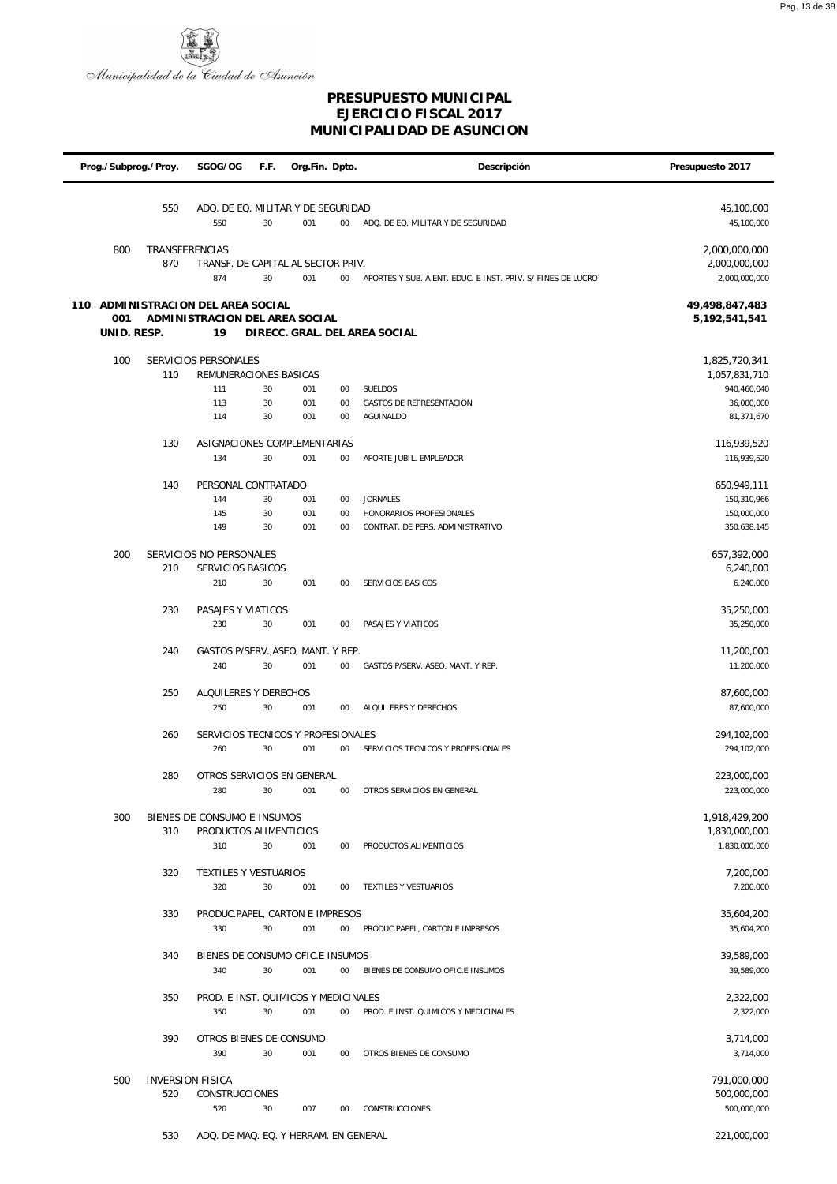

| Prog./Subprog./Proy.               |                                | SGOG/OG                                 | F.F.   | Org.Fin. Dpto. |        | Descripción                                                 | Presupuesto 2017           |
|------------------------------------|--------------------------------|-----------------------------------------|--------|----------------|--------|-------------------------------------------------------------|----------------------------|
|                                    |                                |                                         |        |                |        |                                                             |                            |
|                                    | 550                            | ADQ. DE EQ. MILITAR Y DE SEGURIDAD      |        |                |        |                                                             | 45,100,000                 |
|                                    |                                | 550                                     | 30     | 001            | $00\,$ | ADQ. DE EQ. MILITAR Y DE SEGURIDAD                          | 45,100,000                 |
| 800                                | TRANSFERENCIAS                 |                                         |        |                |        |                                                             | 2,000,000,000              |
|                                    | 870                            | TRANSF. DE CAPITAL AL SECTOR PRIV.      |        |                |        |                                                             | 2,000,000,000              |
|                                    |                                | 874                                     | 30     | 001            | $00\,$ | APORTES Y SUB. A ENT. EDUC. E INST. PRIV. S/ FINES DE LUCRO | 2,000,000,000              |
| 110 ADMINISTRACION DEL AREA SOCIAL |                                |                                         |        |                |        |                                                             | 49,498,847,483             |
| 001                                |                                | ADMINISTRACION DEL AREA SOCIAL          |        |                |        |                                                             | 5,192,541,541              |
| UNID. RESP.                        |                                | 19                                      |        |                |        | DIRECC. GRAL. DEL AREA SOCIAL                               |                            |
| 100                                |                                | SERVICIOS PERSONALES                    |        |                |        |                                                             | 1,825,720,341              |
|                                    | 110                            | REMUNERACIONES BASICAS                  |        |                |        |                                                             | 1,057,831,710              |
|                                    |                                | 111                                     | 30     | 001            | $00\,$ | SUELDOS                                                     | 940,460,040                |
|                                    |                                | 113                                     | 30     | 001            | 00     | GASTOS DE REPRESENTACION                                    | 36,000,000                 |
|                                    |                                | 114                                     | 30     | 001            | $00\,$ | AGUINALDO                                                   | 81,371,670                 |
|                                    | 130                            | ASIGNACIONES COMPLEMENTARIAS            |        |                |        |                                                             | 116,939,520                |
|                                    |                                | 134                                     | 30     | 001            | $00\,$ | APORTE JUBIL. EMPLEADOR                                     | 116,939,520                |
|                                    | 140                            | PERSONAL CONTRATADO                     |        |                |        |                                                             | 650,949,111                |
|                                    |                                | 144                                     | 30     | 001            | 00     | <b>JORNALES</b>                                             | 150,310,966                |
|                                    |                                | 145                                     | 30     | 001            | 00     | HONORARIOS PROFESIONALES                                    | 150,000,000                |
|                                    |                                | 149                                     | 30     | 001            | $00\,$ | CONTRAT. DE PERS. ADMINISTRATIVO                            | 350,638,145                |
| 200                                |                                | SERVICIOS NO PERSONALES                 |        |                |        |                                                             | 657,392,000                |
|                                    | 210                            | SERVICIOS BASICOS                       |        |                |        |                                                             | 6,240,000                  |
|                                    |                                | 210                                     | 30     | 001            | $00\,$ | SERVICIOS BASICOS                                           | 6,240,000                  |
|                                    | 230                            | PASAJES Y VIATICOS                      |        |                |        |                                                             | 35,250,000                 |
|                                    |                                | 230                                     | 30     | 001            | $00\,$ | PASAJES Y VIATICOS                                          | 35,250,000                 |
|                                    |                                |                                         |        |                |        |                                                             |                            |
|                                    | 240                            | GASTOS P/SERV., ASEO, MANT. Y REP.      |        |                |        |                                                             | 11,200,000                 |
|                                    |                                | 240                                     | 30     | 001            | $00\,$ | GASTOS P/SERV., ASEO, MANT. Y REP.                          | 11,200,000                 |
|                                    | 250                            | ALQUILERES Y DERECHOS                   |        |                |        |                                                             | 87,600,000                 |
|                                    |                                | 250                                     | 30     | 001            | $00\,$ | ALQUILERES Y DERECHOS                                       | 87,600,000                 |
|                                    | 260                            | SERVICIOS TECNICOS Y PROFESIONALES      |        |                |        |                                                             | 294,102,000                |
|                                    |                                | 260                                     | 30     | 001            | $00\,$ | SERVICIOS TECNICOS Y PROFESIONALES                          | 294,102,000                |
|                                    |                                |                                         |        |                |        |                                                             |                            |
|                                    | 280                            | OTROS SERVICIOS EN GENERAL<br>280       | $30\,$ | 001            | 00     | OTROS SERVICIOS EN GENERAL                                  | 223,000,000<br>223,000,000 |
|                                    |                                |                                         |        |                |        |                                                             |                            |
| 300                                |                                | BIENES DE CONSUMO E INSUMOS             |        |                |        |                                                             | 1.918.429.200              |
|                                    | 310                            | PRODUCTOS ALIMENTICIOS<br>310           |        |                |        |                                                             | 1,830,000,000              |
|                                    |                                |                                         | 30     | 001            | 00     | PRODUCTOS ALIMENTICIOS                                      | 1,830,000,000              |
|                                    | 320                            | <b>TEXTILES Y VESTUARIOS</b>            |        |                |        |                                                             | 7,200,000                  |
|                                    |                                | 320                                     | 30     | 001            | 00     | TEXTILES Y VESTUARIOS                                       | 7,200,000                  |
|                                    | 330                            | PRODUC.PAPEL, CARTON E IMPRESOS         |        |                |        |                                                             | 35,604,200                 |
|                                    |                                | 330                                     | 30     | 001            | $00\,$ | PRODUC.PAPEL, CARTON E IMPRESOS                             | 35,604,200                 |
|                                    |                                |                                         |        |                |        |                                                             |                            |
|                                    | 340                            | BIENES DE CONSUMO OFIC.E INSUMOS<br>340 | 30     | 001            | 00     | BIENES DE CONSUMO OFIC.E INSUMOS                            | 39,589,000<br>39,589,000   |
|                                    |                                |                                         |        |                |        |                                                             |                            |
|                                    | 350                            | PROD. E INST. QUIMICOS Y MEDICINALES    |        |                |        |                                                             | 2,322,000                  |
|                                    |                                | 350                                     | 30     | 001            | $00\,$ | PROD. E INST. QUIMICOS Y MEDICINALES                        | 2,322,000                  |
|                                    | 390                            | OTROS BIENES DE CONSUMO                 |        |                |        |                                                             | 3,714,000                  |
|                                    |                                | 390                                     | 30     | 001            | $00\,$ | OTROS BIENES DE CONSUMO                                     | 3,714,000                  |
|                                    |                                |                                         |        |                |        |                                                             |                            |
| 500                                | <b>INVERSION FISICA</b><br>520 | <b>CONSTRUCCIONES</b>                   |        |                |        |                                                             | 791,000,000<br>500,000,000 |
|                                    |                                | 520                                     | 30     | 007            | 00     | <b>CONSTRUCCIONES</b>                                       | 500,000,000                |
|                                    |                                |                                         |        |                |        |                                                             |                            |
|                                    | 530                            | ADQ. DE MAQ. EQ. Y HERRAM. EN GENERAL   |        |                |        |                                                             | 221,000,000                |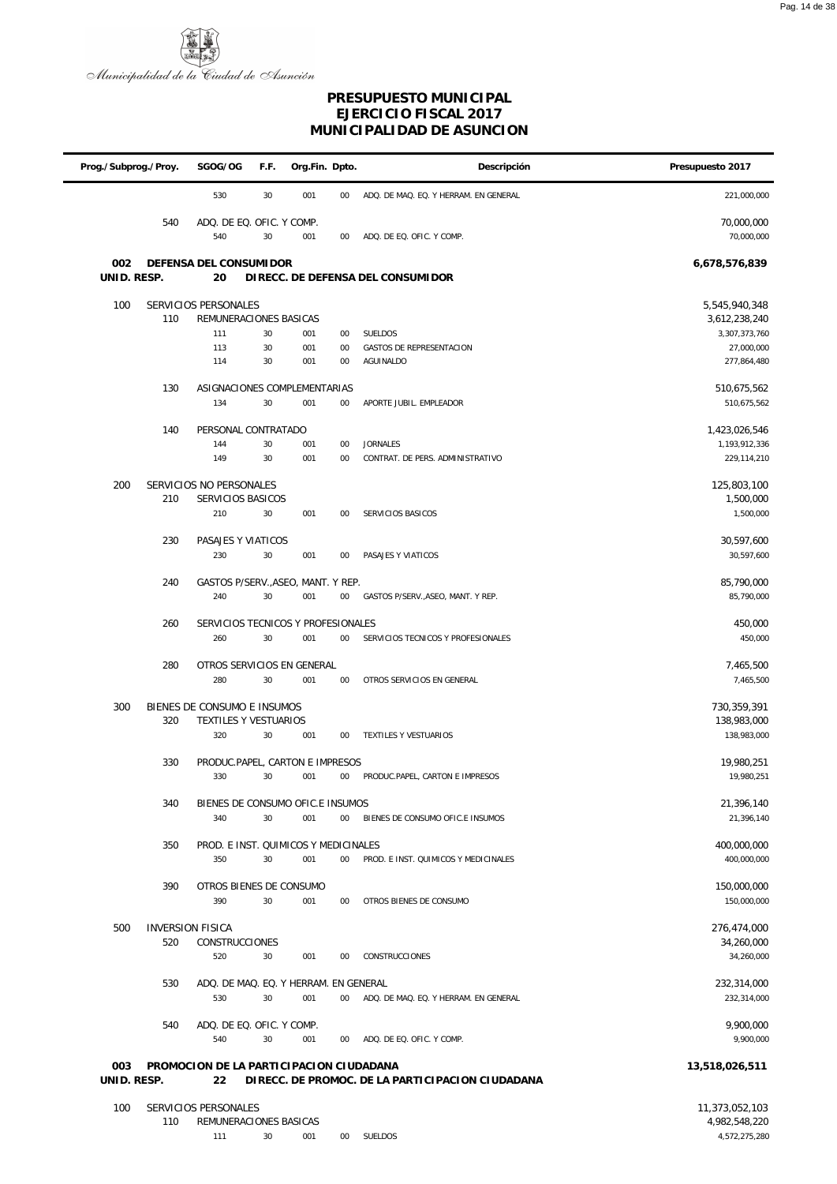

| Prog./Subprog./Proy. |     | SGOG/OG                                                     | F.F. | Org.Fin. Dpto. |        | Descripción                                      | Presupuesto 2017                |
|----------------------|-----|-------------------------------------------------------------|------|----------------|--------|--------------------------------------------------|---------------------------------|
|                      |     | 530                                                         | 30   | 001            | 00     | ADQ. DE MAQ. EQ. Y HERRAM. EN GENERAL            | 221,000,000                     |
|                      | 540 | ADQ. DE EQ. OFIC. Y COMP.<br>540                            | 30   | 001            | 00     | ADQ. DE EQ. OFIC. Y COMP.                        | 70,000,000<br>70,000,000        |
| 002<br>UNID. RESP.   |     | DEFENSA DEL CONSUMI DOR<br>20                               |      |                |        | DIRECC. DE DEFENSA DEL CONSUMIDOR                | 6,678,576,839                   |
|                      |     |                                                             |      |                |        |                                                  |                                 |
| 100                  | 110 | SERVICIOS PERSONALES<br>REMUNERACIONES BASICAS              |      |                |        |                                                  | 5,545,940,348<br>3,612,238,240  |
|                      |     | 111                                                         | 30   | 001            | 00     | SUELDOS                                          | 3,307,373,760                   |
|                      |     | 113                                                         | 30   | 001            | 00     | <b>GASTOS DE REPRESENTACION</b>                  | 27,000,000                      |
|                      |     | 114                                                         | 30   | 001            | 00     | AGUINALDO                                        | 277,864,480                     |
|                      | 130 | ASIGNACIONES COMPLEMENTARIAS                                |      |                |        |                                                  | 510,675,562                     |
|                      |     | 134                                                         | 30   | 001            | $00\,$ | APORTE JUBIL. EMPLEADOR                          | 510,675,562                     |
|                      | 140 | PERSONAL CONTRATADO                                         |      |                |        |                                                  | 1,423,026,546                   |
|                      |     | 144                                                         | 30   | 001            | 00     | <b>JORNALES</b>                                  | 1,193,912,336                   |
|                      |     | 149                                                         | 30   | 001            | 00     | CONTRAT. DE PERS. ADMINISTRATIVO                 | 229,114,210                     |
| 200                  |     | SERVICIOS NO PERSONALES                                     |      |                |        |                                                  | 125,803,100                     |
|                      | 210 | SERVICIOS BASICOS                                           |      |                |        |                                                  | 1,500,000                       |
|                      |     | 210                                                         | 30   | 001            | 00     | SERVICIOS BASICOS                                | 1,500,000                       |
|                      | 230 | PASAJES Y VIATICOS                                          |      |                |        |                                                  | 30,597,600                      |
|                      |     | 230                                                         | 30   | 001            | 00     | PASAJES Y VIATICOS                               | 30,597,600                      |
|                      | 240 | GASTOS P/SERV., ASEO, MANT. Y REP.                          |      |                |        |                                                  | 85,790,000                      |
|                      |     | 240                                                         | 30   | 001            | 00     | GASTOS P/SERV., ASEO, MANT. Y REP.               | 85,790,000                      |
|                      | 260 | SERVICIOS TECNICOS Y PROFESIONALES                          |      |                |        |                                                  | 450,000                         |
|                      |     | 260                                                         | 30   | 001            | 00     | SERVICIOS TECNICOS Y PROFESIONALES               | 450,000                         |
|                      |     |                                                             |      |                |        |                                                  |                                 |
|                      | 280 | OTROS SERVICIOS EN GENERAL<br>280                           | 30   | 001            | 00     | OTROS SERVICIOS EN GENERAL                       | 7,465,500<br>7,465,500          |
|                      |     |                                                             |      |                |        |                                                  |                                 |
| 300                  | 320 | BIENES DE CONSUMO E INSUMOS<br><b>TEXTILES Y VESTUARIOS</b> |      |                |        |                                                  | 730,359,391<br>138,983,000      |
|                      |     | 320                                                         | 30   | 001            | 00     | TEXTILES Y VESTUARIOS                            | 138,983,000                     |
|                      |     |                                                             |      |                |        |                                                  |                                 |
|                      | 330 | PRODUC.PAPEL, CARTON E IMPRESOS<br>330                      | 30   | 001            | 00     | PRODUC.PAPEL, CARTON E IMPRESOS                  | 19,980,251<br>19,980,251        |
|                      |     |                                                             |      |                |        |                                                  |                                 |
|                      | 340 | BIENES DE CONSUMO OFIC.E INSUMOS                            |      |                |        |                                                  | 21,396,140                      |
|                      |     | 340                                                         | 30   | 001            | $00\,$ | BIENES DE CONSUMO OFIC.E INSUMOS                 | 21,396,140                      |
|                      | 350 | PROD. E INST. QUIMICOS Y MEDICINALES                        |      |                |        |                                                  | 400,000,000                     |
|                      |     | 350                                                         | 30   | 001            | $00\,$ | PROD. E INST. QUIMICOS Y MEDICINALES             | 400,000,000                     |
|                      | 390 | OTROS BIENES DE CONSUMO                                     |      |                |        |                                                  | 150,000,000                     |
|                      |     | 390                                                         | 30   | 001            | 00     | OTROS BIENES DE CONSUMO                          | 150,000,000                     |
| 500                  |     | <b>INVERSION FISICA</b>                                     |      |                |        |                                                  | 276,474,000                     |
|                      | 520 | CONSTRUCCIONES                                              |      |                |        |                                                  | 34,260,000                      |
|                      |     | 520                                                         | 30   | 001            | 00     | CONSTRUCCIONES                                   | 34,260,000                      |
|                      | 530 | ADQ. DE MAQ. EQ. Y HERRAM. EN GENERAL                       |      |                |        |                                                  | 232,314,000                     |
|                      |     | 530                                                         | 30   | 001            | $00\,$ | ADQ. DE MAQ. EQ. Y HERRAM. EN GENERAL            | 232,314,000                     |
|                      | 540 | ADQ. DE EQ. OFIC. Y COMP.                                   |      |                |        |                                                  | 9,900,000                       |
|                      |     | 540                                                         | 30   | 001            | $00\,$ | ADQ. DE EQ. OFIC. Y COMP.                        | 9,900,000                       |
|                      |     |                                                             |      |                |        |                                                  |                                 |
| 003<br>UNID. RESP.   |     | PROMOCION DE LA PARTICIPACION CIUDADANA<br>22               |      |                |        | DIRECC. DE PROMOC. DE LA PARTICIPACION CIUDADANA | 13,518,026,511                  |
|                      |     |                                                             |      |                |        |                                                  |                                 |
| 100                  | 110 | SERVICIOS PERSONALES<br>REMUNERACIONES BASICAS              |      |                |        |                                                  | 11,373,052,103<br>4,982,548,220 |
|                      |     | 111                                                         | 30   | 001            | $00\,$ | SUELDOS                                          | 4,572,275,280                   |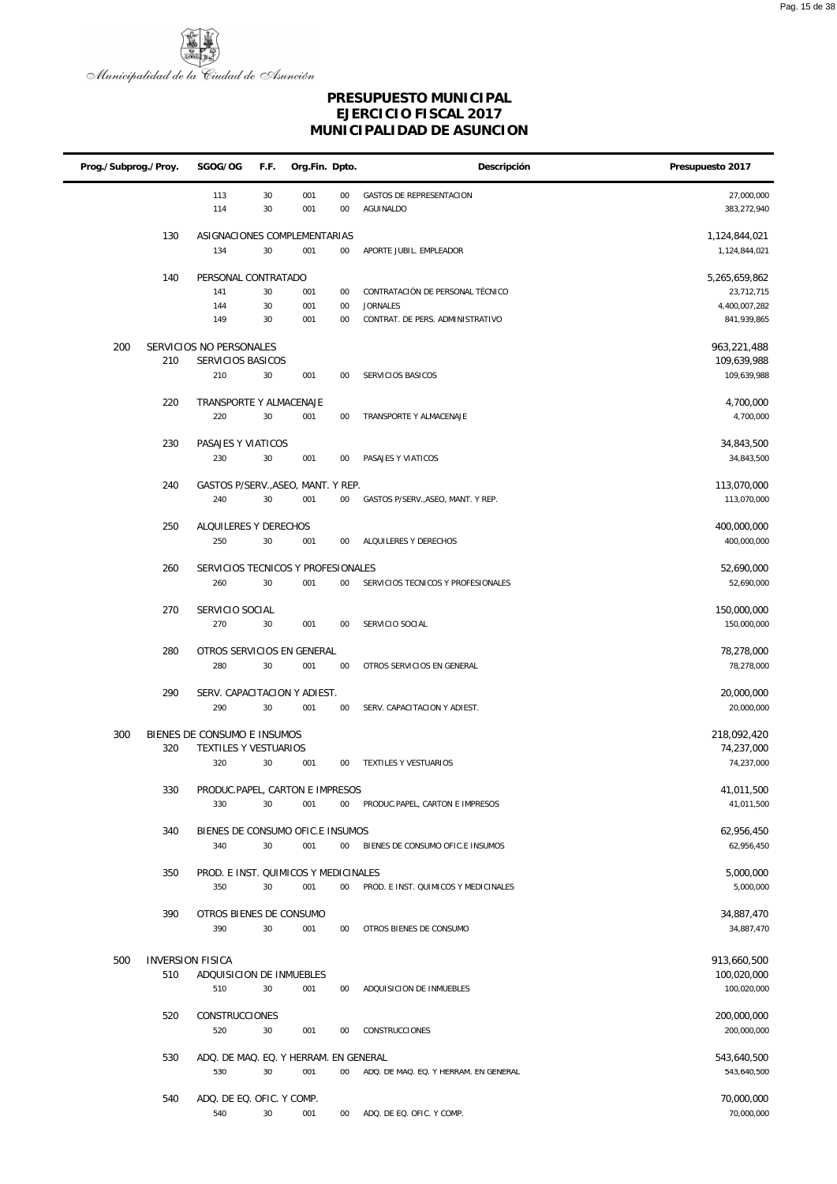

| Prog./Subprog./Proy. | SGOG/OG                                      | F.F.     | Org.Fin. Dpto. |          | Descripción                                  | Presupuesto 2017               |
|----------------------|----------------------------------------------|----------|----------------|----------|----------------------------------------------|--------------------------------|
|                      | 113<br>114                                   | 30<br>30 | 001<br>001     | 00<br>00 | <b>GASTOS DE REPRESENTACION</b><br>AGUINALDO | 27,000,000<br>383,272,940      |
| 130                  | ASIGNACIONES COMPLEMENTARIAS<br>134          | 30       | 001            | $00\,$   | APORTE JUBIL. EMPLEADOR                      | 1,124,844,021<br>1,124,844,021 |
|                      |                                              |          |                |          |                                              |                                |
| 140                  | PERSONAL CONTRATADO<br>141                   | 30       | 001            | 00       | CONTRATACIÓN DE PERSONAL TÉCNICO             | 5,265,659,862<br>23,712,715    |
|                      | 144                                          | 30       | 001            | 00       | <b>JORNALES</b>                              | 4,400,007,282                  |
|                      | 149                                          | 30       | 001            | 00       | CONTRAT. DE PERS. ADMINISTRATIVO             | 841,939,865                    |
| 200                  | SERVICIOS NO PERSONALES                      |          |                |          |                                              | 963,221,488                    |
| 210                  | SERVICIOS BASICOS                            |          |                |          |                                              | 109,639,988                    |
|                      | 210                                          | 30       | 001            | 00       | SERVICIOS BASICOS                            | 109,639,988                    |
| 220                  | TRANSPORTE Y ALMACENAJE                      |          |                |          |                                              | 4,700,000                      |
|                      | 220                                          | 30       | 001            | 00       | TRANSPORTE Y ALMACENAJE                      | 4,700,000                      |
|                      |                                              |          |                |          |                                              |                                |
| 230                  | PASAJES Y VIATICOS<br>230                    | 30       | 001            | 00       | PASAJES Y VIATICOS                           | 34,843,500<br>34,843,500       |
|                      |                                              |          |                |          |                                              |                                |
| 240                  | GASTOS P/SERV., ASEO, MANT. Y REP.           |          |                |          |                                              | 113,070,000                    |
|                      | 240                                          | 30       | 001            | $00\,$   | GASTOS P/SERV., ASEO, MANT. Y REP.           | 113,070,000                    |
| 250                  | ALQUILERES Y DERECHOS                        |          |                |          |                                              | 400,000,000                    |
|                      | 250                                          | 30       | 001            | 00       | ALQUILERES Y DERECHOS                        | 400,000,000                    |
|                      |                                              |          |                |          |                                              |                                |
| 260                  | SERVICIOS TECNICOS Y PROFESIONALES<br>260    | 30       | 001            | 00       | SERVICIOS TECNICOS Y PROFESIONALES           | 52,690,000<br>52,690,000       |
|                      |                                              |          |                |          |                                              |                                |
| 270                  | SERVICIO SOCIAL                              |          |                |          |                                              | 150,000,000                    |
|                      | 270                                          | 30       | 001            | 00       | SERVICIO SOCIAL                              | 150,000,000                    |
| 280                  | OTROS SERVICIOS EN GENERAL                   |          |                |          |                                              | 78,278,000                     |
|                      | 280                                          | $30\,$   | 001            | 00       | OTROS SERVICIOS EN GENERAL                   | 78,278,000                     |
| 290                  | SERV. CAPACITACION Y ADIEST.                 |          |                |          |                                              | 20,000,000                     |
|                      | 290                                          | 30       | 001            | 00       | SERV. CAPACITACION Y ADIEST.                 | 20,000,000                     |
|                      |                                              |          |                |          |                                              |                                |
| 300                  | BIENES DE CONSUMO E INSUMOS                  |          |                |          |                                              | 218,092,420                    |
| 320                  | TEXTILES Y VESTUARIOS<br>320                 | 30       | 001            | 00       | TEXTILES Y VESTUARIOS                        | 74,237,000<br>74,237,000       |
|                      |                                              |          |                |          |                                              |                                |
| 330                  | PRODUC.PAPEL, CARTON E IMPRESOS              |          |                |          |                                              | 41,011,500                     |
|                      | 330                                          | 30       | 001            | 00       | PRODUC.PAPEL, CARTON E IMPRESOS              | 41,011,500                     |
| 340                  | BIENES DE CONSUMO OFIC.E INSUMOS             |          |                |          |                                              | 62,956,450                     |
|                      | 340                                          | 30       | 001            | $00\,$   | BIENES DE CONSUMO OFIC.E INSUMOS             | 62,956,450                     |
| 350                  | PROD. E INST. QUIMICOS Y MEDICINALES         |          |                |          |                                              | 5,000,000                      |
|                      | 350                                          | 30       | 001            | $00\,$   | PROD. E INST. QUIMICOS Y MEDICINALES         | 5,000,000                      |
|                      |                                              |          |                |          |                                              |                                |
| 390                  | OTROS BIENES DE CONSUMO<br>390               | 30       |                | 00       | OTROS BIENES DE CONSUMO                      | 34,887,470<br>34,887,470       |
|                      |                                              |          | 001            |          |                                              |                                |
| 500                  | <b>INVERSION FISICA</b>                      |          |                |          |                                              | 913,660,500                    |
| 510                  | ADQUISICION DE INMUEBLES                     |          |                |          |                                              | 100,020,000                    |
|                      | 510                                          | 30       | 001            | 00       | ADQUISICION DE INMUEBLES                     | 100,020,000                    |
| 520                  | CONSTRUCCIONES                               |          |                |          |                                              | 200,000,000                    |
|                      | 520                                          | 30       | 001            | 00       | CONSTRUCCIONES                               | 200,000,000                    |
|                      |                                              |          |                |          |                                              |                                |
| 530                  | ADQ. DE MAQ. EQ. Y HERRAM. EN GENERAL<br>530 | 30       | 001            | 00       | ADQ. DE MAQ. EQ. Y HERRAM. EN GENERAL        | 543,640,500<br>543,640,500     |
|                      |                                              |          |                |          |                                              |                                |
| 540                  | ADQ. DE EQ. OFIC. Y COMP.                    |          |                |          |                                              | 70,000,000                     |
|                      | 540                                          | 30       | 001            | $00\,$   | ADQ. DE EQ. OFIC. Y COMP.                    | 70,000,000                     |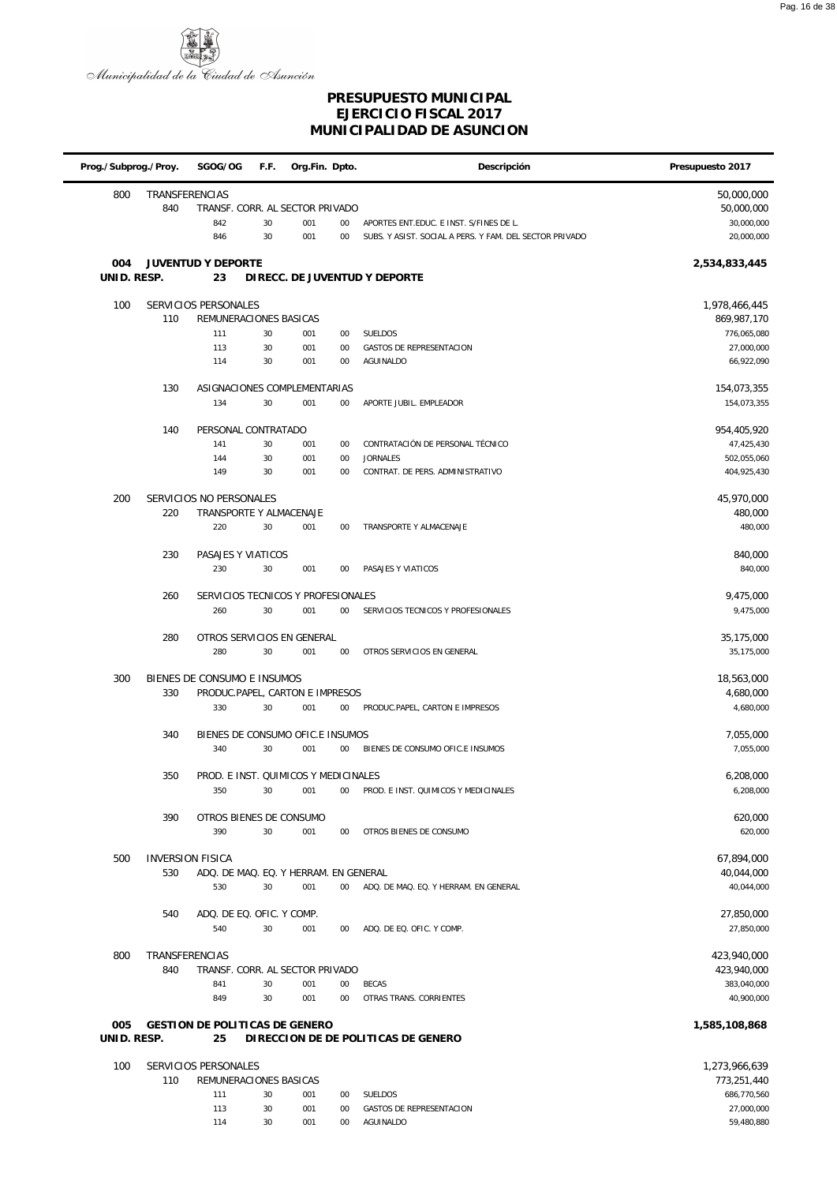

| Prog./Subprog./Proy. |                         | SGOG/OG                                            | F.F.     | Org.Fin. Dpto. |              | Descripción                                             | Presupuesto 2017          |
|----------------------|-------------------------|----------------------------------------------------|----------|----------------|--------------|---------------------------------------------------------|---------------------------|
| 800                  | TRANSFERENCIAS<br>840   | TRANSF. CORR. AL SECTOR PRIVADO                    |          |                |              |                                                         | 50,000,000<br>50,000,000  |
|                      |                         | 842                                                | 30       | 001            | 00           | APORTES ENT.EDUC. E INST. S/FINES DE L.                 | 30,000,000                |
|                      |                         | 846                                                | 30       | 001            | 00           | SUBS. Y ASIST. SOCIAL A PERS. Y FAM. DEL SECTOR PRIVADO | 20,000,000                |
| 004                  |                         | <b>JUVENTUD Y DEPORTE</b>                          |          |                |              |                                                         | 2,534,833,445             |
| UNID. RESP.          |                         | 23                                                 |          |                |              | DIRECC. DE JUVENTUD Y DEPORTE                           |                           |
| 100                  |                         | SERVICIOS PERSONALES                               |          |                |              |                                                         | 1,978,466,445             |
|                      | 110                     | REMUNERACIONES BASICAS                             |          |                |              |                                                         | 869,987,170               |
|                      |                         | 111                                                | 30       | 001            | 00           | SUELDOS                                                 | 776,065,080               |
|                      |                         | 113                                                | 30       | 001            | 00           | <b>GASTOS DE REPRESENTACION</b>                         | 27,000,000                |
|                      |                         | 114                                                | 30       | 001            | 00           | AGUINALDO                                               | 66,922,090                |
|                      | 130                     | ASIGNACIONES COMPLEMENTARIAS                       |          |                |              |                                                         | 154,073,355               |
|                      |                         | 134                                                | 30       | 001            | $00\,$       | APORTE JUBIL. EMPLEADOR                                 | 154,073,355               |
|                      | 140                     | PERSONAL CONTRATADO                                |          |                |              |                                                         | 954,405,920               |
|                      |                         | 141                                                | 30       | 001            | 00           | CONTRATACIÓN DE PERSONAL TÉCNICO                        | 47,425,430                |
|                      |                         | 144                                                | 30       | 001            | 00           | <b>JORNALES</b>                                         | 502,055,060               |
|                      |                         | 149                                                | 30       | 001            | 00           | CONTRAT. DE PERS. ADMINISTRATIVO                        | 404,925,430               |
|                      |                         |                                                    |          |                |              |                                                         |                           |
| 200                  | 220                     | SERVICIOS NO PERSONALES<br>TRANSPORTE Y ALMACENAJE |          |                |              |                                                         | 45,970,000<br>480,000     |
|                      |                         | 220                                                | 30       | 001            | 00           | TRANSPORTE Y ALMACENAJE                                 | 480,000                   |
|                      |                         |                                                    |          |                |              |                                                         |                           |
|                      | 230                     | PASAJES Y VIATICOS                                 |          |                |              |                                                         | 840,000                   |
|                      |                         | 230                                                | 30       | 001            | 00           | PASAJES Y VIATICOS                                      | 840,000                   |
|                      | 260                     | SERVICIOS TECNICOS Y PROFESIONALES                 |          |                |              |                                                         | 9,475,000                 |
|                      |                         | 260                                                | 30       | 001            | 00           | SERVICIOS TECNICOS Y PROFESIONALES                      | 9,475,000                 |
|                      |                         |                                                    |          |                |              |                                                         |                           |
|                      | 280                     | OTROS SERVICIOS EN GENERAL                         | 30       |                |              |                                                         | 35,175,000                |
|                      |                         | 280                                                |          | 001            | 00           | OTROS SERVICIOS EN GENERAL                              | 35,175,000                |
| 300                  |                         | BIENES DE CONSUMO E INSUMOS                        |          |                |              |                                                         | 18,563,000                |
|                      | 330                     | PRODUC.PAPEL, CARTON E IMPRESOS                    |          |                |              |                                                         | 4,680,000                 |
|                      |                         | 330                                                | 30       | 001            | $00\,$       | PRODUC.PAPEL, CARTON E IMPRESOS                         | 4,680,000                 |
|                      | 340                     | BIENES DE CONSUMO OFIC.E INSUMOS                   |          |                |              |                                                         | 7,055,000                 |
|                      |                         | 340                                                | 30       | 001            | 00           | BIENES DE CONSUMO OFIC.E INSUMOS                        | 7,055,000                 |
|                      |                         |                                                    |          |                |              |                                                         |                           |
|                      | 350                     | PROD. E INST. QUIMICOS Y MEDICINALES               | 30       |                |              | 001 00 PROD. E INST. QUIMICOS Y MEDICINALES             | 6,208,000<br>6,208,000    |
|                      |                         |                                                    |          |                |              |                                                         |                           |
|                      | 390                     | OTROS BIENES DE CONSUMO                            |          |                |              |                                                         | 620,000                   |
|                      |                         | 390                                                | 30       | 001            | $00\,$       | OTROS BIENES DE CONSUMO                                 | 620,000                   |
| 500                  | <b>INVERSION FISICA</b> |                                                    |          |                |              |                                                         | 67,894,000                |
|                      | 530                     | ADQ. DE MAQ. EQ. Y HERRAM. EN GENERAL              |          |                |              |                                                         | 40,044,000                |
|                      |                         | 530                                                | 30       | 001            | $00\degree$  | ADQ. DE MAQ. EQ. Y HERRAM. EN GENERAL                   | 40,044,000                |
|                      |                         |                                                    |          |                |              |                                                         |                           |
|                      | 540                     | ADQ. DE EQ. OFIC. Y COMP.<br>540                   | 30       | 001            | $00\,$       | ADQ. DE EQ. OFIC. Y COMP.                               | 27,850,000<br>27,850,000  |
|                      |                         |                                                    |          |                |              |                                                         |                           |
| 800                  | TRANSFERENCIAS          |                                                    |          |                |              |                                                         | 423,940,000               |
|                      | 840                     | TRANSF. CORR. AL SECTOR PRIVADO                    |          |                |              |                                                         | 423,940,000               |
|                      |                         | 841<br>849                                         | 30<br>30 | 001<br>001     | $00\,$<br>00 | <b>BECAS</b><br>OTRAS TRANS. CORRIENTES                 | 383,040,000<br>40,900,000 |
|                      |                         |                                                    |          |                |              |                                                         |                           |
| 005                  |                         | GESTION DE POLITICAS DE GENERO                     |          |                |              |                                                         | 1,585,108,868             |
| UNID. RESP.          |                         | 25                                                 |          |                |              | DIRECCION DE DE POLITICAS DE GENERO                     |                           |
| 100                  |                         | SERVICIOS PERSONALES                               |          |                |              |                                                         | 1,273,966,639             |
|                      | 110                     | REMUNERACIONES BASICAS                             |          |                |              |                                                         | 773,251,440               |
|                      |                         | 111                                                | 30       | 001            | 00           | SUELDOS                                                 | 686,770,560               |
|                      |                         | 113                                                | 30       | 001            | 00           | GASTOS DE REPRESENTACION                                | 27,000,000                |
|                      |                         | 114                                                | 30       | 001            | $00\,$       | AGUINALDO                                               | 59,480,880                |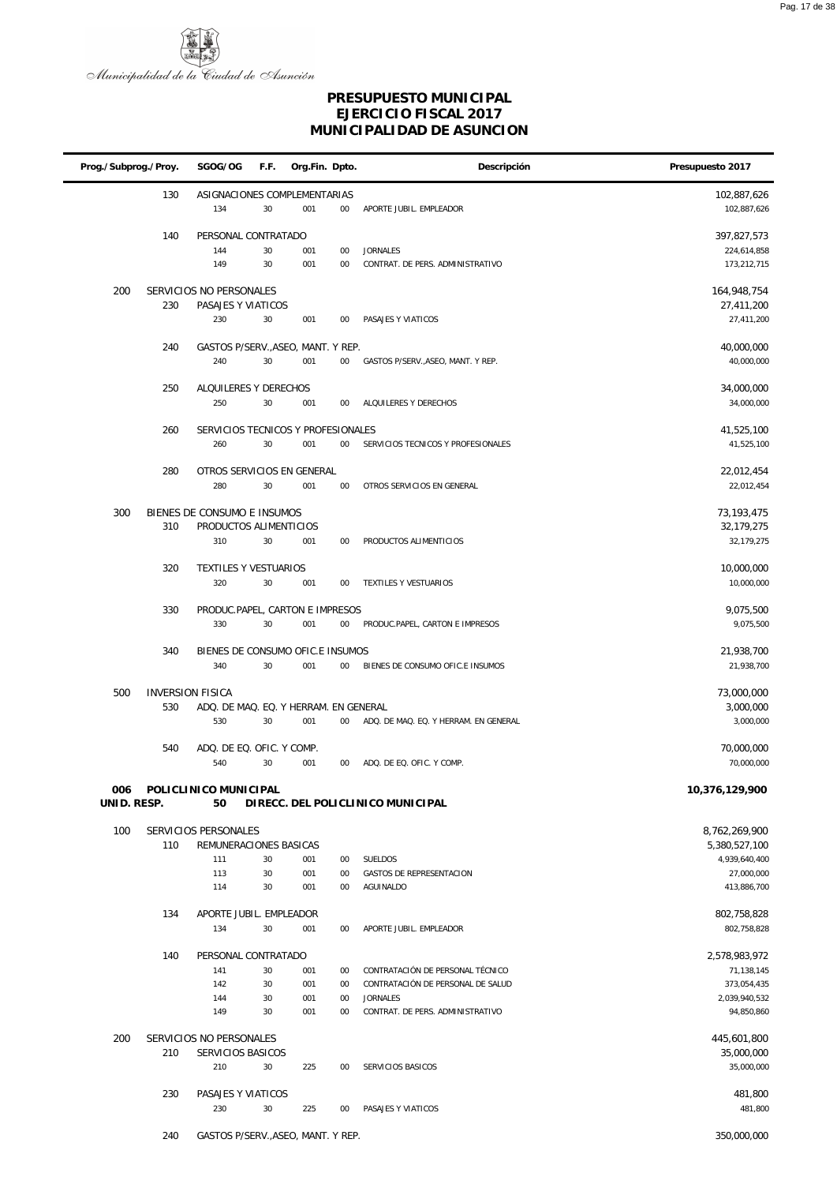

|             | Prog./Subprog./Proy. |                                                                  | F.F.     | Org.Fin. Dpto. |              | Descripción                                          | Presupuesto 2017             |
|-------------|----------------------|------------------------------------------------------------------|----------|----------------|--------------|------------------------------------------------------|------------------------------|
|             | 130                  | ASIGNACIONES COMPLEMENTARIAS<br>134                              | 30       | 001            | $00\,$       | APORTE JUBIL. EMPLEADOR                              | 102,887,626<br>102,887,626   |
|             | 140                  | PERSONAL CONTRATADO<br>144                                       | 30       | 001            | $00\,$       | <b>JORNALES</b>                                      | 397,827,573<br>224,614,858   |
|             |                      | 149                                                              | 30       | 001            | 00           | CONTRAT. DE PERS. ADMINISTRATIVO                     | 173,212,715                  |
| 200         |                      | SERVICIOS NO PERSONALES                                          |          |                |              |                                                      | 164,948,754                  |
|             | 230                  | PASAJES Y VIATICOS<br>230                                        | 30       | 001            | 00           | PASAJES Y VIATICOS                                   | 27,411,200<br>27,411,200     |
|             | 240                  | GASTOS P/SERV., ASEO, MANT. Y REP.                               |          |                |              |                                                      | 40,000,000                   |
|             |                      | 240                                                              | 30       | 001            | 00           | GASTOS P/SERV., ASEO, MANT. Y REP.                   | 40,000,000                   |
|             | 250                  | ALQUILERES Y DERECHOS<br>250                                     | 30       | 001            | 00           | ALQUILERES Y DERECHOS                                | 34,000,000<br>34,000,000     |
|             | 260                  | SERVICIOS TECNICOS Y PROFESIONALES                               |          |                |              |                                                      | 41,525,100                   |
|             |                      | 260                                                              | 30       | 001            | 00           | SERVICIOS TECNICOS Y PROFESIONALES                   | 41,525,100                   |
|             | 280                  | OTROS SERVICIOS EN GENERAL                                       |          |                |              |                                                      | 22,012,454                   |
|             |                      | 280                                                              | 30       | 001            | $00\,$       | OTROS SERVICIOS EN GENERAL                           | 22,012,454                   |
| 300         |                      | BIENES DE CONSUMO E INSUMOS                                      |          |                |              |                                                      | 73, 193, 475                 |
|             | 310                  | PRODUCTOS ALIMENTICIOS<br>310                                    | 30       | 001            | $00\,$       | PRODUCTOS ALIMENTICIOS                               | 32,179,275<br>32,179,275     |
|             |                      |                                                                  |          |                |              |                                                      |                              |
|             | 320                  | TEXTILES Y VESTUARIOS<br>320                                     | 30       | 001            | 00           | TEXTILES Y VESTUARIOS                                | 10,000,000<br>10,000,000     |
|             | 330                  | PRODUC.PAPEL, CARTON E IMPRESOS                                  |          |                |              |                                                      | 9,075,500                    |
|             |                      | 330                                                              | 30       | 001            | $00\,$       | PRODUC.PAPEL, CARTON E IMPRESOS                      | 9,075,500                    |
|             | 340                  | BIENES DE CONSUMO OFIC.E INSUMOS                                 |          |                |              |                                                      | 21,938,700                   |
|             |                      | 340                                                              | 30       | 001            | $00\,$       | BIENES DE CONSUMO OFIC.E INSUMOS                     | 21,938,700                   |
| 500         | 530                  | <b>INVERSION FISICA</b><br>ADQ. DE MAQ. EQ. Y HERRAM. EN GENERAL |          |                |              |                                                      | 73,000,000<br>3,000,000      |
|             |                      | 530                                                              | 30       | 001            | $00\,$       | ADQ. DE MAQ. EQ. Y HERRAM. EN GENERAL                | 3,000,000                    |
|             | 540                  | ADQ. DE EQ. OFIC. Y COMP.                                        |          |                |              |                                                      | 70,000,000                   |
|             |                      | 540                                                              | 30       | 001            | $00\,$       | ADQ. DE EQ. OFIC. Y COMP.                            | 70,000,000                   |
| UNID. RESP. |                      | 006 POLICLINICO MUNICIPAL<br>50                                  |          |                |              | DIRECC. DEL POLICLINICO MUNICIPAL                    | 10,376,129,900               |
| 100         |                      | SERVICIOS PERSONALES                                             |          |                |              |                                                      | 8,762,269,900                |
|             | 110                  | REMUNERACIONES BASICAS                                           |          |                |              |                                                      | 5,380,527,100                |
|             |                      | 111<br>113                                                       | 30<br>30 | 001<br>001     | 00<br>00     | <b>SUELDOS</b><br>GASTOS DE REPRESENTACION           | 4,939,640,400<br>27,000,000  |
|             |                      | 114                                                              | 30       | 001            | $00\,$       | AGUINALDO                                            | 413,886,700                  |
|             | 134                  | APORTE JUBIL. EMPLEADOR                                          |          |                |              |                                                      | 802,758,828                  |
|             |                      | 134                                                              | 30       | 001            | 00           | APORTE JUBIL. EMPLEADOR                              | 802,758,828                  |
|             | 140                  | PERSONAL CONTRATADO                                              |          |                |              |                                                      | 2,578,983,972                |
|             |                      | 141                                                              | 30       | 001            | 00           | CONTRATACIÓN DE PERSONAL TÉCNICO                     | 71,138,145                   |
|             |                      | 142<br>144                                                       | 30<br>30 | 001<br>001     | 00<br>$00\,$ | CONTRATACIÓN DE PERSONAL DE SALUD<br><b>JORNALES</b> | 373,054,435<br>2,039,940,532 |
|             |                      | 149                                                              | 30       | 001            | 00           | CONTRAT. DE PERS. ADMINISTRATIVO                     | 94,850,860                   |
| 200         | 210                  | SERVICIOS NO PERSONALES<br>SERVICIOS BASICOS                     |          |                |              |                                                      | 445,601,800<br>35,000,000    |
|             |                      | 210                                                              | 30       | 225            | 00           | SERVICIOS BASICOS                                    | 35,000,000                   |
|             | 230                  | PASAJES Y VIATICOS                                               |          |                |              |                                                      | 481,800                      |
|             |                      | 230                                                              | 30       | 225            | 00           | PASAJES Y VIATICOS                                   | 481,800                      |
|             | 240                  | GASTOS P/SERV., ASEO, MANT. Y REP.                               |          |                |              |                                                      | 350,000,000                  |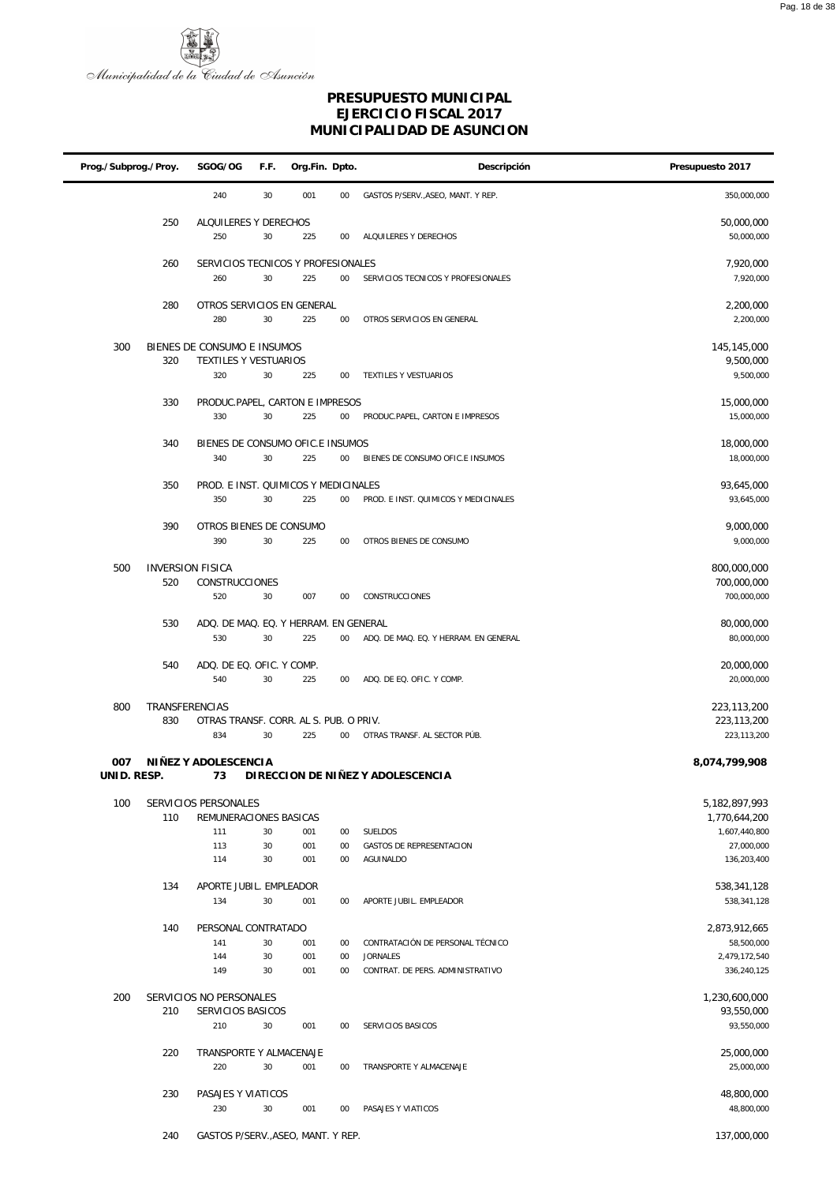

| Prog./Subprog./Proy. |                | SGOG/OG                                        | F.F.     | Org.Fin. Dpto. |                  | Descripción                                         | Presupuesto 2017               |
|----------------------|----------------|------------------------------------------------|----------|----------------|------------------|-----------------------------------------------------|--------------------------------|
|                      |                | 240                                            | 30       | 001            | $00\,$           | GASTOS P/SERV., ASEO, MANT. Y REP.                  | 350,000,000                    |
|                      | 250            | ALQUILERES Y DERECHOS<br>250                   | 30       | 225            | 00               | ALQUILERES Y DERECHOS                               | 50,000,000<br>50,000,000       |
|                      | 260            | SERVICIOS TECNICOS Y PROFESIONALES             |          |                |                  |                                                     | 7,920,000                      |
|                      |                | 260                                            | 30       | 225            | $00\,$           | SERVICIOS TECNICOS Y PROFESIONALES                  | 7,920,000                      |
|                      | 280            | OTROS SERVICIOS EN GENERAL                     |          |                |                  |                                                     | 2,200,000                      |
|                      |                | 280                                            | 30       | 225            | $00\,$           | OTROS SERVICIOS EN GENERAL                          | 2,200,000                      |
| 300                  |                | BIENES DE CONSUMO E INSUMOS                    |          |                |                  |                                                     | 145,145,000                    |
|                      | 320            | TEXTILES Y VESTUARIOS<br>320                   | 30       | 225            | 00               | TEXTILES Y VESTUARIOS                               | 9,500,000<br>9,500,000         |
|                      |                |                                                |          |                |                  |                                                     |                                |
|                      | 330            | PRODUC.PAPEL, CARTON E IMPRESOS<br>330         | 30       | 225            | $00\,$           | PRODUC.PAPEL, CARTON E IMPRESOS                     | 15,000,000<br>15,000,000       |
|                      | 340            | BIENES DE CONSUMO OFIC.E INSUMOS               |          |                |                  |                                                     | 18,000,000                     |
|                      |                | 340                                            | 30       | 225            | 00               | BIENES DE CONSUMO OFIC.E INSUMOS                    | 18,000,000                     |
|                      | 350            | PROD. E INST. QUIMICOS Y MEDICINALES           |          |                |                  |                                                     | 93,645,000                     |
|                      |                | 350                                            | 30       | 225            | $00\,$           | PROD. E INST. QUIMICOS Y MEDICINALES                | 93,645,000                     |
|                      | 390            | OTROS BIENES DE CONSUMO                        |          |                |                  |                                                     | 9,000,000                      |
|                      |                | 390                                            | 30       | 225            | $00\,$           | OTROS BIENES DE CONSUMO                             | 9,000,000                      |
| 500                  |                | <b>INVERSION FISICA</b>                        |          |                |                  |                                                     | 800,000,000                    |
|                      | 520            | CONSTRUCCIONES<br>520                          | 30       | 007            | 00               | CONSTRUCCIONES                                      | 700,000,000<br>700,000,000     |
|                      |                |                                                |          |                |                  |                                                     |                                |
|                      | 530            | ADQ. DE MAQ. EQ. Y HERRAM. EN GENERAL<br>530   | 30       | 225            | $00\,$           | ADQ. DE MAQ. EQ. Y HERRAM. EN GENERAL               | 80,000,000<br>80,000,000       |
|                      | 540            | ADQ. DE EQ. OFIC. Y COMP.                      |          |                |                  |                                                     | 20,000,000                     |
|                      |                | 540                                            | 30       | 225            | $00\,$           | ADQ. DE EQ. OFIC. Y COMP.                           | 20,000,000                     |
| 800                  | TRANSFERENCIAS |                                                |          |                |                  |                                                     | 223,113,200                    |
|                      | 830            | OTRAS TRANSF. CORR. AL S. PUB. O PRIV.         |          |                |                  | OTRAS TRANSF. AL SECTOR PÚB.                        | 223,113,200                    |
|                      |                | 834                                            | 30       | 225            | $00\,$           |                                                     | 223,113,200                    |
| 007<br>UNID. RESP.   |                | NIÑEZ Y ADOLESCENCIA<br>73                     |          |                |                  | DI RECCION DE NIÑEZ Y ADOLESCENCIA                  | 8,074,799,908                  |
|                      |                |                                                |          |                |                  |                                                     |                                |
| 100                  | 110            | SERVICIOS PERSONALES<br>REMUNERACIONES BASICAS |          |                |                  |                                                     | 5,182,897,993<br>1,770,644,200 |
|                      |                | 111                                            | 30       | 001            | $00\,$           | <b>SUELDOS</b>                                      | 1,607,440,800                  |
|                      |                | 113                                            | 30       | 001            | 00               | GASTOS DE REPRESENTACION<br>AGUINALDO               | 27,000,000                     |
|                      |                | 114                                            | 30       | 001            | 00               |                                                     | 136,203,400                    |
|                      | 134            | APORTE JUBIL. EMPLEADOR                        |          |                |                  |                                                     | 538,341,128                    |
|                      |                | 134                                            | 30       | 001            | $00\,$           | APORTE JUBIL. EMPLEADOR                             | 538,341,128                    |
|                      | 140            | PERSONAL CONTRATADO                            |          |                |                  |                                                     | 2,873,912,665                  |
|                      |                | 141                                            | 30       | 001            | 00               | CONTRATACIÓN DE PERSONAL TÉCNICO                    | 58,500,000                     |
|                      |                | 144<br>149                                     | 30<br>30 | 001<br>001     | $00\,$<br>$00\,$ | <b>JORNALES</b><br>CONTRAT. DE PERS. ADMINISTRATIVO | 2,479,172,540<br>336,240,125   |
|                      |                |                                                |          |                |                  |                                                     |                                |
| 200                  | 210            | SERVICIOS NO PERSONALES<br>SERVICIOS BASICOS   |          |                |                  |                                                     | 1,230,600,000<br>93,550,000    |
|                      |                | 210                                            | 30       | 001            | 00               | SERVICIOS BASICOS                                   | 93,550,000                     |
|                      | 220            | TRANSPORTE Y ALMACENAJE                        |          |                |                  |                                                     | 25,000,000                     |
|                      |                | 220                                            | 30       | 001            | 00               | TRANSPORTE Y ALMACENAJE                             | 25,000,000                     |
|                      | 230            | PASAJES Y VIATICOS                             |          |                |                  |                                                     | 48,800,000                     |
|                      |                | 230                                            | 30       | 001            | 00               | PASAJES Y VIATICOS                                  | 48,800,000                     |
|                      | 240            | GASTOS P/SERV., ASEO, MANT. Y REP.             |          |                |                  |                                                     | 137,000,000                    |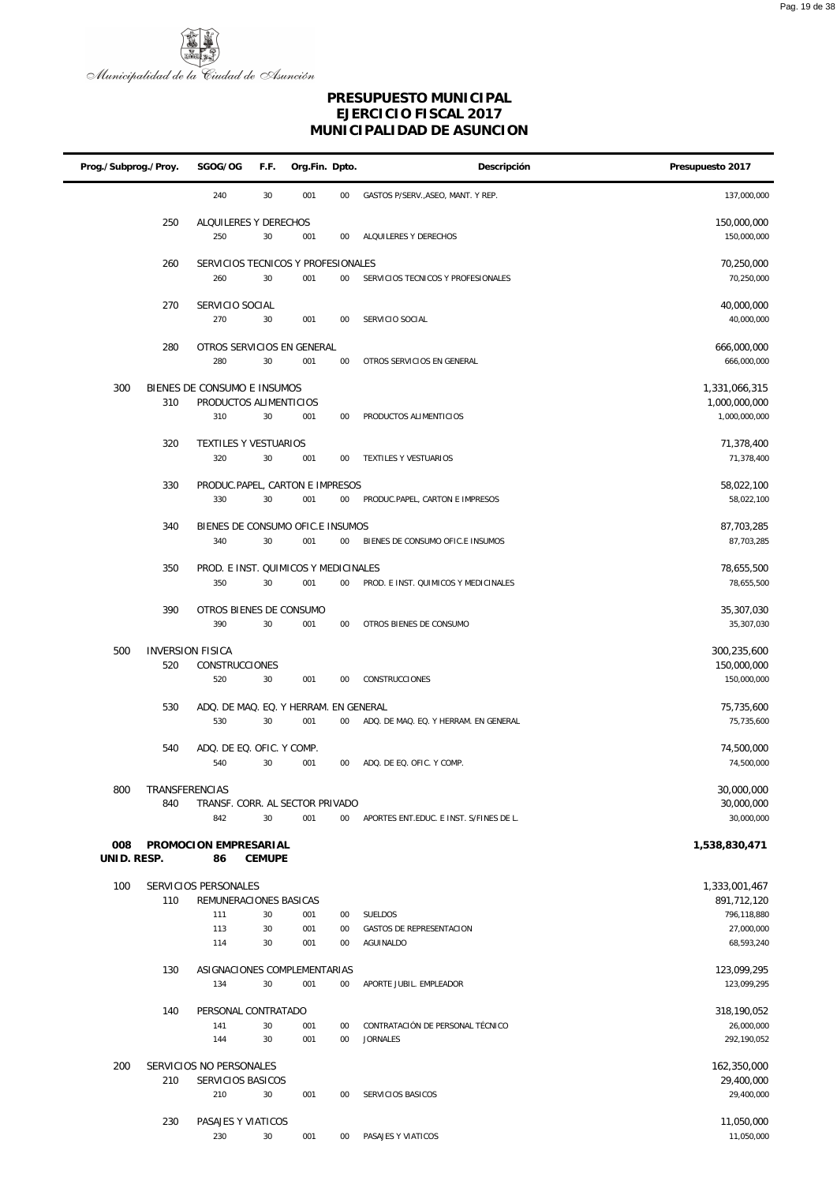

| Prog./Subprog./Proy. |                                | SGOG/OG                                               | F.F.          | Org.Fin. Dpto. |              | Descripción                             | Presupuesto 2017               |
|----------------------|--------------------------------|-------------------------------------------------------|---------------|----------------|--------------|-----------------------------------------|--------------------------------|
|                      |                                | 240                                                   | 30            | 001            | 00           | GASTOS P/SERV., ASEO, MANT. Y REP.      | 137,000,000                    |
|                      | 250                            | ALQUILERES Y DERECHOS<br>250                          | 30            | 001            | 00           | ALQUILERES Y DERECHOS                   | 150,000,000<br>150,000,000     |
|                      |                                |                                                       |               |                |              |                                         |                                |
|                      | 260                            | SERVICIOS TECNICOS Y PROFESIONALES<br>260             | 30            | 001            | 00           | SERVICIOS TECNICOS Y PROFESIONALES      | 70,250,000<br>70,250,000       |
|                      | 270                            | SERVICIO SOCIAL<br>270                                | 30            | 001            | 00           | SERVICIO SOCIAL                         | 40,000,000<br>40,000,000       |
|                      | 280                            | OTROS SERVICIOS EN GENERAL<br>280                     | 30            | 001            | 00           | OTROS SERVICIOS EN GENERAL              | 666,000,000<br>666,000,000     |
| 300                  | 310                            | BIENES DE CONSUMO E INSUMOS<br>PRODUCTOS ALIMENTICIOS |               |                |              |                                         | 1,331,066,315<br>1,000,000,000 |
|                      |                                | 310                                                   | 30            | 001            | 00           | PRODUCTOS ALIMENTICIOS                  | 1,000,000,000                  |
|                      | 320                            | TEXTILES Y VESTUARIOS                                 |               |                |              |                                         | 71,378,400                     |
|                      |                                | 320                                                   | 30            | 001            | 00           | TEXTILES Y VESTUARIOS                   | 71,378,400                     |
|                      | 330                            | PRODUC.PAPEL, CARTON E IMPRESOS<br>330                | 30            | 001            | 00           | PRODUC.PAPEL, CARTON E IMPRESOS         | 58,022,100<br>58,022,100       |
|                      | 340                            | BIENES DE CONSUMO OFIC.E INSUMOS                      |               |                |              |                                         | 87,703,285                     |
|                      |                                | 340                                                   | 30            | 001            | 00           | BIENES DE CONSUMO OFIC.E INSUMOS        | 87,703,285                     |
|                      | 350                            | PROD. E INST. QUIMICOS Y MEDICINALES<br>350           | 30            | 001            | 00           | PROD. E INST. QUIMICOS Y MEDICINALES    | 78,655,500<br>78,655,500       |
|                      |                                |                                                       |               |                |              |                                         |                                |
|                      | 390                            | OTROS BIENES DE CONSUMO<br>390                        | 30            | 001            | 00           | OTROS BIENES DE CONSUMO                 | 35,307,030<br>35,307,030       |
| 500                  | <b>INVERSION FISICA</b><br>520 | CONSTRUCCIONES                                        |               |                |              |                                         | 300,235,600<br>150,000,000     |
|                      |                                | 520                                                   | 30            | 001            | 00           | CONSTRUCCIONES                          | 150,000,000                    |
|                      | 530                            | ADQ. DE MAQ. EQ. Y HERRAM. EN GENERAL                 |               |                |              |                                         | 75,735,600                     |
|                      |                                | 530                                                   | 30            | 001            | 00           | ADQ. DE MAQ. EQ. Y HERRAM. EN GENERAL   | 75,735,600                     |
|                      | 540                            | ADQ. DE EQ. OFIC. Y COMP.                             |               |                |              |                                         | 74,500,000                     |
|                      |                                | 540                                                   | 30            | 001            | 00           | ADQ. DE EQ. OFIC. Y COMP.               | 74,500,000                     |
| 800                  | TRANSFERENCIAS<br>840          | TRANSF. CORR. AL SECTOR PRIVADO                       |               |                |              |                                         | 30,000,000<br>30,000,000       |
|                      |                                | 842                                                   | 30            | 001            | $00\,$       | APORTES ENT.EDUC. E INST. S/FINES DE L. | 30,000,000                     |
| 008<br>UNID. RESP.   |                                | PROMOCION EMPRESARIAL<br>86                           | <b>CEMUPE</b> |                |              |                                         | 1,538,830,471                  |
| 100                  |                                | SERVICIOS PERSONALES                                  |               |                |              |                                         | 1,333,001,467                  |
|                      | 110                            | REMUNERACIONES BASICAS                                |               |                |              |                                         | 891,712,120                    |
|                      |                                | 111<br>113                                            | 30<br>30      | 001<br>001     | $00\,$<br>00 | SUELDOS<br>GASTOS DE REPRESENTACION     | 796,118,880<br>27,000,000      |
|                      |                                | 114                                                   | 30            | 001            | 00           | AGUINALDO                               | 68,593,240                     |
|                      | 130                            | ASIGNACIONES COMPLEMENTARIAS                          |               |                |              |                                         | 123,099,295                    |
|                      |                                | 134                                                   | 30            | 001            | $00\,$       | APORTE JUBIL. EMPLEADOR                 | 123,099,295                    |
|                      | 140                            | PERSONAL CONTRATADO                                   |               |                |              |                                         | 318,190,052                    |
|                      |                                | 141                                                   | 30            | 001            | 00           | CONTRATACIÓN DE PERSONAL TÉCNICO        | 26,000,000                     |
|                      |                                | 144                                                   | 30            | 001            | 00           | <b>JORNALES</b>                         | 292,190,052                    |
| 200                  | 210                            | SERVICIOS NO PERSONALES<br>SERVICIOS BASICOS          |               |                |              |                                         | 162,350,000<br>29,400,000      |
|                      |                                | 210                                                   | 30            | 001            | 00           | SERVICIOS BASICOS                       | 29,400,000                     |
|                      | 230                            | PASAJES Y VIATICOS                                    |               |                |              |                                         | 11,050,000                     |
|                      |                                | 230                                                   | 30            | 001            | $00\,$       | PASAJES Y VIATICOS                      | 11,050,000                     |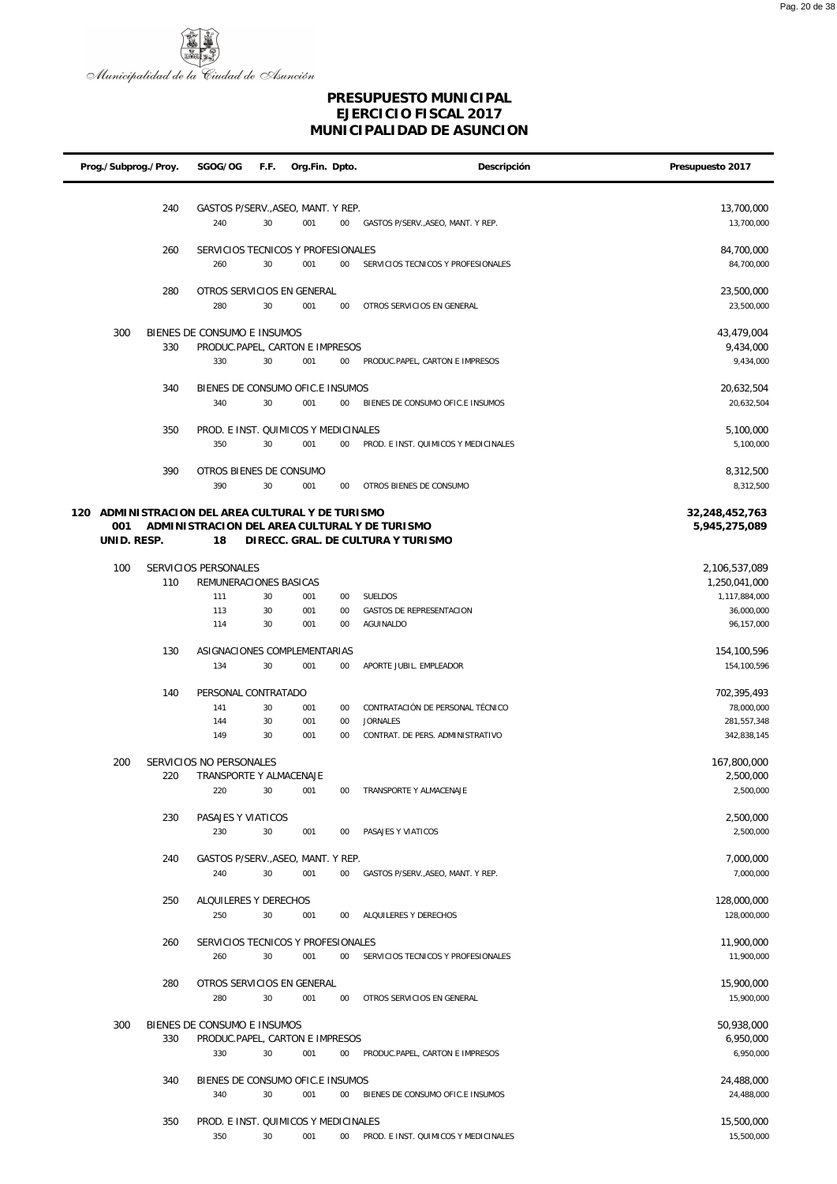

| Prog./Subprog./Proy. |     | SGOG/OG                                       | F.F.     | Org.Fin. Dpto. |                 | Descripción                                   | Presupuesto 2017                |
|----------------------|-----|-----------------------------------------------|----------|----------------|-----------------|-----------------------------------------------|---------------------------------|
|                      |     |                                               |          |                |                 |                                               |                                 |
|                      | 240 | GASTOS P/SERV., ASEO, MANT. Y REP.            |          |                |                 |                                               | 13,700,000                      |
|                      |     | 240                                           | 30       | 001            | $00\,$          | GASTOS P/SERV., ASEO, MANT. Y REP.            | 13,700,000                      |
|                      |     |                                               |          |                |                 |                                               |                                 |
|                      | 260 | SERVICIOS TECNICOS Y PROFESIONALES            |          |                |                 |                                               | 84,700,000                      |
|                      |     | 260                                           | 30       | 001            | $00\,$          | SERVICIOS TECNICOS Y PROFESIONALES            | 84,700,000                      |
|                      | 280 | OTROS SERVICIOS EN GENERAL                    |          |                |                 |                                               | 23,500,000                      |
|                      |     | 280                                           | 30       | 001            | $00\,$          | OTROS SERVICIOS EN GENERAL                    | 23,500,000                      |
|                      |     |                                               |          |                |                 |                                               |                                 |
| 300                  |     | BIENES DE CONSUMO E INSUMOS                   |          |                |                 |                                               | 43,479,004                      |
|                      | 330 | PRODUC.PAPEL, CARTON E IMPRESOS               | 30       |                |                 | PRODUC.PAPEL, CARTON E IMPRESOS               | 9,434,000                       |
|                      |     | 330                                           |          | 001            | 00              |                                               | 9,434,000                       |
|                      | 340 | BIENES DE CONSUMO OFIC.E INSUMOS              |          |                |                 |                                               | 20,632,504                      |
|                      |     | 340                                           | 30       | 001            | $00\,$          | BIENES DE CONSUMO OFIC.E INSUMOS              | 20,632,504                      |
|                      |     |                                               |          |                |                 |                                               |                                 |
|                      | 350 | PROD. E INST. QUIMICOS Y MEDICINALES<br>350   | 30       | 001            | 00              | PROD. E INST. QUIMICOS Y MEDICINALES          | 5,100,000<br>5,100,000          |
|                      |     |                                               |          |                |                 |                                               |                                 |
|                      | 390 | OTROS BIENES DE CONSUMO                       |          |                |                 |                                               | 8,312,500                       |
|                      |     | 390                                           | 30       | 001            | $00\,$          | OTROS BIENES DE CONSUMO                       | 8,312,500                       |
|                      |     |                                               |          |                |                 |                                               |                                 |
| 120<br>001           |     | ADMINISTRACION DEL AREA CULTURAL Y DE TURISMO |          |                |                 | ADMINISTRACION DEL AREA CULTURAL Y DE TURISMO | 32,248,452,763<br>5,945,275,089 |
| UNID. RESP.          |     | 18                                            |          |                |                 | DIRECC. GRAL. DE CULTURA Y TURISMO            |                                 |
|                      |     |                                               |          |                |                 |                                               |                                 |
| 100                  |     | SERVICIOS PERSONALES                          |          |                |                 |                                               | 2,106,537,089                   |
|                      | 110 | REMUNERACIONES BASICAS                        |          |                |                 |                                               | 1,250,041,000                   |
|                      |     | 111<br>113                                    | 30<br>30 | 001<br>001     | 00<br>00        | SUELDOS<br><b>GASTOS DE REPRESENTACION</b>    | 1,117,884,000<br>36,000,000     |
|                      |     | 114                                           | 30       | 001            | $00\,$          | AGUINALDO                                     | 96,157,000                      |
|                      |     |                                               |          |                |                 |                                               |                                 |
|                      | 130 | ASIGNACIONES COMPLEMENTARIAS                  |          |                |                 |                                               | 154,100,596                     |
|                      |     | 134                                           | 30       | 001            | $00\,$          | APORTE JUBIL. EMPLEADOR                       | 154,100,596                     |
|                      | 140 | PERSONAL CONTRATADO                           |          |                |                 |                                               | 702,395,493                     |
|                      |     | 141                                           | 30       | 001            | 00              | CONTRATACIÓN DE PERSONAL TÉCNICO              | 78,000,000                      |
|                      |     | 144                                           | 30       | 001            | 00              | <b>JORNALES</b>                               | 281, 557, 348                   |
|                      |     | 149                                           | 30       | 001            | 00              | CONTRAT. DE PERS. ADMINISTRATIVO              | 342,838,145                     |
|                      |     | SERVICIOS NO PERSONALES                       |          |                |                 |                                               |                                 |
| 200                  | 220 | TRANSPORTE Y ALMACENAJE                       |          |                |                 |                                               | 167,800,000<br>2,500,000        |
|                      |     | 220                                           | 30       | 001            | $00\,$          | TRANSPORTE Y ALMACENAJE                       | 2,500,000                       |
|                      |     |                                               |          |                |                 |                                               |                                 |
|                      | 230 | PASAJES Y VIATICOS                            |          |                |                 |                                               | 2,500,000                       |
|                      |     | 230                                           | 30       | 001            | $00\,$          | PASAJES Y VIATICOS                            | 2,500,000                       |
|                      | 240 | GASTOS P/SERV., ASEO, MANT. Y REP.            |          |                |                 |                                               | 7,000,000                       |
|                      |     | 240                                           | 30       | 001            | $00\,$          | GASTOS P/SERV., ASEO, MANT. Y REP.            | 7,000,000                       |
|                      |     |                                               |          |                |                 |                                               |                                 |
|                      | 250 | ALQUILERES Y DERECHOS                         |          |                |                 |                                               | 128,000,000                     |
|                      |     | 250                                           | 30       | 001            | $00\,$          | ALQUILERES Y DERECHOS                         | 128,000,000                     |
|                      | 260 | SERVICIOS TECNICOS Y PROFESIONALES            |          |                |                 |                                               | 11,900,000                      |
|                      |     | 260                                           | 30       | 001            | $00\,$          | SERVICIOS TECNICOS Y PROFESIONALES            | 11,900,000                      |
|                      |     |                                               |          |                |                 |                                               |                                 |
|                      | 280 | OTROS SERVICIOS EN GENERAL                    |          |                |                 |                                               | 15,900,000                      |
|                      |     | 280                                           | 30       | 001            | $00\,$          | OTROS SERVICIOS EN GENERAL                    | 15,900,000                      |
| 300                  |     | BIENES DE CONSUMO E INSUMOS                   |          |                |                 |                                               | 50,938,000                      |
|                      | 330 | PRODUC.PAPEL, CARTON E IMPRESOS               |          |                |                 |                                               | 6,950,000                       |
|                      |     | 330                                           | 30       | 001            | $00\,$          | PRODUC.PAPEL, CARTON E IMPRESOS               | 6,950,000                       |
|                      |     |                                               |          |                |                 |                                               |                                 |
|                      | 340 | BIENES DE CONSUMO OFIC.E INSUMOS<br>340       | 30       | 001            | 00              | BIENES DE CONSUMO OFIC.E INSUMOS              | 24,488,000<br>24,488,000        |
|                      |     |                                               |          |                |                 |                                               |                                 |
|                      | 350 | PROD. E INST. QUIMICOS Y MEDICINALES          |          |                |                 |                                               | 15,500,000                      |
|                      |     | 350                                           | 30       | 001            | 00 <sup>°</sup> | PROD. E INST. QUIMICOS Y MEDICINALES          | 15,500,000                      |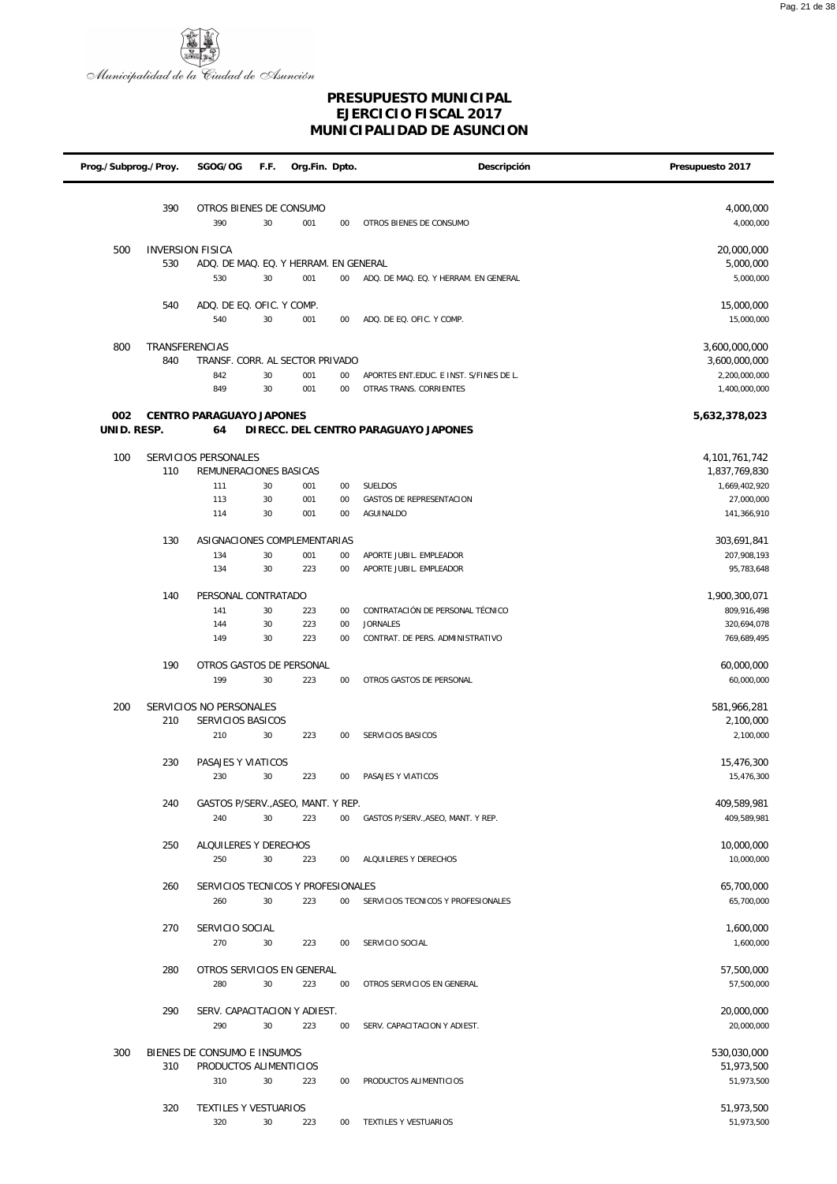

| Prog./Subprog./Proy. |                       | SGOG/OG                                               | F.F.     | Org.Fin. Dpto. |              | Descripción                                         | Presupuesto 2017               |
|----------------------|-----------------------|-------------------------------------------------------|----------|----------------|--------------|-----------------------------------------------------|--------------------------------|
|                      |                       |                                                       |          |                |              |                                                     |                                |
|                      | 390                   | OTROS BIENES DE CONSUMO                               |          |                |              |                                                     | 4,000,000                      |
|                      |                       | 390                                                   | 30       | 001            | $00\,$       | OTROS BIENES DE CONSUMO                             | 4,000,000                      |
| 500                  |                       | <b>INVERSION FISICA</b>                               |          |                |              |                                                     | 20,000,000                     |
|                      | 530                   | ADQ. DE MAQ. EQ. Y HERRAM. EN GENERAL                 |          |                |              |                                                     | 5,000,000                      |
|                      |                       | 530                                                   | 30       | 001            | $00\,$       | ADQ. DE MAQ. EQ. Y HERRAM. EN GENERAL               | 5,000,000                      |
|                      | 540                   | ADQ. DE EQ. OFIC. Y COMP.                             |          |                |              |                                                     |                                |
|                      |                       | 540                                                   | 30       | 001            | $00\,$       | ADQ. DE EQ. OFIC. Y COMP.                           | 15,000,000<br>15,000,000       |
|                      |                       |                                                       |          |                |              |                                                     |                                |
| 800                  | <b>TRANSFERENCIAS</b> |                                                       |          |                |              |                                                     | 3,600,000,000                  |
|                      | 840                   | TRANSF. CORR. AL SECTOR PRIVADO<br>842                | 30       | 001            | $00\,$       | APORTES ENT.EDUC. E INST. S/FINES DE L.             | 3,600,000,000<br>2,200,000,000 |
|                      |                       | 849                                                   | 30       | 001            | $00\,$       | OTRAS TRANS. CORRIENTES                             | 1,400,000,000                  |
|                      |                       |                                                       |          |                |              |                                                     |                                |
| 002<br>UNID. RESP.   |                       | CENTRO PARAGUAYO JAPONES<br>64                        |          |                |              | DI RECC. DEL CENTRO PARAGUAYO JAPONES               | 5,632,378,023                  |
|                      |                       |                                                       |          |                |              |                                                     |                                |
| 100                  |                       | SERVICIOS PERSONALES                                  |          |                |              |                                                     | 4,101,761,742                  |
|                      | 110                   | REMUNERACIONES BASICAS                                |          |                |              |                                                     | 1,837,769,830                  |
|                      |                       | 111<br>113                                            | 30<br>30 | 001<br>001     | $00\,$<br>00 | SUELDOS<br><b>GASTOS DE REPRESENTACION</b>          | 1,669,402,920<br>27,000,000    |
|                      |                       | 114                                                   | 30       | 001            | $00\,$       | <b>AGUINALDO</b>                                    | 141,366,910                    |
|                      |                       |                                                       |          |                |              |                                                     |                                |
|                      | 130                   | ASIGNACIONES COMPLEMENTARIAS<br>134                   | 30       | 001            | 00           | APORTE JUBIL. EMPLEADOR                             | 303,691,841<br>207,908,193     |
|                      |                       | 134                                                   | 30       | 223            | $00\,$       | APORTE JUBIL. EMPLEADOR                             | 95,783,648                     |
|                      |                       |                                                       |          |                |              |                                                     |                                |
|                      | 140                   | PERSONAL CONTRATADO                                   |          |                |              |                                                     | 1,900,300,071                  |
|                      |                       | 141<br>144                                            | 30<br>30 | 223<br>223     | $00\,$<br>00 | CONTRATACIÓN DE PERSONAL TÉCNICO<br><b>JORNALES</b> | 809,916,498<br>320,694,078     |
|                      |                       | 149                                                   | 30       | 223            | 00           | CONTRAT. DE PERS. ADMINISTRATIVO                    | 769,689,495                    |
|                      | 190                   |                                                       |          |                |              |                                                     |                                |
|                      |                       | OTROS GASTOS DE PERSONAL<br>199                       | 30       | 223            | 00           | OTROS GASTOS DE PERSONAL                            | 60,000,000<br>60,000,000       |
|                      |                       |                                                       |          |                |              |                                                     |                                |
| 200                  |                       | SERVICIOS NO PERSONALES                               |          |                |              |                                                     | 581,966,281                    |
|                      | 210                   | SERVICIOS BASICOS<br>210                              | 30       | 223            | $00\,$       | SERVICIOS BASICOS                                   | 2,100,000<br>2,100,000         |
|                      |                       |                                                       |          |                |              |                                                     |                                |
|                      | 230                   | PASAJES Y VIATICOS                                    |          |                |              |                                                     | 15,476,300                     |
|                      |                       | 230                                                   | 30       | 223            | $00\,$       | PASAJES Y VIATICOS                                  | 15,476,300                     |
|                      | 240                   | GASTOS P/SERV., ASEO, MANT. Y REP.                    |          |                |              |                                                     | 409,589,981                    |
|                      |                       | 240                                                   | 30       | 223            | $00\,$       | GASTOS P/SERV., ASEO, MANT. Y REP.                  | 409,589,981                    |
|                      | 250                   | ALQUILERES Y DERECHOS                                 |          |                |              |                                                     | 10,000,000                     |
|                      |                       | 250                                                   | 30       | 223            | $00\,$       | ALQUILERES Y DERECHOS                               | 10,000,000                     |
|                      |                       |                                                       |          |                |              |                                                     |                                |
|                      | 260                   | SERVICIOS TECNICOS Y PROFESIONALES<br>260             | 30       | 223            | $00\,$       | SERVICIOS TECNICOS Y PROFESIONALES                  | 65,700,000<br>65,700,000       |
|                      |                       |                                                       |          |                |              |                                                     |                                |
|                      | 270                   | SERVICIO SOCIAL                                       |          |                |              |                                                     | 1,600,000                      |
|                      |                       | 270                                                   | 30       | 223            | $00\,$       | SERVICIO SOCIAL                                     | 1,600,000                      |
|                      | 280                   | OTROS SERVICIOS EN GENERAL                            |          |                |              |                                                     | 57,500,000                     |
|                      |                       | 280                                                   | 30       | 223            | $00\,$       | OTROS SERVICIOS EN GENERAL                          | 57,500,000                     |
|                      | 290                   | SERV. CAPACITACION Y ADIEST.                          |          |                |              |                                                     | 20,000,000                     |
|                      |                       | 290                                                   | 30       | 223            | $00\,$       | SERV. CAPACITACION Y ADIEST.                        | 20,000,000                     |
|                      |                       |                                                       |          |                |              |                                                     |                                |
| 300                  | 310                   | BIENES DE CONSUMO E INSUMOS<br>PRODUCTOS ALIMENTICIOS |          |                |              |                                                     | 530,030,000<br>51,973,500      |
|                      |                       | 310                                                   | 30       | 223            | $00\,$       | PRODUCTOS ALIMENTICIOS                              | 51,973,500                     |
|                      |                       |                                                       |          |                |              |                                                     |                                |
|                      | 320                   | TEXTILES Y VESTUARIOS                                 |          |                |              |                                                     | 51,973,500                     |
|                      |                       | 320                                                   | 30       | 223            | $00\,$       | TEXTILES Y VESTUARIOS                               | 51,973,500                     |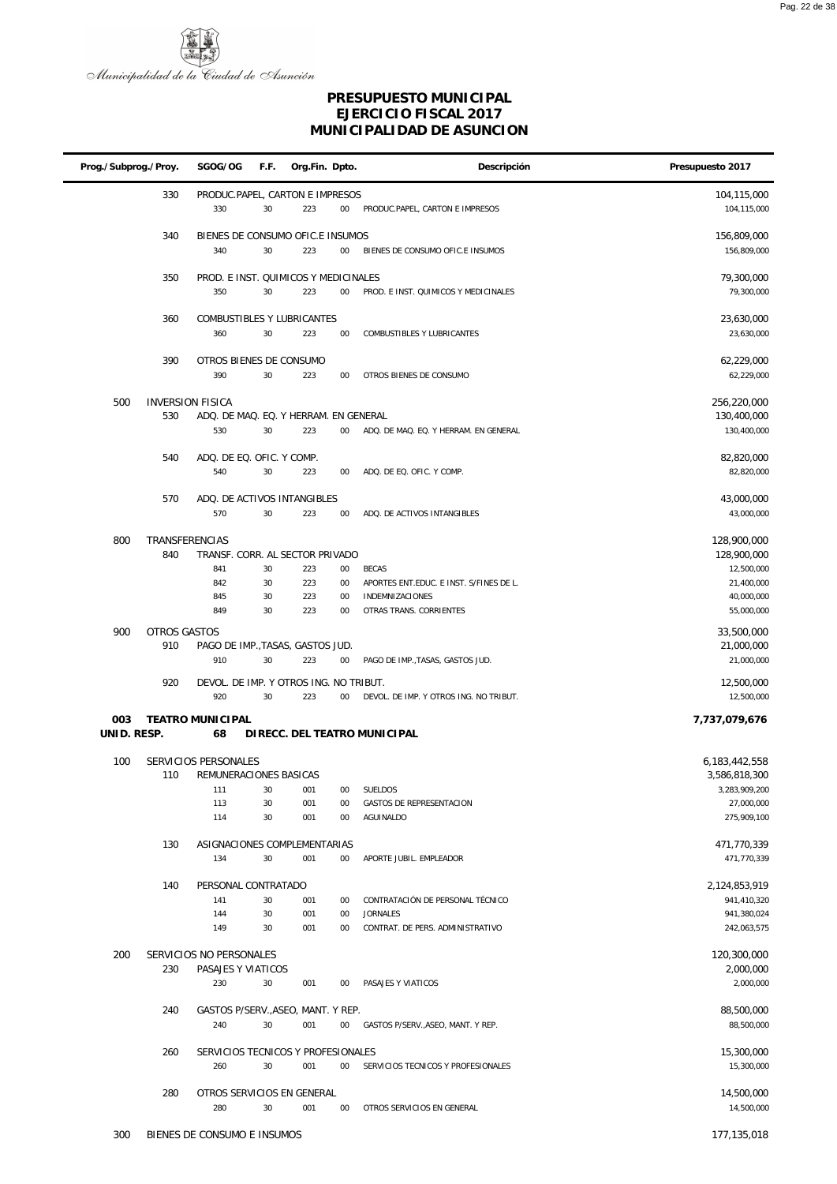



| Prog./Subprog./Proy. |                | SGOG/OG<br>F.F.                                                  | Org.Fin. Dpto. |        | Descripción                             | Presupuesto 2017           |
|----------------------|----------------|------------------------------------------------------------------|----------------|--------|-----------------------------------------|----------------------------|
|                      | 330            | PRODUC.PAPEL, CARTON E IMPRESOS<br>330<br>30                     | 223            | 00     | PRODUC.PAPEL, CARTON E IMPRESOS         | 104,115,000<br>104,115,000 |
|                      | 340            | BIENES DE CONSUMO OFIC.E INSUMOS<br>340<br>30                    | 223            | $00\,$ | BIENES DE CONSUMO OFIC.E INSUMOS        | 156,809,000<br>156,809,000 |
|                      | 350            | PROD. E INST. QUIMICOS Y MEDICINALES<br>350<br>30                | 223            | 00     | PROD. E INST. QUIMICOS Y MEDICINALES    | 79,300,000<br>79,300,000   |
|                      | 360            | COMBUSTIBLES Y LUBRICANTES<br>30<br>360                          | 223            | 00     | COMBUSTIBLES Y LUBRICANTES              | 23,630,000<br>23,630,000   |
|                      | 390            | OTROS BIENES DE CONSUMO<br>390<br>30                             | 223            | 00     | OTROS BIENES DE CONSUMO                 | 62,229,000<br>62,229,000   |
|                      |                |                                                                  |                |        |                                         |                            |
| 500                  | 530            | <b>INVERSION FISICA</b><br>ADQ. DE MAQ. EQ. Y HERRAM. EN GENERAL |                |        |                                         | 256,220,000<br>130,400,000 |
|                      |                | 530<br>30                                                        | 223            | 00     | ADQ. DE MAQ. EQ. Y HERRAM. EN GENERAL   | 130,400,000                |
|                      | 540            | ADQ. DE EQ. OFIC. Y COMP.                                        |                |        |                                         | 82,820,000                 |
|                      |                | 540<br>30                                                        | 223            | 00     | ADQ. DE EQ. OFIC. Y COMP.               | 82,820,000                 |
|                      | 570            | ADQ. DE ACTIVOS INTANGIBLES                                      |                |        |                                         | 43,000,000                 |
|                      |                | 570<br>30                                                        | 223            | 00     | ADQ. DE ACTIVOS INTANGIBLES             | 43,000,000                 |
| 800                  | TRANSFERENCIAS |                                                                  |                |        |                                         | 128,900,000                |
|                      | 840            | TRANSF. CORR. AL SECTOR PRIVADO                                  |                |        |                                         | 128,900,000                |
|                      |                | 30<br>841                                                        | 223            | 00     | <b>BECAS</b>                            | 12,500,000                 |
|                      |                | 842<br>30                                                        | 223            | 00     | APORTES ENT.EDUC. E INST. S/FINES DE L. | 21,400,000                 |
|                      |                | 30<br>845                                                        | 223            | 00     | INDEMNIZACIONES                         | 40,000,000                 |
|                      |                | 30<br>849                                                        | 223            | 00     | OTRAS TRANS. CORRIENTES                 | 55,000,000                 |
| 900                  | OTROS GASTOS   |                                                                  |                |        |                                         | 33,500,000                 |
|                      | 910            | PAGO DE IMP., TASAS, GASTOS JUD.                                 |                |        |                                         | 21,000,000                 |
|                      |                | 910<br>30                                                        | 223            | 00     | PAGO DE IMP., TASAS, GASTOS JUD.        | 21,000,000                 |
|                      | 920            | DEVOL. DE IMP. Y OTROS ING. NO TRIBUT.                           |                |        |                                         | 12,500,000                 |
|                      |                | 920<br>30                                                        | 223            | 00     | DEVOL. DE IMP. Y OTROS ING. NO TRIBUT.  | 12,500,000                 |
| 003<br>UNID. RESP.   |                | <b>TEATRO MUNICIPAL</b><br>68                                    |                |        | DIRECC. DEL TEATRO MUNICIPAL            | 7,737,079,676              |
| 100                  |                | SERVICIOS PERSONALES                                             |                |        |                                         | 6,183,442,558              |
|                      | 110            | REMUNERACIONES BASICAS                                           |                |        |                                         | 3,586,818,300              |
|                      |                | 111<br>30                                                        | 001            | 00     | SUELDOS                                 | 3,283,909,200              |
|                      |                | 113<br>30                                                        | 001            | 00     | GASTOS DE REPRESENTACION                | 27,000,000                 |
|                      |                | 114<br>30                                                        | 001            | 00     | AGUINALDO                               | 275,909,100                |
|                      | 130            | ASIGNACIONES COMPLEMENTARIAS                                     |                |        |                                         | 471,770,339                |
|                      |                | 134<br>30                                                        | 001            | 00     | APORTE JUBIL. EMPLEADOR                 | 471,770,339                |
|                      | 140            | PERSONAL CONTRATADO                                              |                |        |                                         | 2,124,853,919              |
|                      |                | 141<br>30                                                        | 001            | 00     | CONTRATACIÓN DE PERSONAL TÉCNICO        | 941,410,320                |
|                      |                | 30<br>144                                                        | 001            | 00     | <b>JORNALES</b>                         | 941,380,024                |
|                      |                | 149<br>30                                                        | 001            | 00     | CONTRAT. DE PERS. ADMINISTRATIVO        | 242,063,575                |
| 200                  |                | SERVICIOS NO PERSONALES                                          |                |        |                                         | 120,300,000                |
|                      | 230            | PASAJES Y VIATICOS                                               |                |        |                                         | 2,000,000                  |
|                      |                | 230<br>30                                                        | 001            | 00     | PASAJES Y VIATICOS                      | 2,000,000                  |
|                      |                |                                                                  |                |        |                                         |                            |
|                      | 240            | GASTOS P/SERV., ASEO, MANT. Y REP.<br>30<br>240                  | 001            | 00     | GASTOS P/SERV., ASEO, MANT. Y REP.      | 88,500,000<br>88,500,000   |
|                      |                |                                                                  |                |        |                                         |                            |
|                      | 260            | SERVICIOS TECNICOS Y PROFESIONALES                               |                |        |                                         | 15,300,000                 |
|                      |                | 30<br>260                                                        | 001            | $00\,$ | SERVICIOS TECNICOS Y PROFESIONALES      | 15,300,000                 |
|                      | 280            | OTROS SERVICIOS EN GENERAL                                       |                |        |                                         | 14,500,000                 |
|                      |                | 280<br>30                                                        | 001            | 00     | OTROS SERVICIOS EN GENERAL              | 14,500,000                 |
|                      |                |                                                                  |                |        |                                         |                            |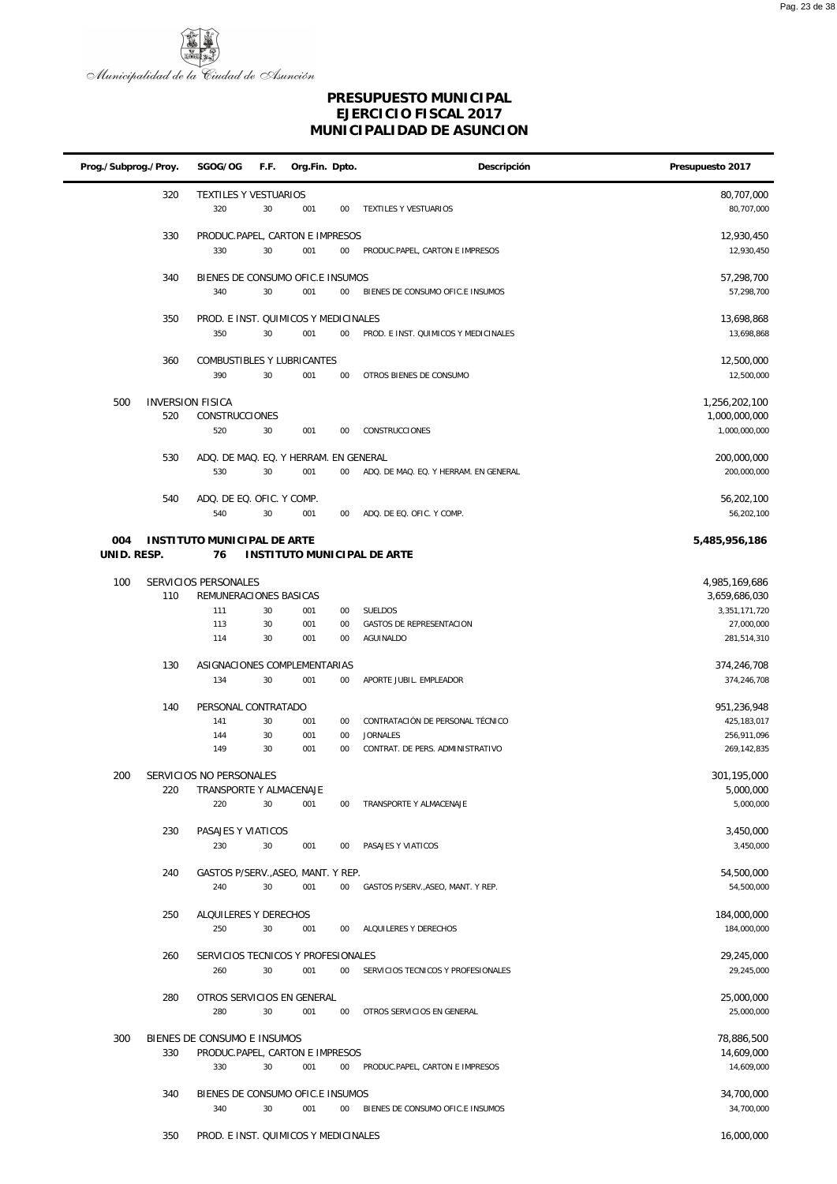

| Prog./Subprog./Proy. |     | SGOG/OG                                      | F.F.     | Org.Fin. Dpto. |          | Descripción                                  | Presupuesto 2017               |
|----------------------|-----|----------------------------------------------|----------|----------------|----------|----------------------------------------------|--------------------------------|
|                      | 320 | TEXTILES Y VESTUARIOS<br>320                 | 30       | 001            | 00       | TEXTILES Y VESTUARIOS                        | 80,707,000<br>80,707,000       |
|                      | 330 | PRODUC.PAPEL, CARTON E IMPRESOS<br>330       | 30       | 001            | $00\,$   | PRODUC.PAPEL, CARTON E IMPRESOS              | 12,930,450<br>12,930,450       |
|                      | 340 | BIENES DE CONSUMO OFIC.E INSUMOS<br>340      | 30       | 001            | 00       | BIENES DE CONSUMO OFIC.E INSUMOS             | 57,298,700<br>57,298,700       |
|                      | 350 | PROD. E INST. QUIMICOS Y MEDICINALES<br>350  | 30       | 001            | $00\,$   | PROD. E INST. QUIMICOS Y MEDICINALES         | 13,698,868<br>13,698,868       |
|                      | 360 | COMBUSTIBLES Y LUBRICANTES<br>390            | 30       | 001            | 00       | OTROS BIENES DE CONSUMO                      | 12,500,000<br>12,500,000       |
| 500                  | 520 | <b>INVERSION FISICA</b><br>CONSTRUCCIONES    |          |                |          |                                              | 1,256,202,100<br>1,000,000,000 |
|                      |     | 520                                          | 30       | 001            | 00       | CONSTRUCCIONES                               | 1,000,000,000                  |
|                      | 530 | ADQ. DE MAQ. EQ. Y HERRAM. EN GENERAL<br>530 | 30       | 001            | 00       | ADQ. DE MAQ. EQ. Y HERRAM. EN GENERAL        | 200,000,000<br>200,000,000     |
|                      | 540 | ADQ. DE EQ. OFIC. Y COMP.<br>540             | 30       | 001            | 00       | ADQ. DE EQ. OFIC. Y COMP.                    | 56,202,100<br>56,202,100       |
| 004<br>UNID. RESP.   |     | <b>INSTITUTO MUNICIPAL DE ARTE</b><br>76     |          |                |          | INSTITUTO MUNICIPAL DE ARTE                  | 5,485,956,186                  |
| 100                  |     | SERVICIOS PERSONALES                         |          |                |          |                                              | 4,985,169,686                  |
|                      | 110 | REMUNERACIONES BASICAS                       |          |                |          |                                              | 3,659,686,030                  |
|                      |     | 111                                          | 30       | 001            | 00       | SUELDOS                                      | 3,351,171,720                  |
|                      |     | 113<br>114                                   | 30<br>30 | 001<br>001     | 00<br>00 | <b>GASTOS DE REPRESENTACION</b><br>AGUINALDO | 27,000,000<br>281,514,310      |
|                      | 130 | ASIGNACIONES COMPLEMENTARIAS                 |          |                |          |                                              | 374,246,708                    |
|                      |     | 134                                          | 30       | 001            | 00       | APORTE JUBIL. EMPLEADOR                      | 374,246,708                    |
|                      | 140 | PERSONAL CONTRATADO                          |          |                |          |                                              | 951,236,948                    |
|                      |     | 141                                          | 30       | 001            | 00       | CONTRATACIÓN DE PERSONAL TÉCNICO             | 425, 183, 017                  |
|                      |     | 144                                          | 30       | 001            | 00       | <b>JORNALES</b>                              | 256,911,096                    |
|                      |     | 149                                          | 30       | 001            | 00       | CONTRAT. DE PERS. ADMINISTRATIVO             | 269,142,835                    |
| 200                  |     | SERVICIOS NO PERSONALES                      |          |                |          |                                              | 301,195,000                    |
|                      | 220 | TRANSPORTE Y ALMACENAJE<br>220               | 30       | 001            | 00       | TRANSPORTE Y ALMACENAJE                      | 5,000,000<br>5,000,000         |
|                      | 230 | PASAJES Y VIATICOS                           |          |                |          |                                              | 3,450,000                      |
|                      |     | 230                                          | 30       | 001            | $00\,$   | PASAJES Y VIATICOS                           | 3,450,000                      |
|                      | 240 | GASTOS P/SERV., ASEO, MANT. Y REP.           |          |                |          |                                              | 54,500,000                     |
|                      |     | 240                                          | 30       | 001            | $00\,$   | GASTOS P/SERV., ASEO, MANT. Y REP.           | 54,500,000                     |
|                      | 250 | ALQUILERES Y DERECHOS                        |          |                |          |                                              | 184,000,000                    |
|                      |     | 250                                          | 30       | 001            | $00\,$   | ALQUILERES Y DERECHOS                        | 184,000,000                    |
|                      | 260 | SERVICIOS TECNICOS Y PROFESIONALES           |          |                |          |                                              | 29,245,000                     |
|                      |     | 260                                          | 30       | 001            | $00\,$   | SERVICIOS TECNICOS Y PROFESIONALES           | 29,245,000                     |
|                      | 280 | OTROS SERVICIOS EN GENERAL                   |          |                |          |                                              | 25,000,000                     |
|                      |     | 280                                          | 30       | 001            | $00\,$   | OTROS SERVICIOS EN GENERAL                   | 25,000,000                     |
| 300                  |     | BIENES DE CONSUMO E INSUMOS                  |          |                |          |                                              | 78,886,500                     |
|                      | 330 | PRODUC.PAPEL, CARTON E IMPRESOS<br>330       | 30       | 001            | $00\,$   | PRODUC.PAPEL, CARTON E IMPRESOS              | 14,609,000<br>14,609,000       |
|                      |     |                                              |          |                |          |                                              |                                |
|                      | 340 | BIENES DE CONSUMO OFIC.E INSUMOS<br>340      | 30       | 001            | $00\,$   | BIENES DE CONSUMO OFIC.E INSUMOS             | 34,700,000<br>34,700,000       |
|                      | 350 | PROD. E INST. QUIMICOS Y MEDICINALES         |          |                |          |                                              | 16,000,000                     |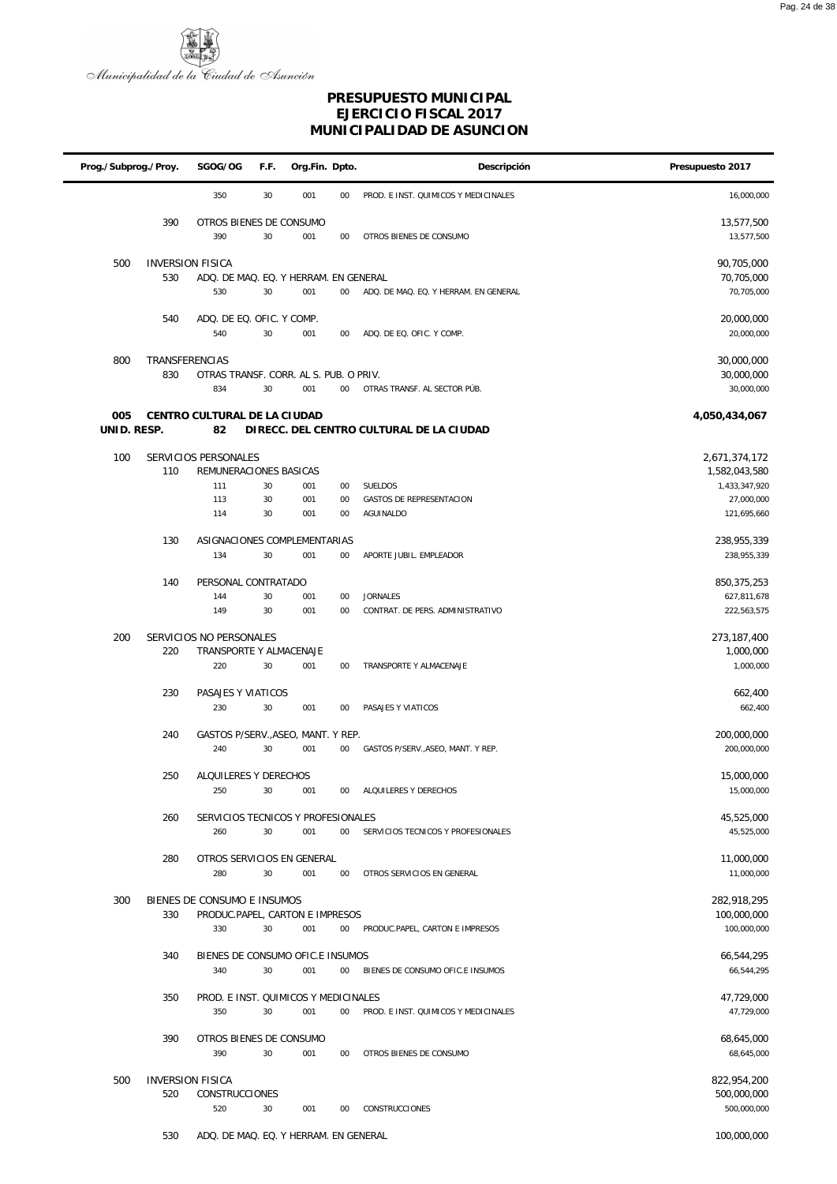

| Prog./Subprog./Proy. |                | SGOG/OG                                     | F.F. | Org.Fin. Dpto. |        | Descripción                              | Presupuesto 2017               |
|----------------------|----------------|---------------------------------------------|------|----------------|--------|------------------------------------------|--------------------------------|
|                      |                | 350                                         | 30   | 001            | 00     | PROD. E INST. QUIMICOS Y MEDICINALES     | 16,000,000                     |
|                      | 390            | OTROS BIENES DE CONSUMO<br>390              | 30   | 001            | 00     | OTROS BIENES DE CONSUMO                  | 13,577,500<br>13,577,500       |
| 500                  |                | <b>INVERSION FISICA</b>                     |      |                |        |                                          | 90,705,000                     |
|                      | 530            | ADQ. DE MAQ. EQ. Y HERRAM. EN GENERAL       |      |                |        |                                          | 70,705,000                     |
|                      |                | 530                                         | 30   | 001            | 00     | ADQ. DE MAQ. EQ. Y HERRAM. EN GENERAL    | 70,705,000                     |
|                      |                |                                             |      |                |        |                                          |                                |
|                      | 540            | ADQ. DE EQ. OFIC. Y COMP.<br>540            | 30   | 001            | 00     | ADQ. DE EQ. OFIC. Y COMP.                | 20,000,000<br>20,000,000       |
| 800                  | TRANSFERENCIAS |                                             |      |                |        |                                          | 30,000,000                     |
|                      | 830            | OTRAS TRANSF. CORR. AL S. PUB. O PRIV.      |      |                |        |                                          | 30,000,000                     |
|                      |                | 834                                         | 30   | 001            | $00\,$ | OTRAS TRANSF. AL SECTOR PÚB.             | 30,000,000                     |
| 005<br>UNID. RESP.   |                | CENTRO CULTURAL DE LA CIUDAD<br>82          |      |                |        | DIRECC. DEL CENTRO CULTURAL DE LA CIUDAD | 4,050,434,067                  |
|                      |                |                                             |      |                |        |                                          |                                |
| 100                  | 110            | SERVICIOS PERSONALES                        |      |                |        |                                          | 2,671,374,172                  |
|                      |                | REMUNERACIONES BASICAS<br>111               | 30   | 001            | $00\,$ | SUELDOS                                  | 1,582,043,580<br>1,433,347,920 |
|                      |                | 113                                         | 30   | 001            | 00     | GASTOS DE REPRESENTACION                 | 27,000,000                     |
|                      |                | 114                                         | 30   | 001            | 00     | AGUINALDO                                | 121,695,660                    |
|                      |                |                                             |      |                |        |                                          |                                |
|                      | 130            | ASIGNACIONES COMPLEMENTARIAS<br>134         | 30   | 001            | $00\,$ | APORTE JUBIL. EMPLEADOR                  | 238,955,339<br>238,955,339     |
|                      |                |                                             |      |                |        |                                          |                                |
|                      | 140            | PERSONAL CONTRATADO<br>144                  | 30   | 001            | 00     | <b>JORNALES</b>                          | 850, 375, 253<br>627,811,678   |
|                      |                | 149                                         | 30   | 001            | 00     | CONTRAT. DE PERS. ADMINISTRATIVO         | 222,563,575                    |
|                      |                |                                             |      |                |        |                                          |                                |
| 200                  |                | SERVICIOS NO PERSONALES                     |      |                |        |                                          | 273,187,400                    |
|                      | 220            | TRANSPORTE Y ALMACENAJE                     |      |                |        |                                          | 1,000,000                      |
|                      |                | 220                                         | 30   | 001            | 00     | TRANSPORTE Y ALMACENAJE                  | 1,000,000                      |
|                      | 230            | PASAJES Y VIATICOS                          |      |                |        |                                          | 662,400                        |
|                      |                | 230                                         | 30   | 001            | 00     | PASAJES Y VIATICOS                       | 662,400                        |
|                      |                |                                             |      |                |        |                                          |                                |
|                      | 240            | GASTOS P/SERV., ASEO, MANT. Y REP.          |      |                |        |                                          | 200,000,000                    |
|                      |                | 240                                         | 30   | 001            | $00\,$ | GASTOS P/SERV., ASEO, MANT. Y REP.       | 200,000,000                    |
|                      | 250            | ALQUILERES Y DERECHOS                       |      |                |        |                                          | 15,000,000                     |
|                      |                | 250                                         | 30   | 001            | 00     | ALQUILERES Y DERECHOS                    | 15,000,000                     |
|                      |                |                                             |      |                |        |                                          |                                |
|                      | 260            | SERVICIOS TECNICOS Y PROFESIONALES          |      |                |        |                                          | 45,525,000                     |
|                      |                | 260                                         | 30   | 001            | $00\,$ | SERVICIOS TECNICOS Y PROFESIONALES       | 45,525,000                     |
|                      | 280            | OTROS SERVICIOS EN GENERAL                  |      |                |        |                                          | 11,000,000                     |
|                      |                | 280                                         | 30   | 001            | $00\,$ | OTROS SERVICIOS EN GENERAL               | 11,000,000                     |
|                      |                |                                             |      |                |        |                                          |                                |
| 300                  |                | BIENES DE CONSUMO E INSUMOS                 |      |                |        |                                          | 282,918,295                    |
|                      | 330            | PRODUC.PAPEL, CARTON E IMPRESOS<br>330      | 30   | 001            | $00\,$ | PRODUC.PAPEL, CARTON E IMPRESOS          | 100,000,000<br>100,000,000     |
|                      |                |                                             |      |                |        |                                          |                                |
|                      | 340            | BIENES DE CONSUMO OFIC.E INSUMOS            |      |                |        |                                          | 66,544,295                     |
|                      |                | 340                                         | 30   | 001            | $00\,$ | BIENES DE CONSUMO OFIC.E INSUMOS         | 66,544,295                     |
|                      | 350            |                                             |      |                |        |                                          |                                |
|                      |                | PROD. E INST. QUIMICOS Y MEDICINALES<br>350 | 30   | 001            | 00     | PROD. E INST. QUIMICOS Y MEDICINALES     | 47,729,000<br>47,729,000       |
|                      |                |                                             |      |                |        |                                          |                                |
|                      | 390            | OTROS BIENES DE CONSUMO                     |      |                |        |                                          | 68,645,000                     |
|                      |                | 390                                         | 30   | 001            | 00     | OTROS BIENES DE CONSUMO                  | 68,645,000                     |
|                      |                |                                             |      |                |        |                                          |                                |
| 500                  | 520            | <b>INVERSION FISICA</b><br>CONSTRUCCIONES   |      |                |        |                                          | 822,954,200<br>500,000,000     |
|                      |                | 520                                         | 30   | 001            | $00\,$ | CONSTRUCCIONES                           | 500,000,000                    |
|                      |                |                                             |      |                |        |                                          |                                |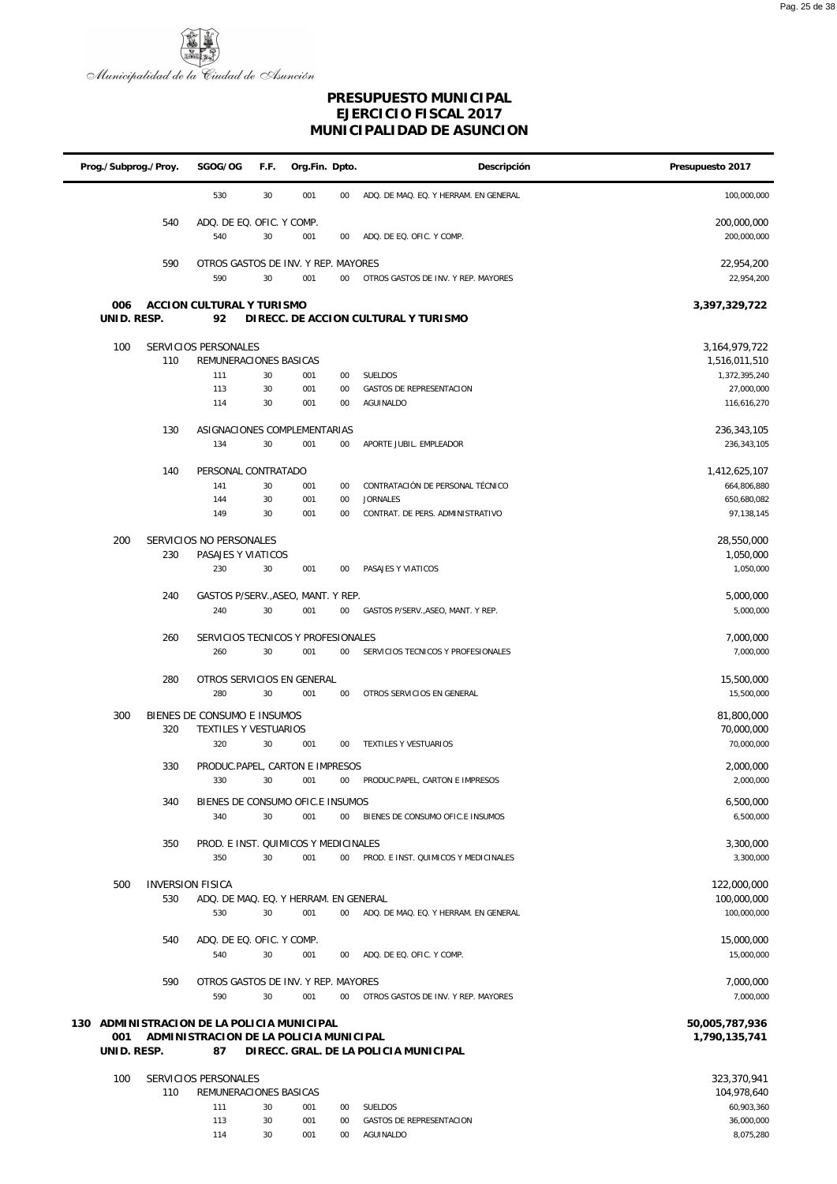

|                    | Prog./Subprog./Proy. | SGOG/OG                                    | F.F. | Org.Fin. Dpto. |        | Descripción                           | Presupuesto 2017         |
|--------------------|----------------------|--------------------------------------------|------|----------------|--------|---------------------------------------|--------------------------|
|                    |                      | 530                                        | 30   | 001            | 00     | ADQ. DE MAQ. EQ. Y HERRAM. EN GENERAL | 100,000,000              |
|                    | 540                  | ADQ. DE EQ. OFIC. Y COMP.                  |      |                |        |                                       | 200,000,000              |
|                    |                      | 540                                        | 30   | 001            | 00     | ADQ. DE EQ. OFIC. Y COMP.             | 200,000,000              |
|                    | 590                  | OTROS GASTOS DE INV. Y REP. MAYORES        |      |                |        |                                       | 22,954,200               |
|                    |                      | 590                                        | 30   | 001            | 00     | OTROS GASTOS DE INV. Y REP. MAYORES   | 22,954,200               |
|                    |                      |                                            |      |                |        |                                       |                          |
| 006<br>UNID. RESP. |                      | ACCION CULTURAL Y TURISMO<br>92            |      |                |        | DIRECC. DE ACCION CULTURAL Y TURISMO  | 3,397,329,722            |
| 100                |                      | SERVICIOS PERSONALES                       |      |                |        |                                       | 3, 164, 979, 722         |
|                    | 110                  | REMUNERACIONES BASICAS                     |      |                |        |                                       | 1,516,011,510            |
|                    |                      | 111                                        | 30   | 001            | 00     | <b>SUELDOS</b>                        | 1,372,395,240            |
|                    |                      | 113                                        | 30   | 001            | 00     | <b>GASTOS DE REPRESENTACION</b>       | 27,000,000               |
|                    |                      | 114                                        | 30   | 001            | 00     | AGUINALDO                             | 116,616,270              |
|                    | 130                  | ASIGNACIONES COMPLEMENTARIAS               |      |                |        |                                       | 236, 343, 105            |
|                    |                      | 134                                        | 30   | 001            | 00     | APORTE JUBIL. EMPLEADOR               | 236,343,105              |
|                    |                      |                                            |      |                |        |                                       |                          |
|                    | 140                  | PERSONAL CONTRATADO                        |      |                |        |                                       | 1,412,625,107            |
|                    |                      | 141                                        | 30   | 001            | 00     | CONTRATACIÓN DE PERSONAL TÉCNICO      | 664,806,880              |
|                    |                      | 144                                        | 30   | 001            | 00     | <b>JORNALES</b>                       | 650,680,082              |
|                    |                      | 149                                        | 30   | 001            | 00     | CONTRAT. DE PERS. ADMINISTRATIVO      | 97,138,145               |
| 200                |                      | SERVICIOS NO PERSONALES                    |      |                |        |                                       | 28,550,000               |
|                    | 230                  | PASAJES Y VIATICOS                         |      |                |        |                                       | 1,050,000                |
|                    |                      | 230                                        | 30   | 001            | 00     | PASAJES Y VIATICOS                    | 1,050,000                |
|                    |                      |                                            |      |                |        |                                       |                          |
|                    | 240                  | GASTOS P/SERV., ASEO, MANT. Y REP.         |      |                |        |                                       | 5,000,000                |
|                    |                      | 240                                        | 30   | 001            | 00     | GASTOS P/SERV., ASEO, MANT. Y REP.    | 5,000,000                |
|                    | 260                  | SERVICIOS TECNICOS Y PROFESIONALES         |      |                |        |                                       | 7,000,000                |
|                    |                      | 260                                        | 30   | 001            | 00     | SERVICIOS TECNICOS Y PROFESIONALES    | 7,000,000                |
|                    |                      |                                            |      |                |        |                                       |                          |
|                    | 280                  | OTROS SERVICIOS EN GENERAL                 |      |                |        |                                       | 15,500,000               |
|                    |                      | 280                                        | 30   | 001            | 00     | OTROS SERVICIOS EN GENERAL            | 15,500,000               |
| 300                |                      | BIENES DE CONSUMO E INSUMOS                |      |                |        |                                       | 81,800,000               |
|                    | 320                  | TEXTILES Y VESTUARIOS                      |      |                |        |                                       | 70,000,000               |
|                    |                      | 320                                        | 30   | 001            | 00     | <b>TEXTILES Y VESTUARIOS</b>          | 70,000,000               |
|                    |                      |                                            |      |                |        |                                       |                          |
|                    | 330                  | PRODUC.PAPEL, CARTON E IMPRESOS<br>330     | 30   | 001            | 00     | PRODUC.PAPEL, CARTON E IMPRESOS       | 2,000,000<br>2,000,000   |
|                    |                      |                                            |      |                |        |                                       |                          |
|                    | 340                  | BIENES DE CONSUMO OFIC.E INSUMOS           |      |                |        |                                       | 6,500,000                |
|                    |                      | 340                                        | 30   | 001            | $00\,$ | BIENES DE CONSUMO OFIC.E INSUMOS      | 6,500,000                |
|                    | 350                  | PROD. E INST. QUIMICOS Y MEDICINALES       |      |                |        |                                       | 3,300,000                |
|                    |                      | 350                                        | 30   | 001            | 00     | PROD. E INST. QUIMICOS Y MEDICINALES  | 3,300,000                |
|                    |                      |                                            |      |                |        |                                       |                          |
| 500                |                      | <b>INVERSION FISICA</b>                    |      |                |        |                                       | 122,000,000              |
|                    | 530                  | ADQ. DE MAQ. EQ. Y HERRAM. EN GENERAL      |      |                |        |                                       | 100,000,000              |
|                    |                      | 530                                        | 30   | 001            | 00     | ADQ. DE MAQ. EQ. Y HERRAM. EN GENERAL | 100,000,000              |
|                    |                      |                                            |      |                |        |                                       |                          |
|                    | 540                  | ADQ. DE EQ. OFIC. Y COMP.<br>540           | 30   | 001            | 00     | ADQ. DE EQ. OFIC. Y COMP.             | 15,000,000<br>15,000,000 |
|                    |                      |                                            |      |                |        |                                       |                          |
|                    | 590                  | OTROS GASTOS DE INV. Y REP. MAYORES        |      |                |        |                                       | 7,000,000                |
|                    |                      | 590                                        | 30   | 001            | 00     | OTROS GASTOS DE INV. Y REP. MAYORES   | 7,000,000                |
|                    |                      |                                            |      |                |        |                                       |                          |
|                    |                      | 130 ADMINISTRACION DE LA POLICIA MUNICIPAL |      |                |        |                                       | 50,005,787,936           |
| 001                |                      | ADMINISTRACION DE LA POLICIA MUNICIPAL     |      |                |        |                                       | 1,790,135,741            |
| UNID. RESP.        |                      | 87                                         |      |                |        | DIRECC. GRAL. DE LA POLICIA MUNICIPAL |                          |
| 100                |                      | SERVICIOS PERSONALES                       |      |                |        |                                       | 323,370,941              |
|                    | 110                  | REMUNERACIONES BASICAS                     |      |                |        |                                       | 104,978,640              |
|                    |                      | 111                                        | 30   | 001            | 00     | SUELDOS                               | 60,903,360               |
|                    |                      | 113                                        | 30   | 001            | 00     | GASTOS DE REPRESENTACION              | 36,000,000               |
|                    |                      | 114                                        | 30   | 001            | $00\,$ | AGUINALDO                             | 8,075,280                |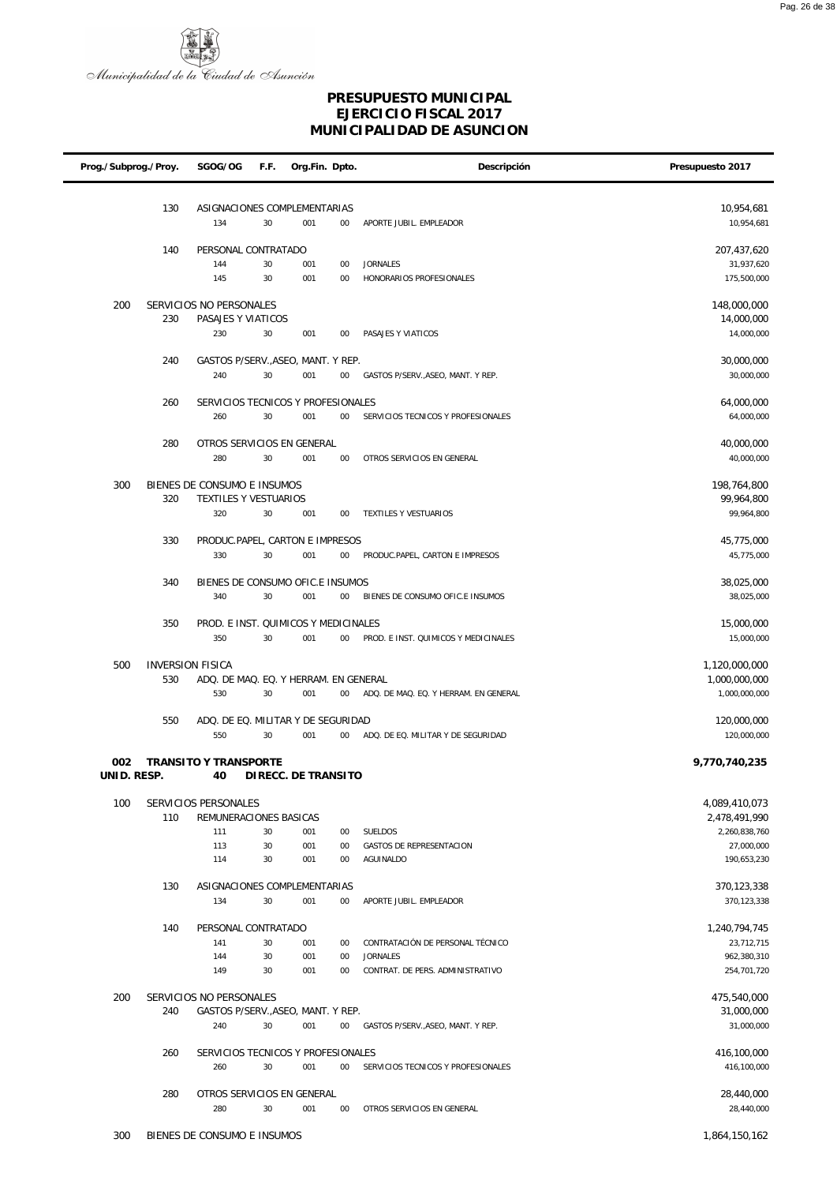

| Prog./Subprog./Proy. |                         | SGOG/OG                                        | F.F. | Org.Fin. Dpto.      |        | Descripción                           | Presupuesto 2017               |
|----------------------|-------------------------|------------------------------------------------|------|---------------------|--------|---------------------------------------|--------------------------------|
|                      |                         |                                                |      |                     |        |                                       |                                |
|                      | 130                     | ASIGNACIONES COMPLEMENTARIAS                   |      |                     |        |                                       | 10,954,681                     |
|                      |                         | 134                                            | 30   | 001                 | $00\,$ | APORTE JUBIL. EMPLEADOR               | 10,954,681                     |
|                      | 140                     | PERSONAL CONTRATADO                            |      |                     |        |                                       | 207,437,620                    |
|                      |                         | 144                                            | 30   | 001                 | $00\,$ | <b>JORNALES</b>                       | 31,937,620                     |
|                      |                         | 145                                            | 30   | 001                 | $00\,$ | HONORARIOS PROFESIONALES              | 175,500,000                    |
| 200                  |                         | SERVICIOS NO PERSONALES                        |      |                     |        |                                       | 148,000,000                    |
|                      | 230                     | PASAJES Y VIATICOS                             |      |                     |        |                                       | 14,000,000                     |
|                      |                         | 230                                            | 30   | 001                 | $00\,$ | PASAJES Y VIATICOS                    | 14,000,000                     |
|                      | 240                     | GASTOS P/SERV., ASEO, MANT. Y REP.             |      |                     |        |                                       | 30,000,000                     |
|                      |                         | 240                                            | 30   | 001                 | $00\,$ | GASTOS P/SERV., ASEO, MANT. Y REP.    | 30,000,000                     |
|                      | 260                     | SERVICIOS TECNICOS Y PROFESIONALES             |      |                     |        |                                       | 64,000,000                     |
|                      |                         | 260                                            | 30   | 001                 | $00\,$ | SERVICIOS TECNICOS Y PROFESIONALES    | 64,000,000                     |
|                      |                         |                                                |      |                     |        |                                       |                                |
|                      | 280                     | OTROS SERVICIOS EN GENERAL                     |      |                     |        |                                       | 40,000,000                     |
|                      |                         | 280                                            | 30   | 001                 | $00\,$ | OTROS SERVICIOS EN GENERAL            | 40,000,000                     |
| 300                  |                         | BIENES DE CONSUMO E INSUMOS                    |      |                     |        |                                       | 198,764,800                    |
|                      | 320                     | TEXTILES Y VESTUARIOS                          |      |                     |        |                                       | 99,964,800                     |
|                      |                         | 320                                            | 30   | 001                 | $00\,$ | TEXTILES Y VESTUARIOS                 | 99,964,800                     |
|                      | 330                     | PRODUC.PAPEL, CARTON E IMPRESOS                |      |                     |        |                                       | 45,775,000                     |
|                      |                         | 330                                            | 30   | 001                 | $00\,$ | PRODUC.PAPEL, CARTON E IMPRESOS       | 45,775,000                     |
|                      | 340                     | BIENES DE CONSUMO OFIC.E INSUMOS               |      |                     |        |                                       | 38,025,000                     |
|                      |                         | 340                                            | 30   | 001                 | $00\,$ | BIENES DE CONSUMO OFIC.E INSUMOS      | 38,025,000                     |
|                      |                         |                                                |      |                     |        |                                       |                                |
|                      | 350                     | PROD. E INST. QUIMICOS Y MEDICINALES<br>350    | 30   | 001                 | $00\,$ | PROD. E INST. QUIMICOS Y MEDICINALES  | 15,000,000<br>15,000,000       |
|                      |                         |                                                |      |                     |        |                                       |                                |
| 500                  | <b>INVERSION FISICA</b> |                                                |      |                     |        |                                       | 1,120,000,000                  |
|                      | 530                     | ADQ. DE MAQ. EQ. Y HERRAM. EN GENERAL          |      |                     |        |                                       | 1,000,000,000                  |
|                      |                         | 530                                            | 30   | 001                 | $00\,$ | ADQ. DE MAQ. EQ. Y HERRAM. EN GENERAL | 1,000,000,000                  |
|                      | 550                     | ADQ. DE EQ. MILITAR Y DE SEGURIDAD             |      |                     |        |                                       | 120,000,000                    |
|                      |                         | 550                                            | 30   | 001                 | $00\,$ | ADQ. DE EQ. MILITAR Y DE SEGURIDAD    | 120,000,000                    |
| 002                  |                         | <b>TRANSITO Y TRANSPORTE</b>                   |      |                     |        |                                       | 9,770,740,235                  |
| UNID. RESP.          |                         | 40                                             |      | DIRECC. DE TRANSITO |        |                                       |                                |
|                      |                         |                                                |      |                     |        |                                       |                                |
| 100                  | 110                     | SERVICIOS PERSONALES<br>REMUNERACIONES BASICAS |      |                     |        |                                       | 4,089,410,073<br>2,478,491,990 |
|                      |                         | 111                                            | 30   | 001                 | $00\,$ | <b>SUELDOS</b>                        | 2,260,838,760                  |
|                      |                         | 113                                            | 30   | 001                 | $00\,$ | GASTOS DE REPRESENTACION              | 27,000,000                     |
|                      |                         | 114                                            | 30   | 001                 | $00\,$ | AGUINALDO                             | 190,653,230                    |
|                      | 130                     | ASIGNACIONES COMPLEMENTARIAS                   |      |                     |        |                                       | 370,123,338                    |
|                      |                         | 134                                            | 30   | 001                 | $00\,$ | APORTE JUBIL. EMPLEADOR               | 370,123,338                    |
|                      | 140                     | PERSONAL CONTRATADO                            |      |                     |        |                                       | 1,240,794,745                  |
|                      |                         | 141                                            | 30   | 001                 | 00     | CONTRATACIÓN DE PERSONAL TÉCNICO      | 23,712,715                     |
|                      |                         | 144                                            | 30   | 001                 | $00\,$ | <b>JORNALES</b>                       | 962,380,310                    |
|                      |                         | 149                                            | 30   | 001                 | $00\,$ | CONTRAT. DE PERS. ADMINISTRATIVO      | 254,701,720                    |
| 200                  |                         | SERVICIOS NO PERSONALES                        |      |                     |        |                                       | 475,540,000                    |
|                      | 240                     | GASTOS P/SERV., ASEO, MANT. Y REP.             |      |                     |        |                                       | 31,000,000                     |
|                      |                         | 240                                            | 30   | 001                 | 00     | GASTOS P/SERV., ASEO, MANT. Y REP.    | 31,000,000                     |
|                      | 260                     | SERVICIOS TECNICOS Y PROFESIONALES             |      |                     |        |                                       | 416,100,000                    |
|                      |                         | 260                                            | 30   | 001                 | $00\,$ | SERVICIOS TECNICOS Y PROFESIONALES    | 416,100,000                    |
|                      |                         |                                                |      |                     |        |                                       |                                |
|                      | 280                     | OTROS SERVICIOS EN GENERAL                     |      |                     |        |                                       | 28,440,000                     |
|                      |                         | 280                                            | 30   | 001                 | $00\,$ | OTROS SERVICIOS EN GENERAL            | 28,440,000                     |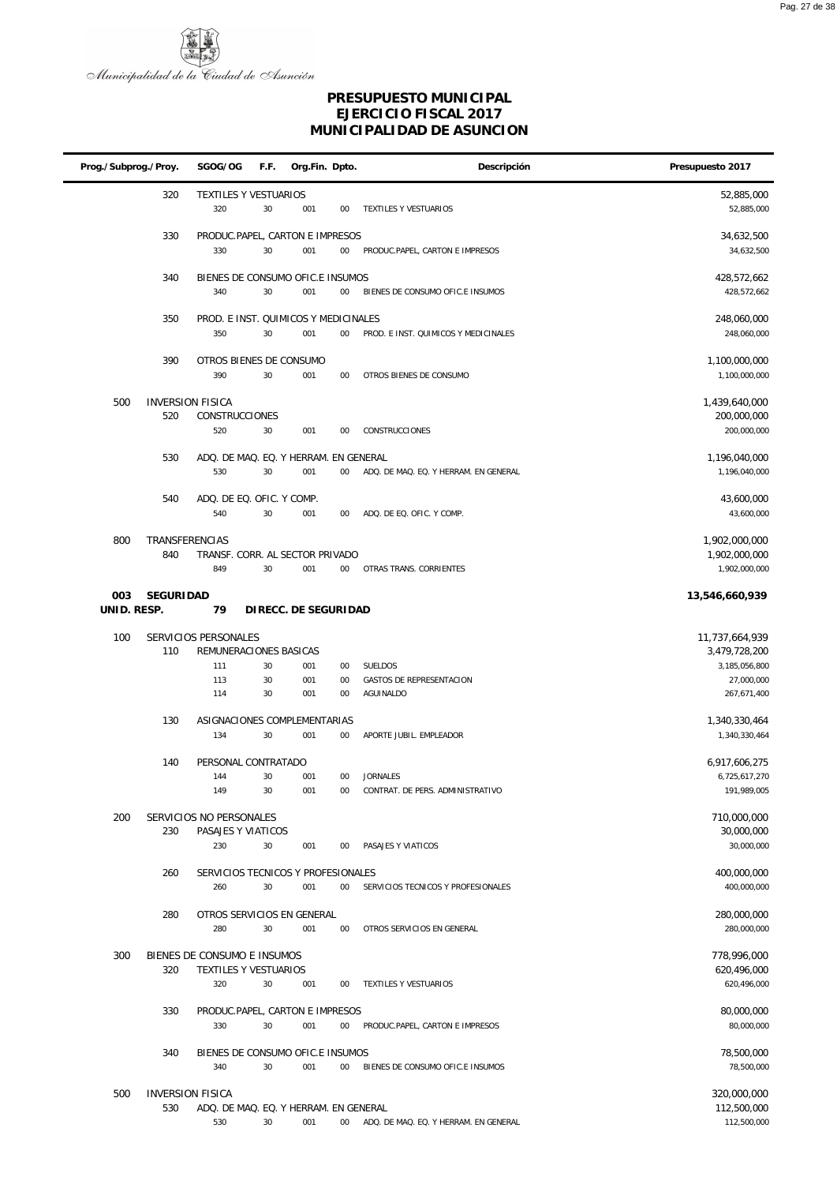

| Prog./Subprog./Proy. |                                | SGOG/OG                                      | F.F.     | Org.Fin. Dpto.       |              | Descripción                                         | Presupuesto 2017               |
|----------------------|--------------------------------|----------------------------------------------|----------|----------------------|--------------|-----------------------------------------------------|--------------------------------|
|                      | 320                            | TEXTILES Y VESTUARIOS<br>320                 | 30       | 001                  | 00           | TEXTILES Y VESTUARIOS                               | 52,885,000<br>52,885,000       |
|                      | 330                            | PRODUC.PAPEL, CARTON E IMPRESOS<br>330       | 30       | 001                  | $00\,$       | PRODUC.PAPEL, CARTON E IMPRESOS                     | 34,632,500<br>34,632,500       |
|                      | 340                            | BIENES DE CONSUMO OFIC.E INSUMOS<br>340      | 30       | 001                  | $00\,$       | BIENES DE CONSUMO OFIC.E INSUMOS                    | 428,572,662<br>428,572,662     |
|                      | 350                            | PROD. E INST. QUIMICOS Y MEDICINALES<br>350  | 30       | 001                  | $00\,$       | PROD. E INST. QUIMICOS Y MEDICINALES                | 248,060,000<br>248,060,000     |
|                      | 390                            | OTROS BIENES DE CONSUMO<br>390               | 30       | 001                  | $00\,$       | OTROS BIENES DE CONSUMO                             | 1,100,000,000<br>1,100,000,000 |
| 500                  | <b>INVERSION FISICA</b><br>520 | CONSTRUCCIONES                               |          |                      |              |                                                     | 1,439,640,000<br>200,000,000   |
|                      |                                | 520                                          | 30       | 001                  | 00           | CONSTRUCCIONES                                      | 200,000,000                    |
|                      | 530                            | ADQ. DE MAQ. EQ. Y HERRAM. EN GENERAL<br>530 | 30       | 001                  | $00\,$       | ADQ. DE MAQ. EQ. Y HERRAM. EN GENERAL               | 1,196,040,000<br>1,196,040,000 |
|                      | 540                            | ADQ. DE EQ. OFIC. Y COMP.<br>540             | 30       | 001                  | $00\,$       | ADQ. DE EQ. OFIC. Y COMP.                           | 43,600,000<br>43,600,000       |
| 800                  | TRANSFERENCIAS<br>840          | TRANSF. CORR. AL SECTOR PRIVADO              |          |                      |              |                                                     | 1,902,000,000<br>1,902,000,000 |
|                      |                                | 849                                          | 30       | 001                  | $00\,$       | OTRAS TRANS. CORRIENTES                             | 1,902,000,000                  |
| 003<br>UNID. RESP.   | <b>SEGURIDAD</b>               | 79                                           |          | DIRECC. DE SEGURIDAD |              |                                                     | 13,546,660,939                 |
| 100                  |                                | SERVICIOS PERSONALES                         |          |                      |              |                                                     | 11,737,664,939                 |
|                      | 110                            | REMUNERACIONES BASICAS                       |          |                      |              |                                                     | 3,479,728,200                  |
|                      |                                | 111<br>113                                   | 30<br>30 | 001<br>001           | $00\,$<br>00 | SUELDOS<br>GASTOS DE REPRESENTACION                 | 3,185,056,800<br>27,000,000    |
|                      |                                | 114                                          | 30       | 001                  | 00           | AGUINALDO                                           | 267,671,400                    |
|                      | 130                            | ASIGNACIONES COMPLEMENTARIAS                 |          |                      |              |                                                     | 1,340,330,464                  |
|                      |                                | 134                                          | 30       | 001                  | $00\,$       | APORTE JUBIL. EMPLEADOR                             | 1,340,330,464                  |
|                      | 140                            | PERSONAL CONTRATADO                          |          |                      |              |                                                     | 6,917,606,275                  |
|                      |                                | 144<br>149                                   | 30<br>30 | 001<br>001           | $00\,$<br>00 | <b>JORNALES</b><br>CONTRAT. DE PERS. ADMINISTRATIVO | 6,725,617,270<br>191,989,005   |
| 200                  |                                | SERVICIOS NO PERSONALES                      |          |                      |              |                                                     | 710.000.000                    |
|                      | 230                            | PASAJES Y VIATICOS<br>230                    | 30       | 001                  | 00           | PASAJES Y VIATICOS                                  | 30,000,000<br>30,000,000       |
|                      | 260                            | SERVICIOS TECNICOS Y PROFESIONALES           |          |                      |              |                                                     | 400,000,000                    |
|                      |                                | 260                                          | 30       | 001                  | $00\,$       | SERVICIOS TECNICOS Y PROFESIONALES                  | 400,000,000                    |
|                      | 280                            | OTROS SERVICIOS EN GENERAL                   |          |                      |              |                                                     | 280,000,000                    |
|                      |                                | 280                                          | 30       | 001                  | $00\,$       | OTROS SERVICIOS EN GENERAL                          | 280,000,000                    |
| 300                  |                                | BIENES DE CONSUMO E INSUMOS                  |          |                      |              |                                                     | 778,996,000                    |
|                      | 320                            | TEXTILES Y VESTUARIOS<br>320                 | 30       | 001                  | $00\,$       | TEXTILES Y VESTUARIOS                               | 620,496,000<br>620,496,000     |
|                      | 330                            | PRODUC.PAPEL, CARTON E IMPRESOS<br>330       | 30       | 001                  | 00           | PRODUC.PAPEL, CARTON E IMPRESOS                     | 80,000,000<br>80,000,000       |
|                      | 340                            | BIENES DE CONSUMO OFIC.E INSUMOS<br>340      | 30       | 001                  | $00\,$       | BIENES DE CONSUMO OFIC.E INSUMOS                    | 78,500,000<br>78,500,000       |
|                      |                                |                                              |          |                      |              |                                                     |                                |
| 500                  | <b>INVERSION FISICA</b><br>530 | ADQ. DE MAQ. EQ. Y HERRAM. EN GENERAL        |          |                      |              |                                                     | 320,000,000<br>112,500,000     |
|                      |                                | 530                                          | 30       | 001                  | $00\,$       | ADQ. DE MAQ. EQ. Y HERRAM. EN GENERAL               | 112,500,000                    |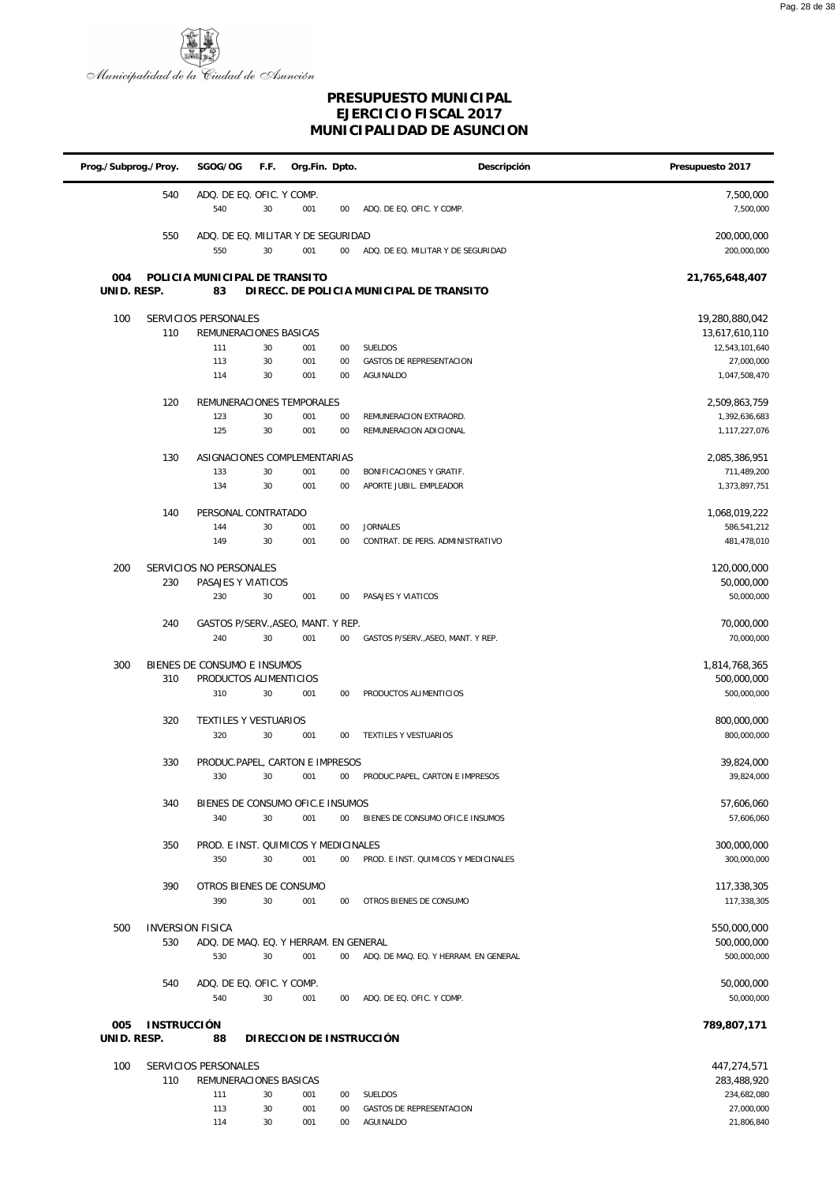

### **PRESUPUESTO MUNICIPAL EJERCICIO FISCAL 2017 MUNICIPALIDAD DE ASUNCION**

| Prog./Subprog./Proy. |                    | SGOG/OG                                               | F.F.     | Org.Fin. Dpto.            |             | Descripción                                      | Presupuesto 2017               |
|----------------------|--------------------|-------------------------------------------------------|----------|---------------------------|-------------|--------------------------------------------------|--------------------------------|
|                      | 540                | ADQ. DE EQ. OFIC. Y COMP.                             |          |                           |             |                                                  | 7,500,000                      |
|                      |                    | 540                                                   | 30       | 001                       | 00          | ADQ. DE EQ. OFIC. Y COMP.                        | 7,500,000                      |
|                      | 550                | ADQ. DE EQ. MILITAR Y DE SEGURIDAD                    |          |                           |             |                                                  | 200,000,000                    |
|                      |                    | 550                                                   | 30       | 001                       | 00          | ADQ. DE EQ. MILITAR Y DE SEGURIDAD               | 200,000,000                    |
| 004                  |                    | POLICIA MUNICIPAL DE TRANSITO                         |          |                           |             |                                                  | 21,765,648,407                 |
| UNID. RESP.          |                    | 83                                                    |          |                           |             | DIRECC. DE POLICIA MUNICIPAL DE TRANSITO         |                                |
| 100                  |                    | SERVICIOS PERSONALES                                  |          |                           |             |                                                  | 19,280,880,042                 |
|                      | 110                | REMUNERACIONES BASICAS                                |          |                           |             |                                                  | 13,617,610,110                 |
|                      |                    | 111                                                   | 30       | 001                       | 00          | SUELDOS                                          | 12,543,101,640                 |
|                      |                    | 113<br>114                                            | 30<br>30 | 001<br>001                | 00<br>00    | <b>GASTOS DE REPRESENTACION</b><br>AGUINALDO     | 27,000,000<br>1,047,508,470    |
|                      |                    |                                                       |          |                           |             |                                                  |                                |
|                      | 120                | REMUNERACIONES TEMPORALES                             |          |                           |             |                                                  | 2,509,863,759                  |
|                      |                    | 123<br>125                                            | 30<br>30 | 001<br>001                | 00<br>00    | REMUNERACION EXTRAORD.<br>REMUNERACION ADICIONAL | 1,392,636,683<br>1,117,227,076 |
|                      |                    |                                                       |          |                           |             |                                                  |                                |
|                      | 130                | ASIGNACIONES COMPLEMENTARIAS<br>133                   | 30       | 001                       | 00          | BONIFICACIONES Y GRATIF.                         | 2,085,386,951<br>711,489,200   |
|                      |                    | 134                                                   | 30       | 001                       | 00          | APORTE JUBIL. EMPLEADOR                          | 1,373,897,751                  |
|                      |                    |                                                       |          |                           |             |                                                  |                                |
|                      | 140                | PERSONAL CONTRATADO<br>144                            | 30       | 001                       | 00          | <b>JORNALES</b>                                  | 1,068,019,222<br>586,541,212   |
|                      |                    | 149                                                   | 30       | 001                       | 00          | CONTRAT. DE PERS. ADMINISTRATIVO                 | 481,478,010                    |
|                      |                    |                                                       |          |                           |             |                                                  |                                |
| 200                  | 230                | SERVICIOS NO PERSONALES<br>PASAJES Y VIATICOS         |          |                           |             |                                                  | 120,000,000<br>50,000,000      |
|                      |                    | 230                                                   | 30       | 001                       | 00          | PASAJES Y VIATICOS                               | 50,000,000                     |
|                      | 240                | GASTOS P/SERV., ASEO, MANT. Y REP.                    |          |                           |             |                                                  | 70,000,000                     |
|                      |                    | 240                                                   | 30       | 001                       | $00\,$      | GASTOS P/SERV., ASEO, MANT. Y REP.               | 70,000,000                     |
|                      |                    |                                                       |          |                           |             |                                                  |                                |
| 300                  | 310                | BIENES DE CONSUMO E INSUMOS<br>PRODUCTOS ALIMENTICIOS |          |                           |             |                                                  | 1,814,768,365<br>500,000,000   |
|                      |                    | 310                                                   | 30       | 001                       | 00          | PRODUCTOS ALIMENTICIOS                           | 500,000,000                    |
|                      | 320                | <b>TEXTILES Y VESTUARIOS</b>                          |          |                           |             |                                                  | 800,000,000                    |
|                      |                    | 320                                                   | 30       | 001                       | 00          | TEXTILES Y VESTUARIOS                            | 800,000,000                    |
|                      |                    |                                                       |          |                           |             |                                                  |                                |
|                      | 330                | PRODUC.PAPEL, CARTON E IMPRESOS<br>330                | 30       | 001                       | 00          | PRODUC.PAPEL, CARTON E IMPRESOS                  | 39,824,000<br>39,824,000       |
|                      |                    |                                                       |          |                           |             |                                                  |                                |
|                      | 340                | BIENES DE CONSUMO OFIC.E INSUMOS<br>340               | 30       |                           |             |                                                  | 57,606,060                     |
|                      |                    |                                                       |          | 001                       | $00\,$      | BIENES DE CONSUMO OFIC.E INSUMOS                 | 57,606,060                     |
|                      | 350                | PROD. E INST. QUIMICOS Y MEDICINALES                  |          |                           |             |                                                  | 300,000,000                    |
|                      |                    | 350                                                   | 30       | 001                       | $00\,$      | PROD. E INST. QUIMICOS Y MEDICINALES             | 300,000,000                    |
|                      | 390                | OTROS BIENES DE CONSUMO                               |          |                           |             |                                                  | 117,338,305                    |
|                      |                    | 390                                                   | 30       | 001                       | 00          | OTROS BIENES DE CONSUMO                          | 117,338,305                    |
| 500                  |                    | <b>INVERSION FISICA</b>                               |          |                           |             |                                                  | 550,000,000                    |
|                      | 530                | ADQ. DE MAQ. EQ. Y HERRAM. EN GENERAL                 |          |                           |             |                                                  | 500,000,000                    |
|                      |                    | 530                                                   | 30       | 001                       | $00\degree$ | ADQ. DE MAQ. EQ. Y HERRAM. EN GENERAL            | 500,000,000                    |
|                      | 540                | ADQ. DE EQ. OFIC. Y COMP.                             |          |                           |             |                                                  | 50,000,000                     |
|                      |                    | 540                                                   | 30       | 001                       | $00\,$      | ADQ. DE EQ. OFIC. Y COMP.                        | 50,000,000                     |
| 005                  | <b>INSTRUCCIÓN</b> |                                                       |          |                           |             |                                                  | 789,807,171                    |
| UNID. RESP.          |                    | 88                                                    |          | DI RECCION DE INSTRUCCIÓN |             |                                                  |                                |
|                      |                    |                                                       |          |                           |             |                                                  |                                |
| 100                  | 110                | SERVICIOS PERSONALES<br>REMUNERACIONES BASICAS        |          |                           |             |                                                  | 447,274,571<br>283,488,920     |
|                      |                    | 111                                                   | 30       | 001                       | 00          | <b>SUELDOS</b>                                   | 234,682,080                    |
|                      |                    | 113                                                   | 30       | 001                       | $00\,$      | <b>GASTOS DE REPRESENTACION</b>                  | 27,000,000                     |

30 001 00 AGUINALDO 21,806,840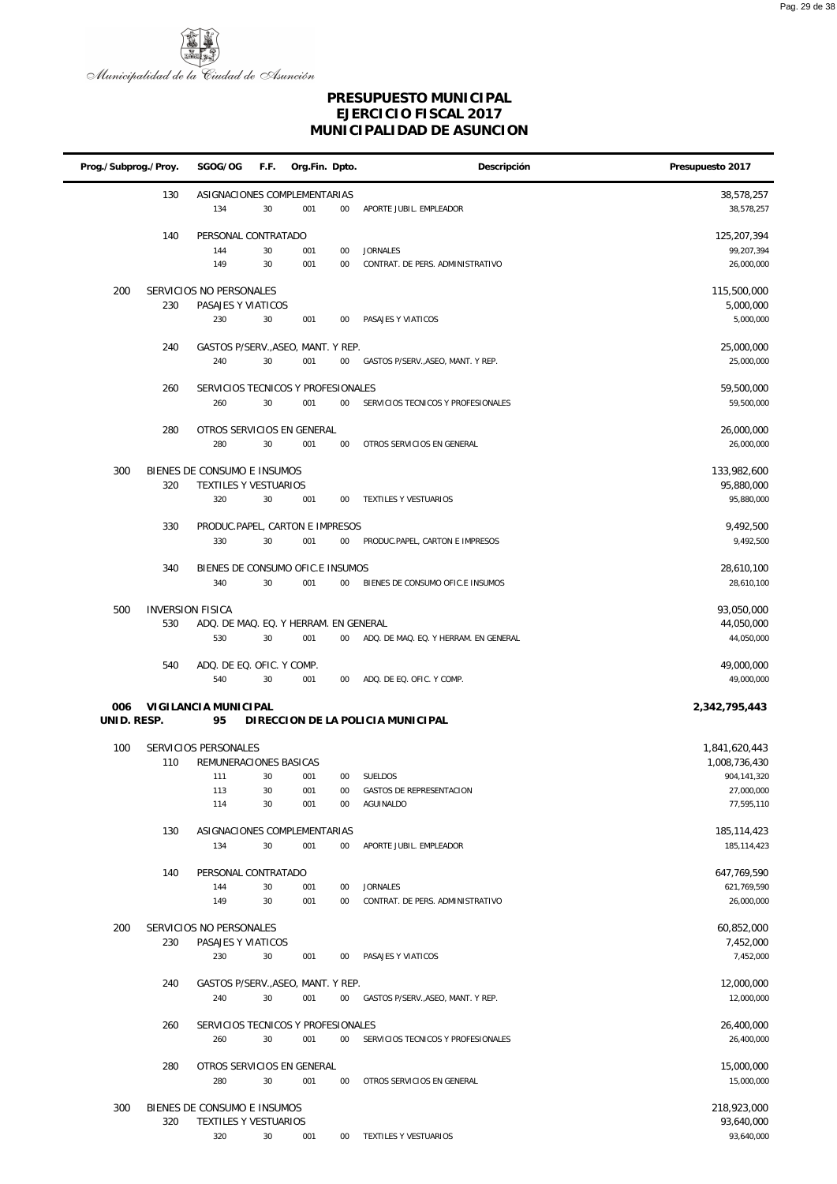

| Prog./Subprog./Proy. |                                | SGOG/OG                                                             | F.F.           | Org.Fin. Dpto.    |                    | Descripción                                         | Presupuesto 2017                                                          |
|----------------------|--------------------------------|---------------------------------------------------------------------|----------------|-------------------|--------------------|-----------------------------------------------------|---------------------------------------------------------------------------|
|                      | 130                            | ASIGNACIONES COMPLEMENTARIAS<br>134                                 | 30             | 001               | $00\,$             | APORTE JUBIL. EMPLEADOR                             | 38,578,257<br>38,578,257                                                  |
|                      | 140                            | PERSONAL CONTRATADO<br>144<br>149                                   | 30<br>30       | 001<br>001        | 00<br>00           | <b>JORNALES</b><br>CONTRAT. DE PERS. ADMINISTRATIVO | 125,207,394<br>99,207,394<br>26,000,000                                   |
| 200                  | 230                            | SERVICIOS NO PERSONALES<br>PASAJES Y VIATICOS<br>230                | 30             | 001               | 00                 | PASAJES Y VIATICOS                                  | 115,500,000<br>5,000,000<br>5,000,000                                     |
|                      | 240                            | GASTOS P/SERV., ASEO, MANT. Y REP.<br>240                           | 30             | 001               | $00\,$             | GASTOS P/SERV., ASEO, MANT. Y REP.                  | 25,000,000<br>25,000,000                                                  |
|                      | 260                            | SERVICIOS TECNICOS Y PROFESIONALES<br>260                           | 30             | 001               | $00\,$             | SERVICIOS TECNICOS Y PROFESIONALES                  | 59,500,000<br>59,500,000                                                  |
|                      | 280                            | OTROS SERVICIOS EN GENERAL<br>280                                   | 30             | 001               | 00                 | OTROS SERVICIOS EN GENERAL                          | 26,000,000<br>26,000,000                                                  |
| 300                  | 320                            | BIENES DE CONSUMO E INSUMOS<br>TEXTILES Y VESTUARIOS<br>320         | 30             | 001               | $00\,$             | TEXTILES Y VESTUARIOS                               | 133,982,600<br>95,880,000<br>95,880,000                                   |
|                      | 330                            | PRODUC.PAPEL, CARTON E IMPRESOS<br>330                              | 30             | 001               | 00                 | PRODUC.PAPEL, CARTON E IMPRESOS                     | 9,492,500<br>9,492,500                                                    |
|                      | 340                            | BIENES DE CONSUMO OFIC.E INSUMOS<br>340                             | 30             | 001               | $00\,$             | BIENES DE CONSUMO OFIC.E INSUMOS                    | 28,610,100<br>28,610,100                                                  |
| 500                  | <b>INVERSION FISICA</b><br>530 | ADQ. DE MAQ. EQ. Y HERRAM. EN GENERAL                               |                |                   |                    |                                                     | 93,050,000<br>44,050,000                                                  |
|                      | 540                            | 530<br>ADQ. DE EQ. OFIC. Y COMP.                                    | 30             | 001               | $00\,$             | ADQ. DE MAQ. EQ. Y HERRAM. EN GENERAL               | 44,050,000<br>49,000,000                                                  |
| 006                  |                                | 540<br>VIGILANCIA MUNICIPAL                                         | 30             | 001               | $00\,$             | ADQ. DE EQ. OFIC. Y COMP.                           | 49,000,000<br>2,342,795,443                                               |
| UNID. RESP.          |                                | 95                                                                  |                |                   |                    | DIRECCION DE LA POLICIA MUNICIPAL                   |                                                                           |
| 100                  | 110                            | SERVICIOS PERSONALES<br>REMUNERACIONES BASICAS<br>111<br>113<br>114 | 30<br>30<br>30 | 001<br>001<br>001 | $00\,$<br>00<br>00 | SUELDOS<br>GASTOS DE REPRESENTACION<br>AGUINALDO    | 1,841,620,443<br>1,008,736,430<br>904,141,320<br>27,000,000<br>77,595,110 |
|                      | 130                            | ASIGNACIONES COMPLEMENTARIAS<br>134                                 | 30             | 001               | $00\,$             | APORTE JUBIL. EMPLEADOR                             | 185, 114, 423<br>185, 114, 423                                            |
|                      | 140                            | PERSONAL CONTRATADO<br>144<br>149                                   | 30<br>30       | 001<br>001        | $00\,$<br>$00\,$   | <b>JORNALES</b><br>CONTRAT. DE PERS. ADMINISTRATIVO | 647,769,590<br>621,769,590<br>26,000,000                                  |
| 200                  | 230                            | SERVICIOS NO PERSONALES<br>PASAJES Y VIATICOS<br>230                | 30             | 001               | 00                 | PASAJES Y VIATICOS                                  | 60,852,000<br>7,452,000<br>7,452,000                                      |
|                      | 240                            | GASTOS P/SERV., ASEO, MANT. Y REP.<br>240                           | 30             | 001               | $00\,$             | GASTOS P/SERV., ASEO, MANT. Y REP.                  | 12,000,000<br>12,000,000                                                  |
|                      | 260                            | SERVICIOS TECNICOS Y PROFESIONALES<br>260                           | 30             | 001               | $00\,$             | SERVICIOS TECNICOS Y PROFESIONALES                  | 26,400,000<br>26,400,000                                                  |
|                      | 280                            | OTROS SERVICIOS EN GENERAL<br>280                                   | 30             | 001               | $00\,$             | OTROS SERVICIOS EN GENERAL                          | 15,000,000<br>15,000,000                                                  |
| 300                  | 320                            | BIENES DE CONSUMO E INSUMOS<br>TEXTILES Y VESTUARIOS<br>320         | 30             | 001               | $00\,$             | TEXTILES Y VESTUARIOS                               | 218,923,000<br>93,640,000<br>93,640,000                                   |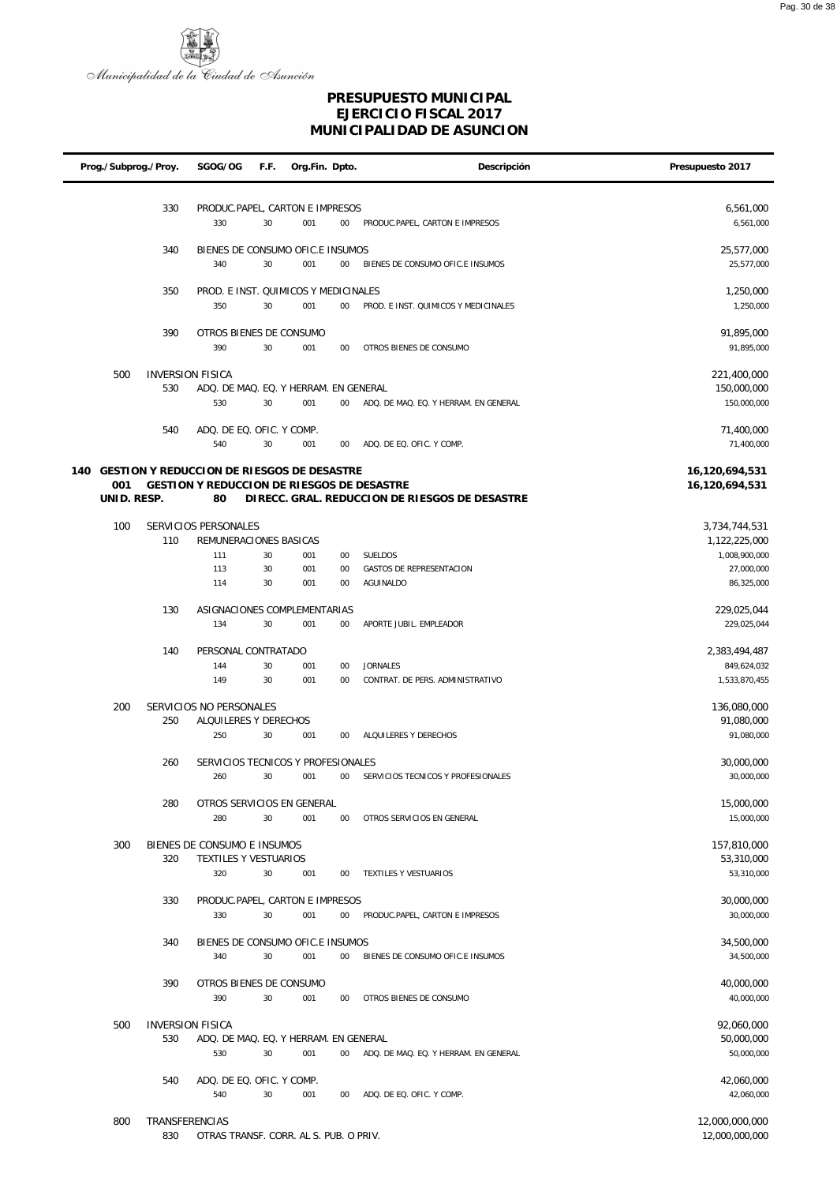

| Prog./Subprog./Proy.                                  |     | SGOG/OG                                    | F.F.     | Org.Fin. Dpto. |          | Descripción                                         | Presupuesto 2017                 |
|-------------------------------------------------------|-----|--------------------------------------------|----------|----------------|----------|-----------------------------------------------------|----------------------------------|
|                                                       |     |                                            |          |                |          |                                                     |                                  |
|                                                       | 330 | PRODUC.PAPEL, CARTON E IMPRESOS<br>330     | 30       | 001            | 00       | PRODUC.PAPEL, CARTON E IMPRESOS                     | 6,561,000<br>6,561,000           |
|                                                       | 340 | BIENES DE CONSUMO OFIC.E INSUMOS           |          |                |          |                                                     | 25,577,000                       |
|                                                       |     | 340                                        | 30       | 001            | $00\,$   | BIENES DE CONSUMO OFIC.E INSUMOS                    | 25,577,000                       |
|                                                       | 350 | PROD. E INST. QUIMICOS Y MEDICINALES       |          |                |          |                                                     | 1,250,000                        |
|                                                       |     | 350                                        | 30       | 001            | 00       | PROD. E INST. QUIMICOS Y MEDICINALES                | 1,250,000                        |
|                                                       | 390 | OTROS BIENES DE CONSUMO                    |          |                |          |                                                     | 91,895,000                       |
|                                                       |     | 390                                        | 30       | 001            | 00       | OTROS BIENES DE CONSUMO                             | 91,895,000                       |
| 500                                                   |     | <b>INVERSION FISICA</b>                    |          |                |          |                                                     | 221,400,000                      |
|                                                       | 530 | ADQ. DE MAQ. EQ. Y HERRAM. EN GENERAL      |          |                |          |                                                     | 150,000,000                      |
|                                                       |     | 530                                        | 30       | 001            | 00       | ADQ. DE MAQ. EQ. Y HERRAM. EN GENERAL               | 150,000,000                      |
|                                                       | 540 | ADQ. DE EQ. OFIC. Y COMP.                  |          |                |          |                                                     | 71,400,000                       |
|                                                       |     | 540                                        | 30       | 001            | 00       | ADQ. DE EQ. OFIC. Y COMP.                           | 71,400,000                       |
| 140 GESTION Y REDUCCION DE RIESGOS DE DESASTRE<br>001 |     | GESTION Y REDUCCION DE RIESGOS DE DESASTRE |          |                |          |                                                     | 16,120,694,531<br>16,120,694,531 |
| UNID. RESP.                                           |     | 80                                         |          |                |          | DIRECC. GRAL. REDUCCION DE RIESGOS DE DESASTRE      |                                  |
| 100                                                   |     | SERVICIOS PERSONALES                       |          |                |          |                                                     |                                  |
|                                                       | 110 | REMUNERACIONES BASICAS                     |          |                |          |                                                     | 3,734,744,531<br>1,122,225,000   |
|                                                       |     | 111                                        | 30       | 001            | 00       | <b>SUELDOS</b>                                      | 1,008,900,000                    |
|                                                       |     | 113<br>114                                 | 30<br>30 | 001<br>001     | 00<br>00 | <b>GASTOS DE REPRESENTACION</b><br><b>AGUINALDO</b> | 27,000,000<br>86,325,000         |
|                                                       |     |                                            |          |                |          |                                                     |                                  |
|                                                       | 130 | ASIGNACIONES COMPLEMENTARIAS<br>134        | 30       | 001            | 00       | APORTE JUBIL. EMPLEADOR                             | 229,025,044<br>229,025,044       |
|                                                       |     |                                            |          |                |          |                                                     |                                  |
|                                                       | 140 | PERSONAL CONTRATADO<br>144                 | 30       | 001            | 00       | <b>JORNALES</b>                                     | 2,383,494,487<br>849,624,032     |
|                                                       |     | 149                                        | 30       | 001            | 00       | CONTRAT. DE PERS. ADMINISTRATIVO                    | 1,533,870,455                    |
| 200                                                   |     | SERVICIOS NO PERSONALES                    |          |                |          |                                                     | 136,080,000                      |
|                                                       | 250 | ALQUILERES Y DERECHOS                      |          |                |          |                                                     | 91,080,000                       |
|                                                       |     | 250                                        | 30       | 001            | 00       | ALQUILERES Y DERECHOS                               | 91,080,000                       |
|                                                       | 260 | SERVICIOS TECNICOS Y PROFESIONALES         |          |                |          |                                                     | 30,000,000                       |
|                                                       |     | 260                                        | 30       | 001            | 00       | SERVICIOS TECNICOS Y PROFESIONALES                  | 30,000,000                       |
|                                                       | 280 | OTROS SERVICIOS EN GENERAL                 |          |                |          |                                                     | 15,000,000                       |
|                                                       |     | 280                                        | 30       | 001            | $00\,$   | OTROS SERVICIOS EN GENERAL                          | 15,000,000                       |
| 300                                                   |     | BIENES DE CONSUMO E INSUMOS                |          |                |          |                                                     | 157,810,000<br>53,310,000        |
|                                                       | 320 | TEXTILES Y VESTUARIOS<br>320               | 30       | 001            | 00       | TEXTILES Y VESTUARIOS                               | 53,310,000                       |
|                                                       | 330 | PRODUC.PAPEL, CARTON E IMPRESOS            |          |                |          |                                                     | 30,000,000                       |
|                                                       |     | 330                                        | 30       | 001            | $00\,$   | PRODUC.PAPEL, CARTON E IMPRESOS                     | 30,000,000                       |
|                                                       | 340 | BIENES DE CONSUMO OFIC.E INSUMOS           |          |                |          |                                                     | 34,500,000                       |
|                                                       |     | 340                                        | 30       | 001            | $00\,$   | BIENES DE CONSUMO OFIC.E INSUMOS                    | 34,500,000                       |
|                                                       | 390 | OTROS BIENES DE CONSUMO                    |          |                |          |                                                     | 40,000,000                       |
|                                                       |     | 390                                        | 30       | 001            | $00\,$   | OTROS BIENES DE CONSUMO                             | 40,000,000                       |
| 500                                                   |     | <b>INVERSION FISICA</b>                    |          |                |          |                                                     | 92,060,000                       |
|                                                       | 530 | ADQ. DE MAQ. EQ. Y HERRAM. EN GENERAL      |          |                |          |                                                     | 50,000,000                       |
|                                                       |     | 530                                        | 30       | 001            | $00\,$   | ADQ. DE MAQ. EQ. Y HERRAM. EN GENERAL               | 50,000,000                       |
|                                                       | 540 | ADQ. DE EQ. OFIC. Y COMP.                  |          |                |          |                                                     | 42,060,000                       |
|                                                       |     | 540                                        | 30       | 001            | 00       | ADQ. DE EQ. OFIC. Y COMP.                           | 42,060,000                       |
| 800                                                   |     | TRANSFERENCIAS                             |          |                |          |                                                     | 12,000,000,000                   |
|                                                       | 830 | OTRAS TRANSF. CORR. AL S. PUB. O PRIV.     |          |                |          |                                                     | 12,000,000,000                   |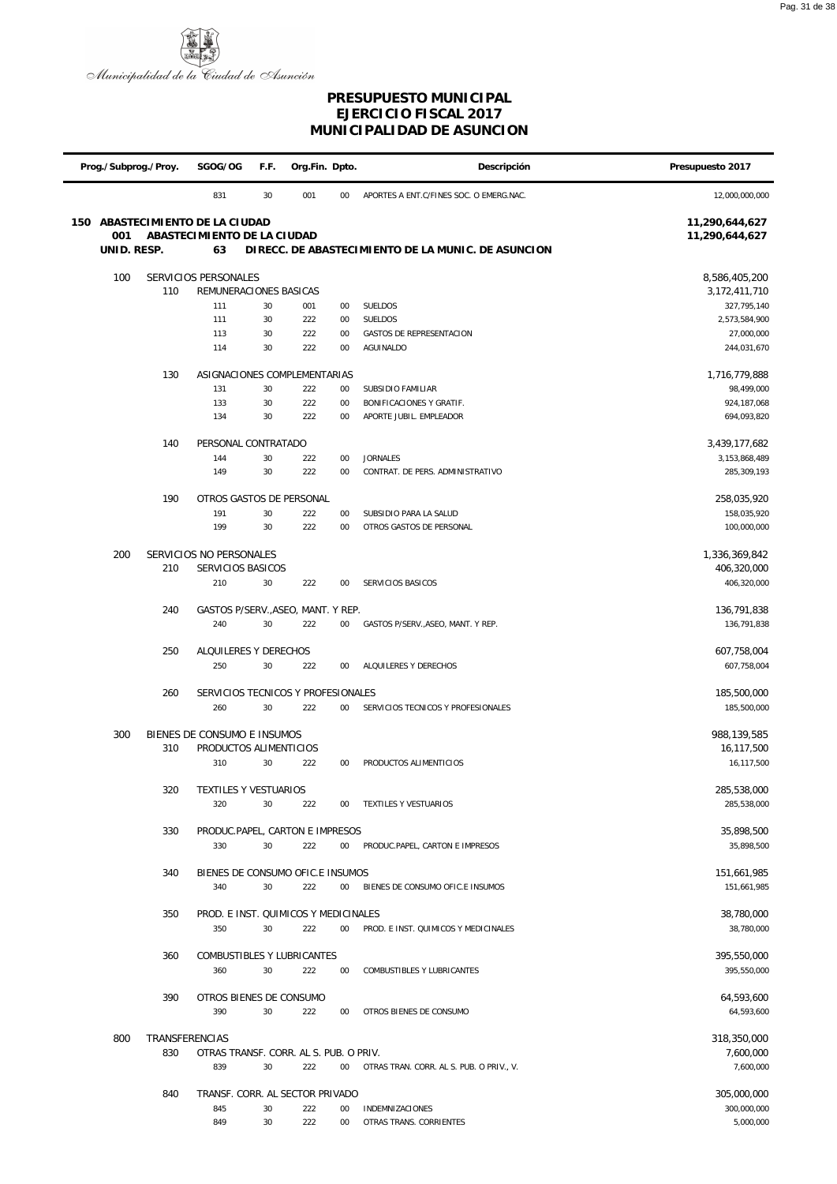

| Prog./Subprog./Proy. |                      | SGOG/OG                                   |               | F.F.       | Org.Fin. Dpto. | Descripción                                         | Presupuesto 2017             |
|----------------------|----------------------|-------------------------------------------|---------------|------------|----------------|-----------------------------------------------------|------------------------------|
|                      |                      | 831                                       | 30            | 001        | 00             | APORTES A ENT.C/FINES SOC. O EMERG.NAC.             | 12,000,000,000               |
| 150                  |                      | ABASTECIMIENTO DE LA CIUDAD               |               |            |                |                                                     | 11,290,644,627               |
| 001                  |                      | ABASTECIMIENTO DE LA CIUDAD               |               |            |                |                                                     | 11,290,644,627               |
| UNID. RESP.          |                      |                                           |               |            |                |                                                     |                              |
| 100                  | SERVICIOS PERSONALES |                                           | 8,586,405,200 |            |                |                                                     |                              |
|                      | 110                  | REMUNERACIONES BASICAS                    |               |            |                |                                                     | 3,172,411,710                |
|                      |                      | 111                                       | 30            | 001        | 00             | SUELDOS                                             | 327,795,140                  |
|                      |                      | 111                                       | 30            | 222        | 00             | SUELDOS                                             | 2,573,584,900                |
|                      |                      | 113<br>114                                | 30<br>30      | 222<br>222 | 00<br>00       | <b>GASTOS DE REPRESENTACION</b><br>AGUINALDO        | 27,000,000<br>244,031,670    |
|                      |                      |                                           |               |            |                |                                                     |                              |
|                      | 130                  | ASIGNACIONES COMPLEMENTARIAS              |               |            |                |                                                     | 1,716,779,888                |
|                      |                      | 131                                       | 30            | 222        | 00             | SUBSIDIO FAMILIAR                                   | 98,499,000                   |
|                      |                      | 133<br>134                                | 30<br>30      | 222<br>222 | 00<br>00       | BONIFICACIONES Y GRATIF.<br>APORTE JUBIL. EMPLEADOR | 924, 187, 068<br>694,093,820 |
|                      |                      |                                           |               |            |                |                                                     |                              |
|                      | 140                  | PERSONAL CONTRATADO                       |               |            |                |                                                     | 3,439,177,682                |
|                      |                      | 144                                       | 30            | 222        | 00             | <b>JORNALES</b>                                     | 3, 153, 868, 489             |
|                      |                      | 149                                       | 30            | 222        | 00             | CONTRAT. DE PERS. ADMINISTRATIVO                    | 285,309,193                  |
|                      | 190                  | OTROS GASTOS DE PERSONAL                  |               |            |                |                                                     | 258,035,920                  |
|                      |                      | 191                                       | 30            | 222        | 00             | SUBSIDIO PARA LA SALUD                              | 158,035,920                  |
|                      |                      | 199                                       | 30            | 222        | 00             | OTROS GASTOS DE PERSONAL                            | 100,000,000                  |
| 200                  |                      | SERVICIOS NO PERSONALES                   |               |            |                |                                                     | 1,336,369,842                |
|                      | 210                  | SERVICIOS BASICOS                         |               |            |                |                                                     | 406,320,000                  |
|                      |                      | 210                                       | $30\,$        | 222        | 00             | SERVICIOS BASICOS                                   | 406,320,000                  |
|                      |                      |                                           |               |            |                |                                                     |                              |
|                      | 240                  | GASTOS P/SERV., ASEO, MANT. Y REP.<br>240 | 30            | 222        | 00             | GASTOS P/SERV., ASEO, MANT. Y REP.                  | 136,791,838<br>136,791,838   |
|                      |                      |                                           |               |            |                |                                                     |                              |
|                      | 250                  | ALQUILERES Y DERECHOS                     |               |            |                |                                                     | 607,758,004                  |
|                      |                      | 250                                       | 30            | 222        | 00             | ALQUILERES Y DERECHOS                               | 607,758,004                  |
|                      | 260                  | SERVICIOS TECNICOS Y PROFESIONALES        |               |            |                |                                                     | 185,500,000                  |
|                      |                      | 260                                       | 30            | 222        | $00\,$         | SERVICIOS TECNICOS Y PROFESIONALES                  | 185,500,000                  |
|                      |                      |                                           |               |            |                |                                                     |                              |
| 300                  |                      | BIENES DE CONSUMO E INSUMOS               |               |            |                |                                                     | 988,139,585                  |
|                      | 310                  | PRODUCTOS ALIMENTICIOS<br>310             | 30            | 222        | 00             | PRODUCTOS ALIMENTICIOS                              | 16,117,500<br>16,117,500     |
|                      |                      |                                           |               |            |                |                                                     |                              |
|                      | 320                  | TEXTILES Y VESTUARIOS                     |               |            |                |                                                     | 285,538,000                  |
|                      |                      | 320                                       | 30            | 222        | 00             | TEXTILES Y VESTUARIOS                               | 285,538,000                  |
|                      | 330                  | PRODUC.PAPEL, CARTON E IMPRESOS           |               |            |                |                                                     | 35,898,500                   |
|                      |                      | 330                                       | 30            | 222        | 00             | PRODUC.PAPEL, CARTON E IMPRESOS                     | 35,898,500                   |
|                      |                      |                                           |               |            |                |                                                     |                              |
|                      | 340                  | BIENES DE CONSUMO OFIC.E INSUMOS          |               |            |                |                                                     | 151,661,985                  |
|                      |                      | 340                                       | 30            | 222        | $00\,$         | BIENES DE CONSUMO OFIC.E INSUMOS                    | 151,661,985                  |
|                      | 350                  | PROD. E INST. QUIMICOS Y MEDICINALES      |               |            |                |                                                     | 38,780,000                   |
|                      |                      | 350                                       | 30            | 222        | 00             | PROD. E INST. QUIMICOS Y MEDICINALES                | 38,780,000                   |
|                      |                      |                                           |               |            |                |                                                     |                              |
|                      | 360                  | COMBUSTIBLES Y LUBRICANTES<br>360         | 30            | 222        | 00             | COMBUSTIBLES Y LUBRICANTES                          | 395,550,000<br>395,550,000   |
|                      |                      |                                           |               |            |                |                                                     |                              |
|                      | 390                  | OTROS BIENES DE CONSUMO                   |               |            |                |                                                     | 64,593,600                   |
|                      |                      | 390                                       | 30            | 222        | 00             | OTROS BIENES DE CONSUMO                             | 64,593,600                   |
| 800                  | TRANSFERENCIAS       |                                           |               |            |                |                                                     | 318,350,000                  |
|                      | 830                  | OTRAS TRANSF. CORR. AL S. PUB. O PRIV.    |               |            |                |                                                     | 7,600,000                    |
|                      |                      | 839                                       | 30            | 222        | 00             | OTRAS TRAN. CORR. AL S. PUB. O PRIV., V.            | 7,600,000                    |
|                      |                      |                                           |               |            |                |                                                     |                              |
|                      | 840                  | TRANSF. CORR. AL SECTOR PRIVADO<br>845    | 30            | 222        | 00             | INDEMNIZACIONES                                     | 305,000,000<br>300,000,000   |
|                      |                      | 849                                       | 30            | 222        | 00             | OTRAS TRANS. CORRIENTES                             | 5,000,000                    |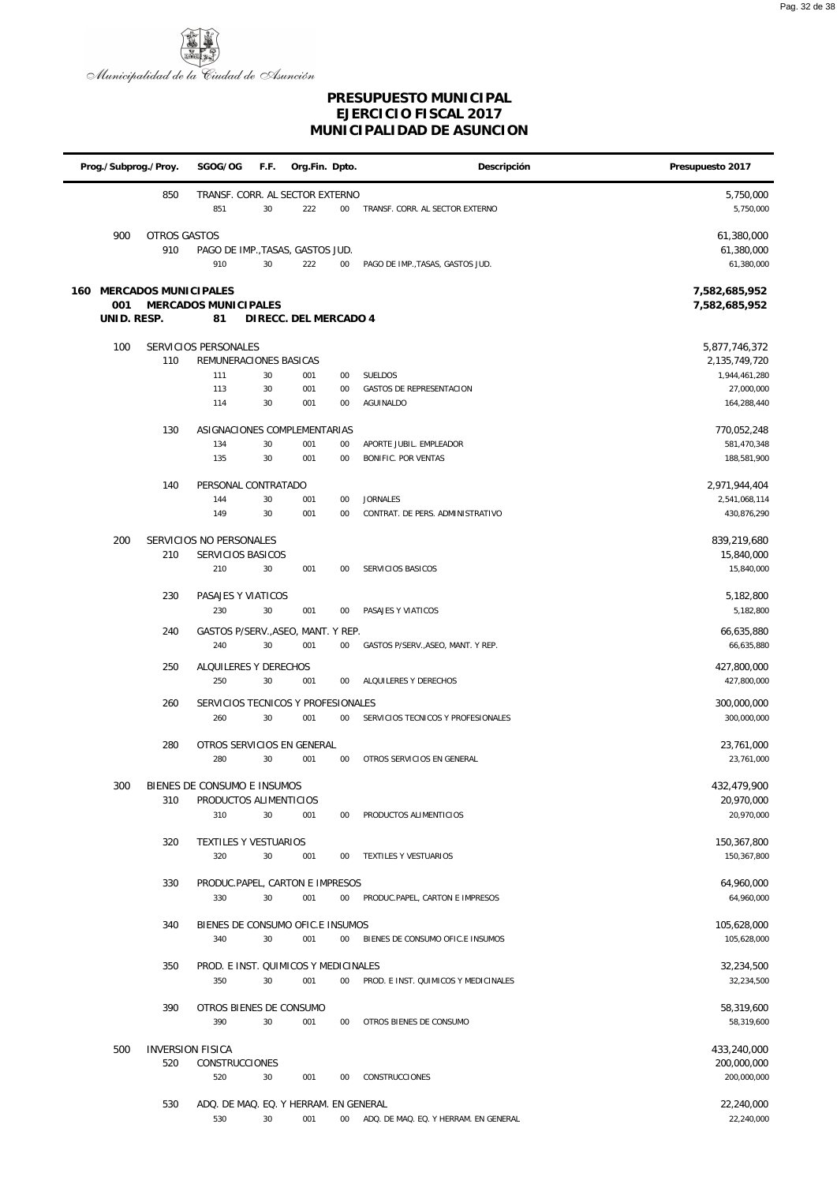

|     | Prog./Subprog./Proy. |                                | SGOG/OG                                 | F.F.     | Org.Fin. Dpto.        |          | Descripción                              | Presupuesto 2017                       |
|-----|----------------------|--------------------------------|-----------------------------------------|----------|-----------------------|----------|------------------------------------------|----------------------------------------|
|     |                      | 850                            | TRANSF. CORR. AL SECTOR EXTERNO<br>851  | 30       | 222                   | $00\,$   | TRANSF. CORR. AL SECTOR EXTERNO          | 5,750,000<br>5,750,000                 |
|     | 900                  | <b>OTROS GASTOS</b><br>910     | PAGO DE IMP., TASAS, GASTOS JUD.<br>910 | 30       | 222                   | $00\,$   | PAGO DE IMP., TASAS, GASTOS JUD.         | 61,380,000<br>61,380,000<br>61,380,000 |
| 160 | 001<br>UNID. RESP.   | MERCADOS MUNICIPALES           | MERCADOS MUNICIPALES<br>81              |          | DIRECC. DEL MERCADO 4 |          |                                          | 7,582,685,952<br>7,582,685,952         |
|     | 100                  |                                | SERVICIOS PERSONALES                    |          |                       |          |                                          | 5,877,746,372                          |
|     |                      | 110                            | REMUNERACIONES BASICAS                  |          |                       |          |                                          | 2,135,749,720                          |
|     |                      |                                | 111<br>113                              | 30<br>30 | 001<br>001            | 00<br>00 | SUELDOS<br>GASTOS DE REPRESENTACION      | 1,944,461,280<br>27,000,000            |
|     |                      |                                | 114                                     | 30       | 001                   | 00       | AGUINALDO                                | 164,288,440                            |
|     |                      | 130                            | ASIGNACIONES COMPLEMENTARIAS            |          |                       |          |                                          | 770,052,248                            |
|     |                      |                                | 134                                     | 30       | 001                   | 00       | APORTE JUBIL. EMPLEADOR                  | 581,470,348                            |
|     |                      |                                | 135                                     | 30       | 001                   | $00\,$   | BONIFIC. POR VENTAS                      | 188,581,900                            |
|     |                      | 140                            | PERSONAL CONTRATADO                     |          |                       |          |                                          | 2,971,944,404                          |
|     |                      |                                | 144                                     | 30       | 001                   | $00\,$   | <b>JORNALES</b>                          | 2,541,068,114                          |
|     |                      |                                | 149                                     | 30       | 001                   | 00       | CONTRAT. DE PERS. ADMINISTRATIVO         | 430,876,290                            |
|     | 200                  |                                | SERVICIOS NO PERSONALES                 |          |                       |          |                                          | 839,219,680                            |
|     |                      | 210                            | SERVICIOS BASICOS<br>210                | 30       | 001                   | $00\,$   | SERVICIOS BASICOS                        | 15,840,000<br>15,840,000               |
|     |                      |                                |                                         |          |                       |          |                                          |                                        |
|     |                      | 230                            | PASAJES Y VIATICOS<br>230               | 30       | 001                   | $00\,$   | PASAJES Y VIATICOS                       | 5,182,800<br>5,182,800                 |
|     |                      | 240                            | GASTOS P/SERV., ASEO, MANT. Y REP.      |          |                       |          |                                          |                                        |
|     |                      |                                | 240                                     | 30       | 001                   | $00\,$   | GASTOS P/SERV., ASEO, MANT. Y REP.       | 66,635,880<br>66,635,880               |
|     |                      | 250                            | ALQUILERES Y DERECHOS                   |          |                       |          |                                          | 427,800,000                            |
|     |                      |                                | 250                                     | 30       | 001                   | $00\,$   | ALQUILERES Y DERECHOS                    | 427,800,000                            |
|     |                      | 260                            | SERVICIOS TECNICOS Y PROFESIONALES      |          |                       |          |                                          | 300,000,000                            |
|     |                      |                                | 260                                     | 30       | 001                   | $00\,$   | SERVICIOS TECNICOS Y PROFESIONALES       | 300,000,000                            |
|     |                      | 280                            | OTROS SERVICIOS EN GENERAL              |          |                       |          |                                          | 23,761,000                             |
|     |                      |                                | 280                                     | 30       | 001                   | $00\,$   | OTROS SERVICIOS EN GENERAL               | 23,761,000                             |
|     | 300                  |                                | BIENES DE CONSUMO E INSUMOS             |          |                       |          |                                          | 432,479,900                            |
|     |                      | 310                            | PRODUCTOS ALIMENTICIOS                  |          |                       |          |                                          | 20,970,000                             |
|     |                      |                                | 310                                     | 30       | 001                   | $00\,$   | PRODUCTOS ALIMENTICIOS                   | 20,970,000                             |
|     |                      | 320                            | TEXTILES Y VESTUARIOS                   |          |                       |          |                                          | 150,367,800                            |
|     |                      |                                | 320                                     | 30       | 001                   | $00\,$   | TEXTILES Y VESTUARIOS                    | 150,367,800                            |
|     |                      | 330                            | PRODUC.PAPEL, CARTON E IMPRESOS<br>330  | 30       | 001                   | $00\,$   | PRODUC.PAPEL, CARTON E IMPRESOS          | 64,960,000<br>64,960,000               |
|     |                      | 340                            | BIENES DE CONSUMO OFIC.E INSUMOS        |          |                       |          |                                          | 105,628,000                            |
|     |                      |                                | 340                                     | 30       | 001                   | $00\,$   | BIENES DE CONSUMO OFIC.E INSUMOS         | 105,628,000                            |
|     |                      | 350                            | PROD. E INST. QUIMICOS Y MEDICINALES    |          |                       |          |                                          | 32,234,500                             |
|     |                      |                                | 350                                     | 30       | 001                   | $00\,$   | PROD. E INST. QUIMICOS Y MEDICINALES     | 32,234,500                             |
|     |                      | 390                            | OTROS BIENES DE CONSUMO                 |          |                       |          |                                          | 58,319,600                             |
|     |                      |                                | 390                                     | 30       | 001                   | $00\,$   | OTROS BIENES DE CONSUMO                  | 58,319,600                             |
|     |                      |                                |                                         |          |                       |          |                                          |                                        |
|     | 500                  | <b>INVERSION FISICA</b><br>520 | CONSTRUCCIONES                          |          |                       |          |                                          | 433,240,000<br>200,000,000             |
|     |                      |                                | 520                                     | 30       | 001                   | 00       | CONSTRUCCIONES                           | 200,000,000                            |
|     |                      | 530                            | ADQ. DE MAQ. EQ. Y HERRAM. EN GENERAL   |          |                       |          |                                          | 22,240,000                             |
|     |                      |                                | 530                                     | 30       | 001                   |          | 00 ADQ. DE MAQ. EQ. Y HERRAM. EN GENERAL | 22,240,000                             |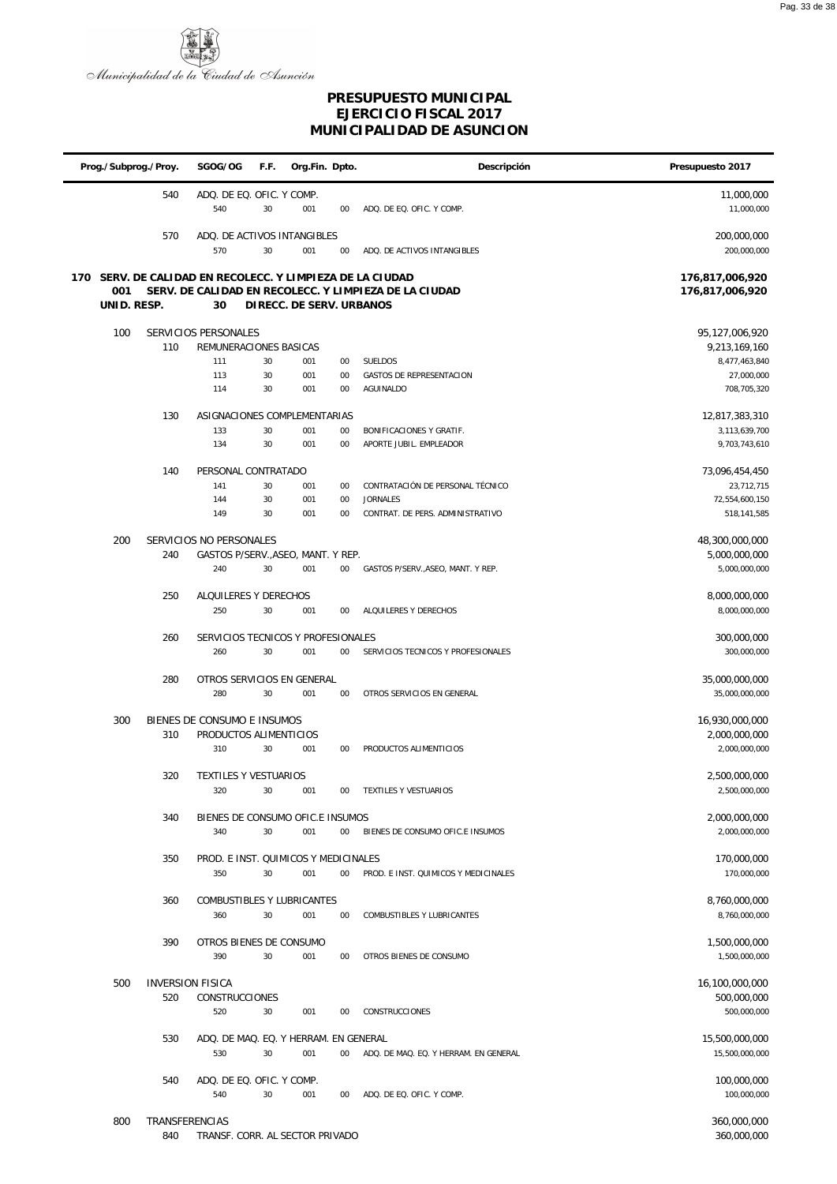

|                    | Prog./Subprog./Proy. | SGOG/OG                                                         | F.F.     | Org.Fin. Dpto.           |          | Descripción                                           | Presupuesto 2017                   |
|--------------------|----------------------|-----------------------------------------------------------------|----------|--------------------------|----------|-------------------------------------------------------|------------------------------------|
|                    | 540                  | ADQ. DE EQ. OFIC. Y COMP.<br>540                                | 30       | 001                      | 00       | ADQ. DE EQ. OFIC. Y COMP.                             | 11,000,000<br>11,000,000           |
|                    | 570                  | ADQ. DE ACTIVOS INTANGIBLES<br>570                              | 30       | 001                      | 00       | ADQ. DE ACTIVOS INTANGIBLES                           | 200,000,000<br>200,000,000         |
| 001<br>UNID. RESP. |                      | 170 SERV. DE CALIDAD EN RECOLECC. Y LIMPIEZA DE LA CIUDAD<br>30 |          | DIRECC. DE SERV. URBANOS |          | SERV. DE CALIDAD EN RECOLECC. Y LIMPIEZA DE LA CIUDAD | 176,817,006,920<br>176,817,006,920 |
| 100                |                      | SERVICIOS PERSONALES                                            |          |                          |          |                                                       | 95,127,006,920                     |
|                    | 110                  | REMUNERACIONES BASICAS                                          |          |                          |          |                                                       | 9,213,169,160                      |
|                    |                      | 111                                                             | 30       | 001                      | 00       | <b>SUELDOS</b>                                        | 8,477,463,840                      |
|                    |                      | 113<br>114                                                      | 30<br>30 | 001                      | 00<br>00 | GASTOS DE REPRESENTACION<br>AGUINALDO                 | 27,000,000<br>708,705,320          |
|                    |                      |                                                                 |          | 001                      |          |                                                       |                                    |
|                    | 130                  | ASIGNACIONES COMPLEMENTARIAS                                    |          |                          |          |                                                       | 12,817,383,310                     |
|                    |                      | 133                                                             | 30       | 001                      | $00\,$   | BONIFICACIONES Y GRATIF.                              | 3,113,639,700                      |
|                    |                      | 134                                                             | 30       | 001                      | 00       | APORTE JUBIL. EMPLEADOR                               | 9,703,743,610                      |
|                    | 140                  | PERSONAL CONTRATADO                                             |          |                          |          |                                                       | 73,096,454,450                     |
|                    |                      | 141                                                             | 30       | 001                      | 00       | CONTRATACIÓN DE PERSONAL TÉCNICO                      | 23,712,715                         |
|                    |                      | 144<br>149                                                      | 30<br>30 | 001<br>001               | 00<br>00 | <b>JORNALES</b><br>CONTRAT. DE PERS. ADMINISTRATIVO   | 72,554,600,150<br>518,141,585      |
|                    |                      |                                                                 |          |                          |          |                                                       |                                    |
| 200                |                      | SERVICIOS NO PERSONALES                                         |          |                          |          |                                                       | 48,300,000,000                     |
|                    | 240                  | GASTOS P/SERV., ASEO, MANT. Y REP.                              |          |                          |          |                                                       | 5,000,000,000                      |
|                    |                      | 240                                                             | 30       | 001                      | $00\,$   | GASTOS P/SERV., ASEO, MANT. Y REP.                    | 5,000,000,000                      |
|                    | 250                  | ALQUILERES Y DERECHOS                                           |          |                          |          |                                                       | 8,000,000,000                      |
|                    |                      | 250                                                             | 30       | 001                      | 00       | ALQUILERES Y DERECHOS                                 | 8,000,000,000                      |
|                    |                      |                                                                 |          |                          |          |                                                       |                                    |
|                    | 260                  | SERVICIOS TECNICOS Y PROFESIONALES<br>260                       | 30       | 001                      | 00       | SERVICIOS TECNICOS Y PROFESIONALES                    | 300,000,000<br>300,000,000         |
|                    |                      |                                                                 |          |                          |          |                                                       |                                    |
|                    | 280                  | OTROS SERVICIOS EN GENERAL                                      |          |                          |          |                                                       | 35,000,000,000                     |
|                    |                      | 280                                                             | 30       | 001                      | $00\,$   | OTROS SERVICIOS EN GENERAL                            | 35,000,000,000                     |
| 300                | 310                  | BIENES DE CONSUMO E INSUMOS<br>PRODUCTOS ALIMENTICIOS           |          |                          |          |                                                       | 16,930,000,000<br>2,000,000,000    |
|                    |                      | 310                                                             | 30       | 001                      | 00       | PRODUCTOS ALIMENTICIOS                                | 2,000,000,000                      |
|                    |                      |                                                                 |          |                          |          |                                                       |                                    |
|                    | 320                  | <b>TEXTILES Y VESTUARIOS</b><br>320                             | 30       | 001                      | 00       | TEXTILES Y VESTUARIOS                                 | 2,500,000,000<br>2,500,000,000     |
|                    |                      |                                                                 |          |                          |          |                                                       |                                    |
|                    | 340                  | BIENES DE CONSUMO OFIC.E INSUMOS                                |          |                          |          |                                                       | 2,000,000,000                      |
|                    |                      | 340                                                             | 30       | 001                      | 00       | BIENES DE CONSUMO OFIC.E INSUMOS                      | 2,000,000,000                      |
|                    | 350                  | PROD. E INST. QUIMICOS Y MEDICINALES                            |          |                          |          |                                                       | 170,000,000                        |
|                    |                      | 350                                                             | 30       | 001                      | 00       | PROD. E INST. QUIMICOS Y MEDICINALES                  | 170,000,000                        |
|                    |                      |                                                                 |          |                          |          |                                                       |                                    |
|                    | 360                  | COMBUSTIBLES Y LUBRICANTES                                      |          |                          |          |                                                       | 8,760,000,000                      |
|                    |                      | 360                                                             | 30       | 001                      | 00       | COMBUSTIBLES Y LUBRICANTES                            | 8,760,000,000                      |
|                    | 390                  | OTROS BIENES DE CONSUMO                                         |          |                          |          |                                                       | 1,500,000,000                      |
|                    |                      | 390                                                             | 30       | 001                      | 00       | OTROS BIENES DE CONSUMO                               | 1,500,000,000                      |
|                    |                      |                                                                 |          |                          |          |                                                       |                                    |
| 500                | 520                  | <b>INVERSION FISICA</b><br><b>CONSTRUCCIONES</b>                |          |                          |          |                                                       | 16,100,000,000<br>500,000,000      |
|                    |                      | 520                                                             | 30       | 001                      | 00       | <b>CONSTRUCCIONES</b>                                 | 500,000,000                        |
|                    |                      |                                                                 |          |                          |          |                                                       |                                    |
|                    | 530                  | ADQ. DE MAQ. EQ. Y HERRAM. EN GENERAL                           |          |                          |          |                                                       | 15,500,000,000                     |
|                    |                      | 530                                                             | 30       | 001                      | 00       | ADQ. DE MAQ. EQ. Y HERRAM. EN GENERAL                 | 15,500,000,000                     |
|                    | 540                  | ADQ. DE EQ. OFIC. Y COMP.                                       |          |                          |          |                                                       | 100,000,000                        |
|                    |                      | 540                                                             | 30       | 001                      | 00       | ADQ. DE EQ. OFIC. Y COMP.                             | 100,000,000                        |
| 800                | TRANSFERENCIAS       |                                                                 |          |                          |          |                                                       | 360,000,000                        |
|                    |                      |                                                                 |          |                          |          |                                                       |                                    |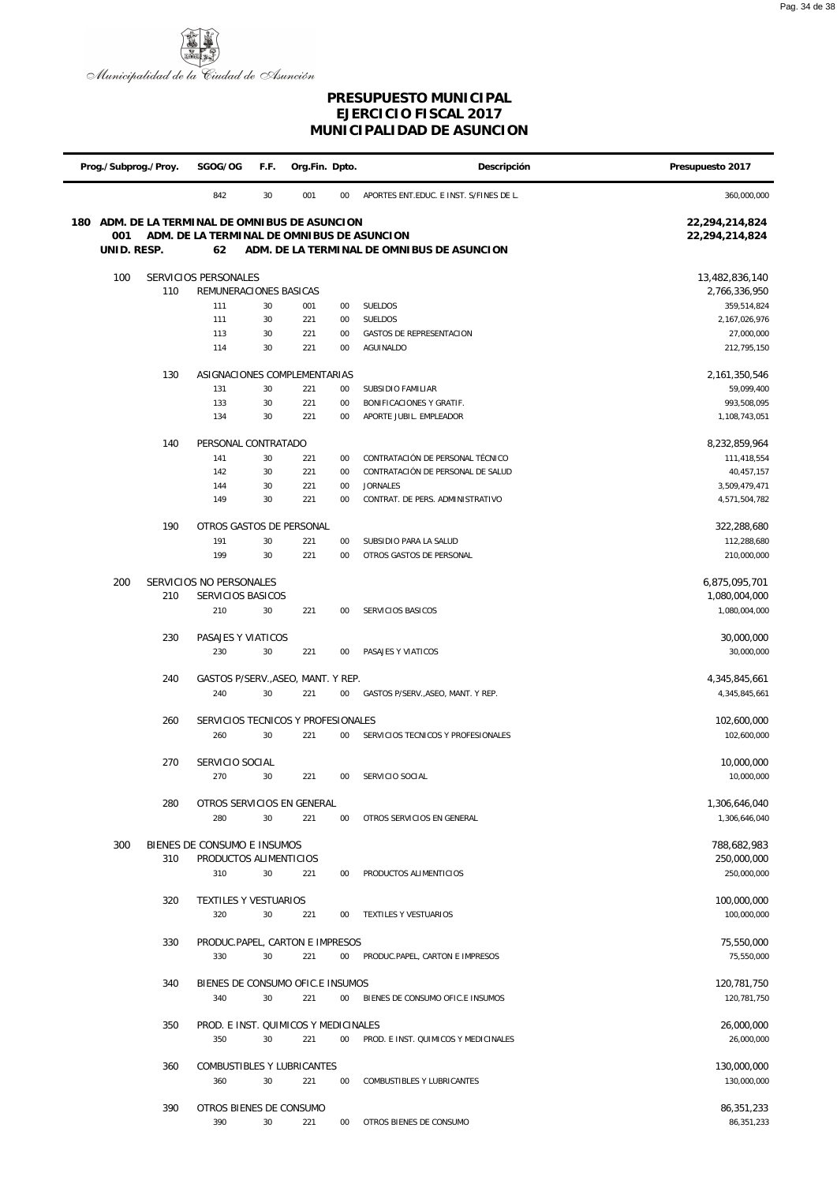

|     | Prog./Subprog./Proy. | SGOG/OG                                        | F.F.     | Org.Fin. Dpto. |          | Descripción                                         | Presupuesto 2017           |
|-----|----------------------|------------------------------------------------|----------|----------------|----------|-----------------------------------------------------|----------------------------|
|     |                      | 842                                            | 30       | 001            | 00       | APORTES ENT.EDUC. E INST. S/FINES DE L.             | 360,000,000                |
| 180 |                      | ADM. DE LA TERMINAL DE OMNIBUS DE ASUNCION     |          |                |          |                                                     | 22,294,214,824             |
|     | 001                  | ADM. DE LA TERMINAL DE OMNIBUS DE ASUNCION     |          |                |          |                                                     | 22,294,214,824             |
|     | UNID. RESP.          | 62                                             |          |                |          | ADM. DE LA TERMINAL DE OMNIBUS DE ASUNCION          |                            |
|     | 100                  | SERVICIOS PERSONALES                           |          |                |          |                                                     | 13,482,836,140             |
|     | 110                  | REMUNERACIONES BASICAS                         |          |                |          |                                                     | 2,766,336,950              |
|     |                      | 111                                            | 30       | 001            | 00       | SUELDOS                                             | 359,514,824                |
|     |                      | 111                                            | 30       | 221            | 00       | SUELDOS                                             | 2,167,026,976              |
|     |                      | 113<br>114                                     | 30<br>30 | 221<br>221     | 00<br>00 | <b>GASTOS DE REPRESENTACION</b><br>AGUINALDO        | 27,000,000<br>212,795,150  |
|     |                      |                                                |          |                |          |                                                     |                            |
|     | 130                  | ASIGNACIONES COMPLEMENTARIAS                   |          |                |          |                                                     | 2,161,350,546              |
|     |                      | 131                                            | 30       | 221            | 00       | SUBSIDIO FAMILIAR                                   | 59,099,400                 |
|     |                      | 133<br>134                                     | 30<br>30 | 221<br>221     | 00<br>00 | BONIFICACIONES Y GRATIF.<br>APORTE JUBIL. EMPLEADOR | 993,508,095                |
|     |                      |                                                |          |                |          |                                                     | 1,108,743,051              |
|     | 140                  | PERSONAL CONTRATADO                            |          |                |          |                                                     | 8,232,859,964              |
|     |                      | 141                                            | 30       | 221            | 00       | CONTRATACIÓN DE PERSONAL TÉCNICO                    | 111,418,554                |
|     |                      | 142                                            | 30       | 221            | 00       | CONTRATACIÓN DE PERSONAL DE SALUD                   | 40,457,157                 |
|     |                      | 144<br>149                                     | 30<br>30 | 221<br>221     | 00<br>00 | <b>JORNALES</b><br>CONTRAT. DE PERS. ADMINISTRATIVO | 3,509,479,471              |
|     |                      |                                                |          |                |          |                                                     | 4,571,504,782              |
|     | 190                  | OTROS GASTOS DE PERSONAL                       |          |                |          |                                                     | 322,288,680                |
|     |                      | 191                                            | 30       | 221            | 00       | SUBSIDIO PARA LA SALUD                              | 112,288,680                |
|     |                      | 199                                            | 30       | 221            | 00       | OTROS GASTOS DE PERSONAL                            | 210,000,000                |
|     | 200                  | SERVICIOS NO PERSONALES                        |          |                |          |                                                     | 6,875,095,701              |
|     | 210                  | SERVICIOS BASICOS                              |          |                |          |                                                     | 1,080,004,000              |
|     |                      | 210                                            | 30       | 221            | 00       | SERVICIOS BASICOS                                   | 1,080,004,000              |
|     | 230                  | PASAJES Y VIATICOS                             |          |                |          |                                                     | 30,000,000                 |
|     |                      | 230                                            | 30       | 221            | 00       | PASAJES Y VIATICOS                                  | 30,000,000                 |
|     |                      |                                                |          |                |          |                                                     |                            |
|     |                      | 240<br>GASTOS P/SERV., ASEO, MANT. Y REP.      |          |                |          |                                                     | 4,345,845,661              |
|     |                      | 240                                            | 30       | 221            | 00       | GASTOS P/SERV., ASEO, MANT. Y REP.                  | 4,345,845,661              |
|     |                      | 260<br>SERVICIOS TECNICOS Y PROFESIONALES      |          |                |          |                                                     | 102,600,000                |
|     |                      | 260                                            | 30       | 221            | 00       | SERVICIOS TECNICOS Y PROFESIONALES                  | 102,600,000                |
|     |                      |                                                |          |                |          |                                                     |                            |
|     | 270                  | SERVICIO SOCIAL<br>270                         | 30       | 221            | 00       | SERVICIO SOCIAL                                     | 10,000,000<br>10,000,000   |
|     |                      |                                                |          |                |          |                                                     |                            |
|     |                      | 280<br>OTROS SERVICIOS EN GENERAL              |          |                |          |                                                     | 1,306,646,040              |
|     |                      | 280                                            | 30       | 221            | $00\,$   | OTROS SERVICIOS EN GENERAL                          | 1,306,646,040              |
|     | 300                  | BIENES DE CONSUMO E INSUMOS                    |          |                |          |                                                     | 788,682,983                |
|     |                      | 310<br>PRODUCTOS ALIMENTICIOS                  |          |                |          |                                                     | 250,000,000                |
|     |                      | 310                                            | 30       | 221            | 00       | PRODUCTOS ALIMENTICIOS                              | 250,000,000                |
|     |                      |                                                |          |                |          |                                                     |                            |
|     |                      | 320<br><b>TEXTILES Y VESTUARIOS</b>            | 30       |                |          |                                                     | 100,000,000                |
|     |                      | 320                                            |          | 221            | 00       | TEXTILES Y VESTUARIOS                               | 100,000,000                |
|     |                      | 330<br>PRODUC.PAPEL, CARTON E IMPRESOS         |          |                |          |                                                     | 75,550,000                 |
|     |                      | 330                                            | 30       | 221            | 00       | PRODUC.PAPEL, CARTON E IMPRESOS                     | 75,550,000                 |
|     |                      |                                                |          |                |          |                                                     |                            |
|     |                      | 340<br>BIENES DE CONSUMO OFIC.E INSUMOS<br>340 | 30       | 221            | 00       | BIENES DE CONSUMO OFIC.E INSUMOS                    | 120,781,750<br>120,781,750 |
|     |                      |                                                |          |                |          |                                                     |                            |
|     |                      | 350<br>PROD. E INST. QUIMICOS Y MEDICINALES    |          |                |          |                                                     | 26,000,000                 |
|     |                      | 350                                            | 30       | 221            | 00       | PROD. E INST. QUIMICOS Y MEDICINALES                | 26,000,000                 |
|     |                      | 360<br>COMBUSTIBLES Y LUBRICANTES              |          |                |          |                                                     | 130,000,000                |
|     |                      | 360                                            | 30       | 221            | 00       | COMBUSTIBLES Y LUBRICANTES                          | 130,000,000                |
|     |                      |                                                |          |                |          |                                                     |                            |
|     |                      | 390<br>OTROS BIENES DE CONSUMO                 |          |                |          |                                                     | 86,351,233                 |
|     |                      | 390                                            | 30       | 221            | $00\,$   | OTROS BIENES DE CONSUMO                             | 86,351,233                 |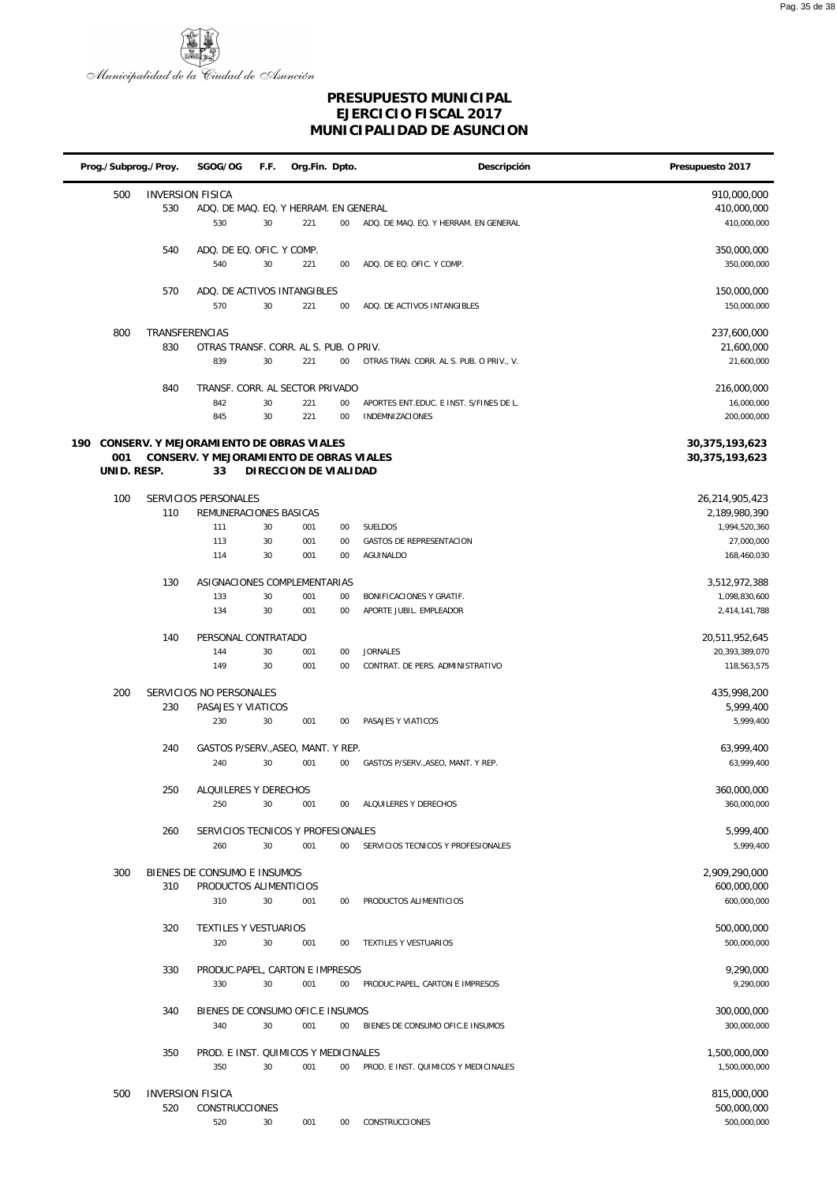

|     |             | Prog./Subprog./Proy.           | SGOG/OG                                                                              | F.F.     | Org.Fin. Dpto.        |              | Descripción                                                       | Presupuesto 2017                       |
|-----|-------------|--------------------------------|--------------------------------------------------------------------------------------|----------|-----------------------|--------------|-------------------------------------------------------------------|----------------------------------------|
|     | 500         | <b>INVERSION FISICA</b><br>530 | ADQ. DE MAQ. EQ. Y HERRAM. EN GENERAL                                                |          |                       |              |                                                                   | 910,000,000<br>410,000,000             |
|     |             |                                | 530                                                                                  | 30       | 221                   | $00\,$       | ADQ. DE MAQ. EQ. Y HERRAM. EN GENERAL                             | 410,000,000                            |
|     |             | 540                            | ADQ. DE EQ. OFIC. Y COMP.<br>540                                                     | 30       | 221                   | 00           | ADQ. DE EQ. OFIC. Y COMP.                                         | 350,000,000<br>350,000,000             |
|     |             | 570                            | ADQ. DE ACTIVOS INTANGIBLES<br>570                                                   | 30       | 221                   | 00           | ADQ. DE ACTIVOS INTANGIBLES                                       | 150,000,000<br>150,000,000             |
|     |             |                                |                                                                                      |          |                       |              |                                                                   |                                        |
|     | 800         | TRANSFERENCIAS<br>830          | OTRAS TRANSF. CORR. AL S. PUB. O PRIV.                                               |          |                       |              |                                                                   | 237,600,000<br>21,600,000              |
|     |             |                                | 839                                                                                  | 30       | 221                   | $00\,$       | OTRAS TRAN. CORR. AL S. PUB. O PRIV., V.                          | 21,600,000                             |
|     |             |                                |                                                                                      |          |                       |              |                                                                   |                                        |
|     |             | 840                            | TRANSF. CORR. AL SECTOR PRIVADO                                                      |          |                       |              |                                                                   | 216,000,000                            |
|     |             |                                | 842<br>845                                                                           | 30<br>30 | 221<br>221            | $00\,$<br>00 | APORTES ENT.EDUC. E INST. S/FINES DE L.<br><b>INDEMNIZACIONES</b> | 16,000,000<br>200,000,000              |
|     |             |                                |                                                                                      |          |                       |              |                                                                   |                                        |
| 190 | 001         |                                | CONSERV. Y MEJORAMI ENTO DE OBRAS VIALES<br>CONSERV. Y MEJORAMI ENTO DE OBRAS VIALES |          |                       |              |                                                                   | 30, 375, 193, 623<br>30, 375, 193, 623 |
|     | UNID. RESP. |                                | 33                                                                                   |          | DIRECCION DE VIALIDAD |              |                                                                   |                                        |
|     | 100         |                                | SERVICIOS PERSONALES                                                                 |          |                       |              |                                                                   | 26,214,905,423                         |
|     |             | 110                            | REMUNERACIONES BASICAS                                                               |          |                       |              |                                                                   | 2,189,980,390                          |
|     |             |                                | 111                                                                                  | 30       | 001                   | 00           | <b>SUELDOS</b>                                                    | 1,994,520,360                          |
|     |             |                                | 113                                                                                  | 30       | 001                   | 00           | <b>GASTOS DE REPRESENTACION</b>                                   | 27,000,000                             |
|     |             |                                | 114                                                                                  | 30       | 001                   | 00           | <b>AGUINALDO</b>                                                  | 168,460,030                            |
|     |             | 130                            | ASIGNACIONES COMPLEMENTARIAS                                                         |          |                       |              |                                                                   | 3,512,972,388                          |
|     |             |                                | 133                                                                                  | 30       | 001                   | 00           | BONIFICACIONES Y GRATIF.                                          | 1,098,830,600                          |
|     |             |                                | 134                                                                                  | 30       | 001                   | 00           | APORTE JUBIL. EMPLEADOR                                           | 2,414,141,788                          |
|     |             | 140                            | PERSONAL CONTRATADO                                                                  |          |                       |              |                                                                   | 20,511,952,645                         |
|     |             |                                | 144                                                                                  | 30       | 001                   | 00           | <b>JORNALES</b>                                                   | 20,393,389,070                         |
|     |             |                                | 149                                                                                  | 30       | 001                   | 00           | CONTRAT. DE PERS. ADMINISTRATIVO                                  | 118,563,575                            |
|     | 200         |                                | SERVICIOS NO PERSONALES                                                              |          |                       |              |                                                                   | 435,998,200                            |
|     |             | 230                            | PASAJES Y VIATICOS                                                                   |          |                       |              |                                                                   | 5,999,400                              |
|     |             |                                | 230                                                                                  | 30       | 001                   | 00           | PASAJES Y VIATICOS                                                | 5,999,400                              |
|     |             | 240                            | GASTOS P/SERV., ASEO, MANT. Y REP.                                                   |          |                       |              |                                                                   | 63,999,400                             |
|     |             |                                | 240                                                                                  | 30       | 001                   | 00           | GASTOS P/SERV., ASEO, MANT. Y REP.                                | 63,999,400                             |
|     |             | 250                            | ALQUILERES Y DERECHOS                                                                |          |                       |              |                                                                   | 360,000,000                            |
|     |             |                                | 250                                                                                  | 30       | 001                   | 00           | ALQUILERES Y DERECHOS                                             | 360,000,000                            |
|     |             | 260                            |                                                                                      |          |                       |              |                                                                   | 5,999,400                              |
|     |             |                                | SERVICIOS TECNICOS Y PROFESIONALES<br>260                                            | 30       | 001                   | $00\,$       | SERVICIOS TECNICOS Y PROFESIONALES                                | 5,999,400                              |
|     |             |                                |                                                                                      |          |                       |              |                                                                   |                                        |
|     | 300         | 310                            | BIENES DE CONSUMO E INSUMOS<br>PRODUCTOS ALIMENTICIOS                                |          |                       |              |                                                                   | 2,909,290,000<br>600,000,000           |
|     |             |                                | 310                                                                                  | 30       | 001                   | 00           | PRODUCTOS ALIMENTICIOS                                            | 600,000,000                            |
|     |             |                                |                                                                                      |          |                       |              |                                                                   |                                        |
|     |             | 320                            | TEXTILES Y VESTUARIOS<br>320                                                         | 30       | 001                   | 00           | TEXTILES Y VESTUARIOS                                             | 500,000,000<br>500,000,000             |
|     |             |                                |                                                                                      |          |                       |              |                                                                   |                                        |
|     |             | 330                            | PRODUC.PAPEL, CARTON E IMPRESOS                                                      |          |                       |              |                                                                   | 9,290,000                              |
|     |             |                                | 330                                                                                  | 30       | 001                   | $00\,$       | PRODUC.PAPEL, CARTON E IMPRESOS                                   | 9,290,000                              |
|     |             | 340                            | BIENES DE CONSUMO OFIC.E INSUMOS                                                     |          |                       |              |                                                                   | 300,000,000                            |
|     |             |                                | 340                                                                                  | 30       | 001                   | 00           | BIENES DE CONSUMO OFIC.E INSUMOS                                  | 300,000,000                            |
|     |             | 350                            | PROD. E INST. QUIMICOS Y MEDICINALES                                                 |          |                       |              |                                                                   | 1,500,000,000                          |
|     |             |                                | 350                                                                                  | 30       | 001                   | 00           | PROD. E INST. QUIMICOS Y MEDICINALES                              | 1,500,000,000                          |
|     | 500         | <b>INVERSION FISICA</b>        |                                                                                      |          |                       |              |                                                                   | 815,000,000                            |
|     |             | 520                            | <b>CONSTRUCCIONES</b>                                                                |          |                       |              |                                                                   | 500,000,000                            |
|     |             |                                | 520                                                                                  | 30       | 001                   | $00\,$       | CONSTRUCCIONES                                                    | 500,000,000                            |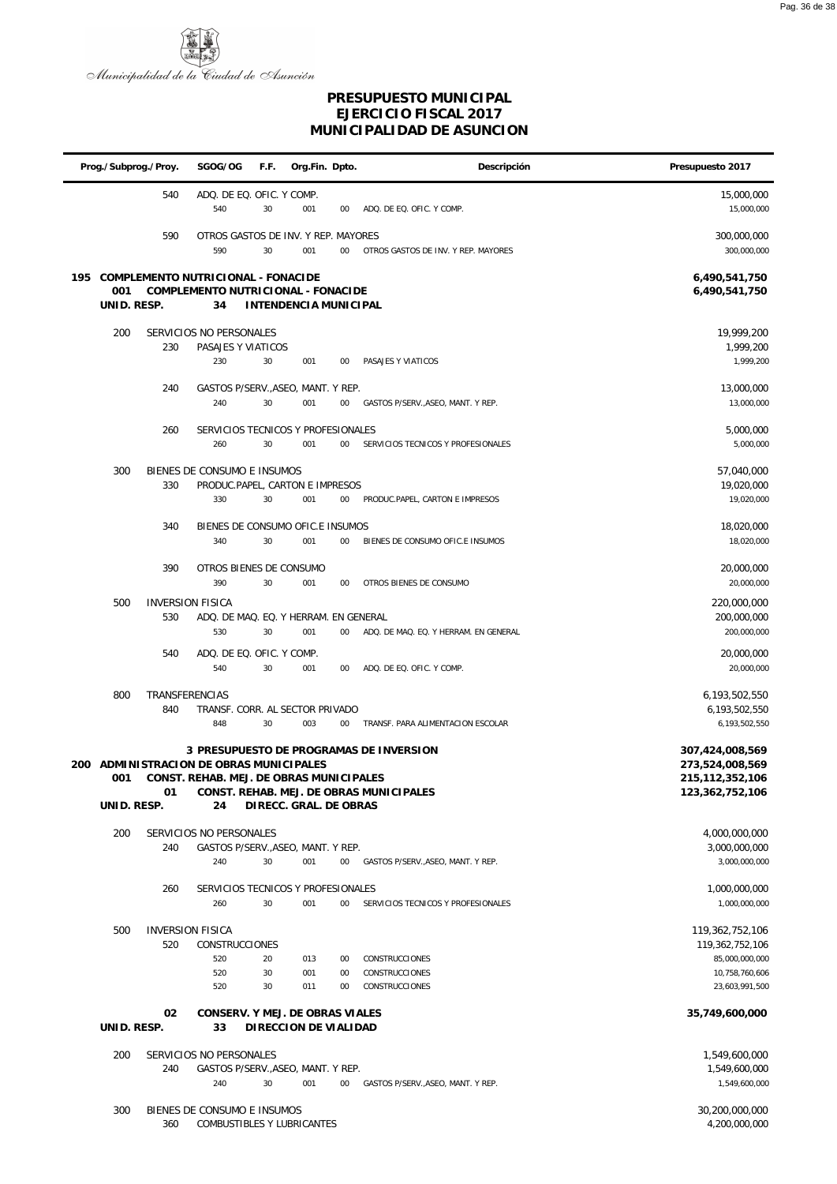

|                    | Prog./Subprog./Proy.  | SGOG/OG                                                                            | F.F.           | Org.Fin. Dpto.         |                | Descripción                                                                        | Presupuesto 2017                                                                         |
|--------------------|-----------------------|------------------------------------------------------------------------------------|----------------|------------------------|----------------|------------------------------------------------------------------------------------|------------------------------------------------------------------------------------------|
|                    | 540                   | ADQ. DE EQ. OFIC. Y COMP.<br>540                                                   | 30             | 001                    | 00             | ADQ. DE EQ. OFIC. Y COMP.                                                          | 15,000,000<br>15,000,000                                                                 |
|                    | 590                   | OTROS GASTOS DE INV. Y REP. MAYORES<br>590                                         | 30             | 001                    | 00             | OTROS GASTOS DE INV. Y REP. MAYORES                                                | 300,000,000<br>300,000,000                                                               |
| 001<br>UNID. RESP. |                       | 195 COMPLEMENTO NUTRICIONAL - FONACIDE<br>COMPLEMENTO NUTRICIONAL - FONACIDE<br>34 |                | INTENDENCIA MUNICIPAL  |                |                                                                                    | 6,490,541,750<br>6,490,541,750                                                           |
| 200                | 230                   | SERVICIOS NO PERSONALES<br>PASAJES Y VIATICOS<br>230                               | 30             | 001                    | 00             | PASAJES Y VIATICOS                                                                 | 19,999,200<br>1,999,200<br>1,999,200                                                     |
|                    | 240                   | GASTOS P/SERV., ASEO, MANT. Y REP.<br>240                                          | 30             | 001                    | 00             | GASTOS P/SERV., ASEO, MANT. Y REP.                                                 | 13,000,000<br>13,000,000                                                                 |
|                    | 260                   | SERVICIOS TECNICOS Y PROFESIONALES<br>260                                          | 30             | 001                    | 00             | SERVICIOS TECNICOS Y PROFESIONALES                                                 | 5,000,000<br>5,000,000                                                                   |
| 300                | 330                   | BIENES DE CONSUMO E INSUMOS<br>PRODUC.PAPEL, CARTON E IMPRESOS<br>330              | 30             | 001                    | 00             | PRODUC.PAPEL, CARTON E IMPRESOS                                                    | 57,040,000<br>19,020,000<br>19,020,000                                                   |
|                    | 340                   | BIENES DE CONSUMO OFIC.E INSUMOS<br>340                                            | 30             | 001                    | 00             | BIENES DE CONSUMO OFIC.E INSUMOS                                                   | 18,020,000<br>18,020,000                                                                 |
|                    | 390                   | OTROS BIENES DE CONSUMO<br>390                                                     | 30             | 001                    | $00\,$         | OTROS BIENES DE CONSUMO                                                            | 20,000,000<br>20,000,000                                                                 |
| 500                | 530                   | <b>INVERSION FISICA</b><br>ADQ. DE MAQ. EQ. Y HERRAM. EN GENERAL<br>530            | 30             | 001                    | 00             | ADQ. DE MAQ. EQ. Y HERRAM. EN GENERAL                                              | 220,000,000<br>200,000,000<br>200,000,000                                                |
|                    | 540                   | ADQ. DE EQ. OFIC. Y COMP.<br>540                                                   | 30             | 001                    | 00             | ADQ. DE EQ. OFIC. Y COMP.                                                          | 20,000,000<br>20,000,000                                                                 |
| 800                | TRANSFERENCIAS<br>840 | TRANSF. CORR. AL SECTOR PRIVADO<br>848                                             | 30             | 003                    | 00             | TRANSF. PARA ALIMENTACION ESCOLAR                                                  | 6,193,502,550<br>6,193,502,550<br>6,193,502,550                                          |
| 001                | 01                    | 200 ADMINISTRACION DE OBRAS MUNICIPALES<br>CONST. REHAB. MEJ. DE OBRAS MUNICIPALES |                |                        |                | 3 PRESUPUESTO DE PROGRAMAS DE INVERSION<br>CONST. REHAB. MEJ. DE OBRAS MUNICIPALES | 307,424,008,569<br>273,524,008,569<br>215,112,352,106<br>123,362,752,106                 |
| UNID. RESP.        |                       | 24                                                                                 |                | DIRECC. GRAL. DE OBRAS |                |                                                                                    |                                                                                          |
| 200                | 240                   | SERVICIOS NO PERSONALES<br>GASTOS P/SERV., ASEO, MANT. Y REP.<br>240               | 30             | 001                    | 00             | GASTOS P/SERV., ASEO, MANT. Y REP.                                                 | 4,000,000,000<br>3,000,000,000<br>3,000,000,000                                          |
|                    | 260                   | SERVICIOS TECNICOS Y PROFESIONALES<br>260                                          | 30             | 001                    | 00             | SERVICIOS TECNICOS Y PROFESIONALES                                                 | 1,000,000,000<br>1,000,000,000                                                           |
| 500                | 520                   | <b>INVERSION FISICA</b><br><b>CONSTRUCCIONES</b><br>520<br>520<br>520              | 20<br>30<br>30 | 013<br>001<br>011      | 00<br>00<br>00 | CONSTRUCCIONES<br>CONSTRUCCIONES<br><b>CONSTRUCCIONES</b>                          | 119,362,752,106<br>119,362,752,106<br>85,000,000,000<br>10,758,760,606<br>23,603,991,500 |
| UNID. RESP.        | 02                    | CONSERV. Y MEJ. DE OBRAS VIALES<br>33                                              |                | DI RECCION DE VIALIDAD |                |                                                                                    | 35,749,600,000                                                                           |
| 200                | 240                   | SERVICIOS NO PERSONALES<br>GASTOS P/SERV., ASEO, MANT. Y REP.                      |                |                        |                |                                                                                    | 1,549,600,000<br>1,549,600,000                                                           |
|                    |                       | 240                                                                                | 30             | 001                    | $00\,$         | GASTOS P/SERV., ASEO, MANT. Y REP.                                                 | 1,549,600,000                                                                            |
| 300                | 360                   | BIENES DE CONSUMO E INSUMOS<br>COMBUSTIBLES Y LUBRICANTES                          |                |                        |                |                                                                                    | 30,200,000,000<br>4,200,000,000                                                          |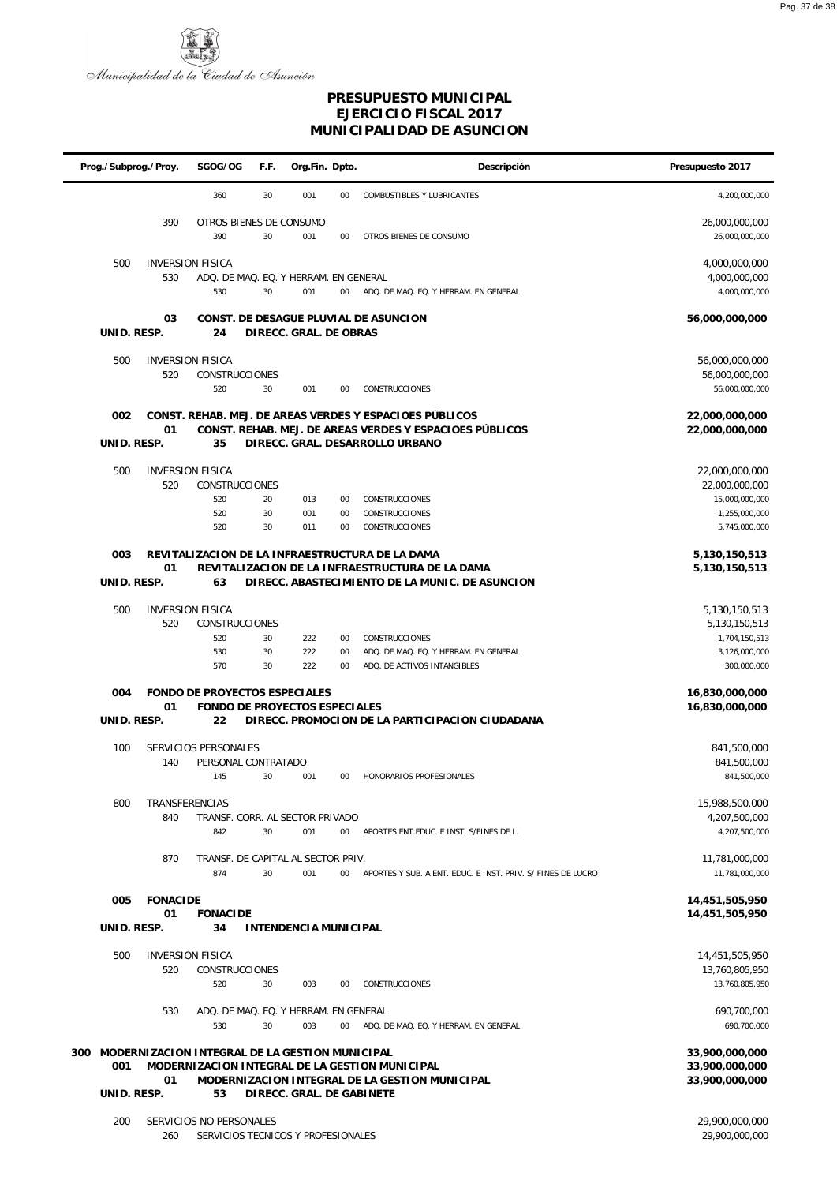

| Descripción<br>Prog./Subprog./Proy.<br>SGOG/OG<br>F.F.<br>Org.Fin. Dpto.                                                                                                                | Presupuesto 2017                                |
|-----------------------------------------------------------------------------------------------------------------------------------------------------------------------------------------|-------------------------------------------------|
| 360<br>30<br>001<br>00<br><b>COMBUSTIBLES Y LUBRICANTES</b>                                                                                                                             | 4,200,000,000                                   |
| 390<br>OTROS BIENES DE CONSUMO<br>390<br>30<br>001<br>$00\,$<br>OTROS BIENES DE CONSUMO                                                                                                 | 26,000,000,000<br>26,000,000,000                |
| 500<br><b>INVERSION FISICA</b><br>530<br>ADQ. DE MAQ. EQ. Y HERRAM. EN GENERAL<br>530<br>30<br>001<br>ADQ. DE MAQ. EQ. Y HERRAM. EN GENERAL<br>$00\,$                                   | 4,000,000,000<br>4,000,000,000<br>4,000,000,000 |
| 03<br>CONST. DE DESAGUE PLUVIAL DE ASUNCION<br>UNID. RESP.<br>DIRECC. GRAL. DE OBRAS<br>24                                                                                              | 56,000,000,000                                  |
| 500<br><b>INVERSION FISICA</b><br>520<br>CONSTRUCCIONES                                                                                                                                 | 56,000,000,000<br>56,000,000,000                |
| 520<br>30<br>001<br>00<br>CONSTRUCCIONES                                                                                                                                                | 56,000,000,000                                  |
| CONST. REHAB. MEJ. DE AREAS VERDES Y ESPACIOES PÚBLICOS<br>002<br>01<br>CONST. REHAB. MEJ. DE AREAS VERDES Y ESPACIOES PÚBLICOS<br>UNID. RESP.<br>35<br>DIRECC. GRAL. DESARROLLO URBANO | 22,000,000,000<br>22,000,000,000                |
|                                                                                                                                                                                         |                                                 |
| 500<br><b>INVERSION FISICA</b><br>520<br>CONSTRUCCIONES                                                                                                                                 | 22,000,000,000<br>22,000,000,000                |
| 520<br>20<br>013<br>CONSTRUCCIONES<br>00                                                                                                                                                | 15,000,000,000                                  |
| 520<br>30<br>001<br>CONSTRUCCIONES<br>00<br>30<br>011<br>520<br>$00\,$<br>CONSTRUCCIONES                                                                                                | 1,255,000,000<br>5,745,000,000                  |
|                                                                                                                                                                                         |                                                 |
| REVITALIZACION DE LA INFRAESTRUCTURA DE LA DAMA<br>003                                                                                                                                  | 5,130,150,513                                   |
| 01<br>REVITALIZACION DE LA INFRAESTRUCTURA DE LA DAMA<br>UNID. RESP.<br>63<br>DIRECC. ABASTECIMIENTO DE LA MUNIC. DE ASUNCION                                                           | 5,130,150,513                                   |
| 500<br><b>INVERSION FISICA</b>                                                                                                                                                          | 5,130,150,513                                   |
| 520<br><b>CONSTRUCCIONES</b>                                                                                                                                                            | 5,130,150,513                                   |
| 520<br>30<br>222<br>$00\,$<br>CONSTRUCCIONES                                                                                                                                            | 1,704,150,513                                   |
| 222<br>530<br>30<br>00<br>ADQ. DE MAQ. EQ. Y HERRAM. EN GENERAL<br>570<br>222<br>30<br>$00\,$<br>ADQ. DE ACTIVOS INTANGIBLES                                                            | 3,126,000,000<br>300,000,000                    |
| FONDO DE PROYECTOS ESPECIALES<br>004<br>01<br>FONDO DE PROYECTOS ESPECIALES                                                                                                             | 16,830,000,000<br>16,830,000,000                |
| UNID. RESP.<br>DIRECC. PROMOCION DE LA PARTICIPACION CIUDADANA<br>22                                                                                                                    |                                                 |
| 100<br>SERVICIOS PERSONALES<br>140<br>PERSONAL CONTRATADO                                                                                                                               | 841,500,000<br>841,500,000                      |
| 145<br>30<br>001<br>HONORARIOS PROFESIONALES<br>$00\,$                                                                                                                                  | 841,500,000                                     |
| 800<br>TRANSFERENCIAS                                                                                                                                                                   | 15,988,500,000                                  |
| 840<br>TRANSF. CORR. AL SECTOR PRIVADO                                                                                                                                                  | 4,207,500,000                                   |
| 30<br>001<br>842<br>$00\,$<br>APORTES ENT.EDUC. E INST. S/FINES DE L.                                                                                                                   | 4,207,500,000                                   |
| 870<br>TRANSF. DE CAPITAL AL SECTOR PRIV.<br>874<br>30<br>001<br>$00\,$<br>APORTES Y SUB. A ENT. EDUC. E INST. PRIV. S/ FINES DE LUCRO                                                  | 11,781,000,000<br>11,781,000,000                |
| <b>FONACIDE</b><br>005                                                                                                                                                                  | 14,451,505,950                                  |
| 01<br><b>FONACIDE</b><br>UNID. RESP.<br>34<br><b>INTENDENCIA MUNICIPAL</b>                                                                                                              | 14,451,505,950                                  |
|                                                                                                                                                                                         |                                                 |
| 500<br><b>INVERSION FISICA</b><br>520<br>CONSTRUCCIONES                                                                                                                                 | 14,451,505,950<br>13,760,805,950                |
| 30<br>003<br>520<br>$00\,$<br>CONSTRUCCIONES                                                                                                                                            | 13,760,805,950                                  |
| 530<br>ADQ. DE MAQ. EQ. Y HERRAM. EN GENERAL                                                                                                                                            | 690,700,000                                     |
| 530<br>30<br>003<br>$00\,$<br>ADQ. DE MAQ. EQ. Y HERRAM. EN GENERAL                                                                                                                     | 690,700,000                                     |
|                                                                                                                                                                                         |                                                 |
| 300 MODERNIZACION INTEGRAL DE LA GESTION MUNICIPAL<br>001<br>MODERNIZACION INTEGRAL DE LA GESTION MUNICIPAL                                                                             | 33,900,000,000<br>33,900,000,000                |
| MODERNIZACION INTEGRAL DE LA GESTION MUNICIPAL<br>01<br>UNID. RESP.<br>53<br>DIRECC. GRAL. DE GABINETE                                                                                  | 33,900,000,000                                  |
| SERVICIOS NO PERSONALES<br>200<br>260<br>SERVICIOS TECNICOS Y PROFESIONALES                                                                                                             | 29,900,000,000<br>29,900,000,000                |